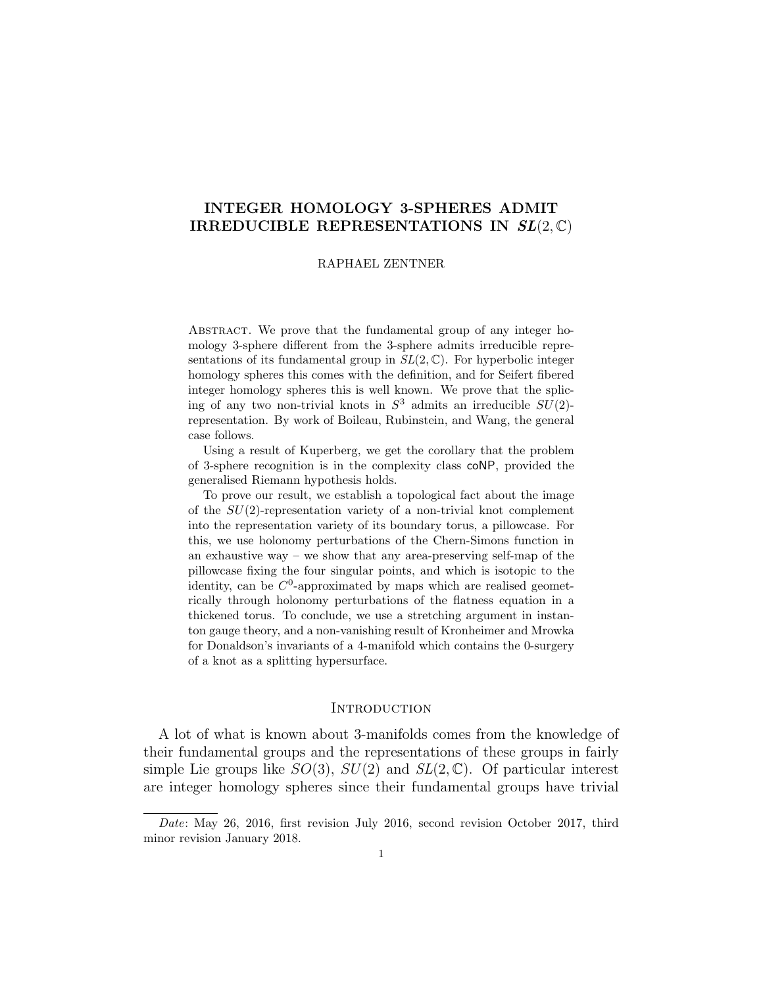# <span id="page-0-0"></span>INTEGER HOMOLOGY 3-SPHERES ADMIT IRREDUCIBLE REPRESENTATIONS IN  $SL(2,\mathbb{C})$

### RAPHAEL ZENTNER

Abstract. We prove that the fundamental group of any integer homology 3-sphere different from the 3-sphere admits irreducible representations of its fundamental group in  $SL(2,\mathbb{C})$ . For hyperbolic integer homology spheres this comes with the definition, and for Seifert fibered integer homology spheres this is well known. We prove that the splicing of any two non-trivial knots in  $S^3$  admits an irreducible  $SU(2)$ representation. By work of Boileau, Rubinstein, and Wang, the general case follows.

Using a result of Kuperberg, we get the corollary that the problem of 3-sphere recognition is in the complexity class coNP, provided the generalised Riemann hypothesis holds.

To prove our result, we establish a topological fact about the image of the  $SU(2)$ -representation variety of a non-trivial knot complement into the representation variety of its boundary torus, a pillowcase. For this, we use holonomy perturbations of the Chern-Simons function in an exhaustive way – we show that any area-preserving self-map of the pillowcase fixing the four singular points, and which is isotopic to the identity, can be  $C^0$ -approximated by maps which are realised geometrically through holonomy perturbations of the flatness equation in a thickened torus. To conclude, we use a stretching argument in instanton gauge theory, and a non-vanishing result of Kronheimer and Mrowka for Donaldson's invariants of a 4-manifold which contains the 0-surgery of a knot as a splitting hypersurface.

## **INTRODUCTION**

A lot of what is known about 3-manifolds comes from the knowledge of their fundamental groups and the representations of these groups in fairly simple Lie groups like  $SO(3)$ ,  $SU(2)$  and  $SL(2,\mathbb{C})$ . Of particular interest are integer homology spheres since their fundamental groups have trivial

Date: May 26, 2016, first revision July 2016, second revision October 2017, third minor revision January 2018.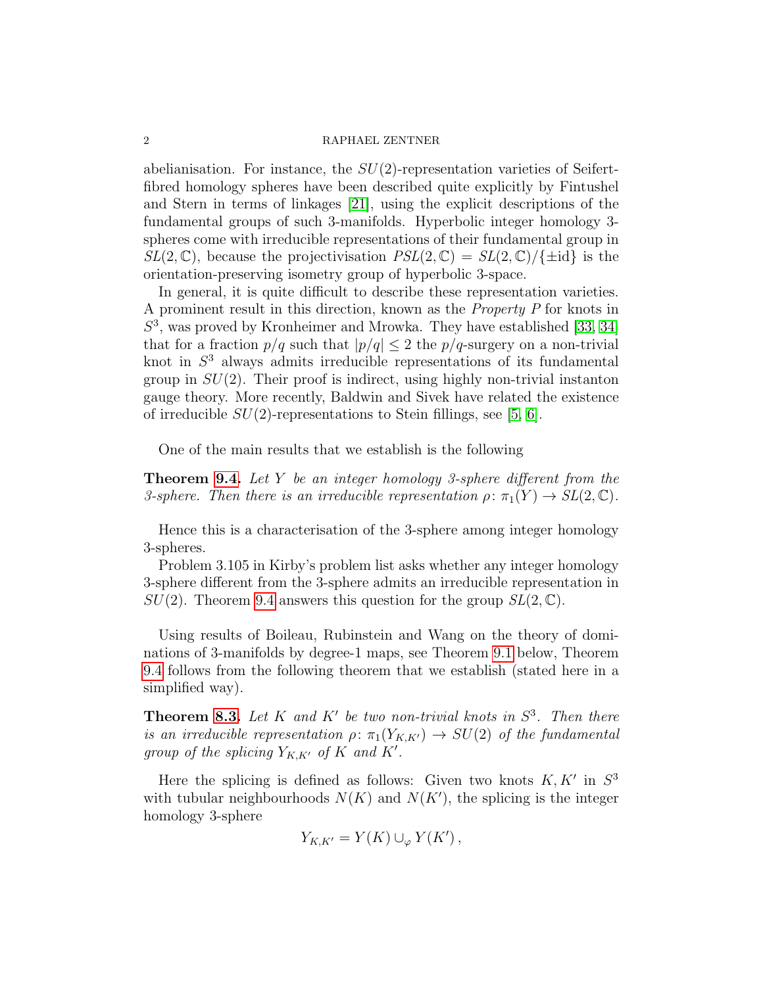abelianisation. For instance, the  $SU(2)$ -representation varieties of Seifertfibred homology spheres have been described quite explicitly by Fintushel and Stern in terms of linkages [\[21\]](#page-68-0), using the explicit descriptions of the fundamental groups of such 3-manifolds. Hyperbolic integer homology 3 spheres come with irreducible representations of their fundamental group in  $SL(2,\mathbb{C})$ , because the projectivisation  $PSL(2,\mathbb{C}) = SL(2,\mathbb{C})/\{\pm id\}$  is the orientation-preserving isometry group of hyperbolic 3-space.

In general, it is quite difficult to describe these representation varieties. A prominent result in this direction, known as the Property P for knots in S 3 , was proved by Kronheimer and Mrowka. They have established [\[33,](#page-69-0) [34\]](#page-69-1) that for a fraction  $p/q$  such that  $|p/q| \leq 2$  the  $p/q$ -surgery on a non-trivial knot in  $S<sup>3</sup>$  always admits irreducible representations of its fundamental group in  $SU(2)$ . Their proof is indirect, using highly non-trivial instanton gauge theory. More recently, Baldwin and Sivek have related the existence of irreducible  $SU(2)$ -representations to Stein fillings, see [\[5,](#page-68-1) [6\]](#page-68-2).

One of the main results that we establish is the following

<span id="page-1-0"></span>**Theorem [9.4.](#page-64-0)** Let Y be an integer homology 3-sphere different from the 3-sphere. Then there is an irreducible representation  $\rho: \pi_1(Y) \to SL(2, \mathbb{C})$ .

Hence this is a characterisation of the 3-sphere among integer homology 3-spheres.

Problem 3.105 in Kirby's problem list asks whether any integer homology 3-sphere different from the 3-sphere admits an irreducible representation in  $SU(2)$ . Theorem [9.4](#page-1-0) answers this question for the group  $SL(2,\mathbb{C})$ .

Using results of Boileau, Rubinstein and Wang on the theory of dominations of 3-manifolds by degree-1 maps, see Theorem [9.1](#page-62-0) below, Theorem [9.4](#page-1-0) follows from the following theorem that we establish (stated here in a simplified way).

<span id="page-1-1"></span>**Theorem [8.3.](#page-60-0)** Let K and K' be two non-trivial knots in  $S^3$ . Then there is an irreducible representation  $\rho: \pi_1(Y_{K,K'}) \to SU(2)$  of the fundamental group of the splicing  $Y_{K,K'}$  of K and K'.

Here the splicing is defined as follows: Given two knots  $K, K'$  in  $S^3$ with tubular neighbourhoods  $N(K)$  and  $N(K')$ , the splicing is the integer homology 3-sphere

$$
Y_{K,K'} = Y(K) \cup_{\varphi} Y(K'),
$$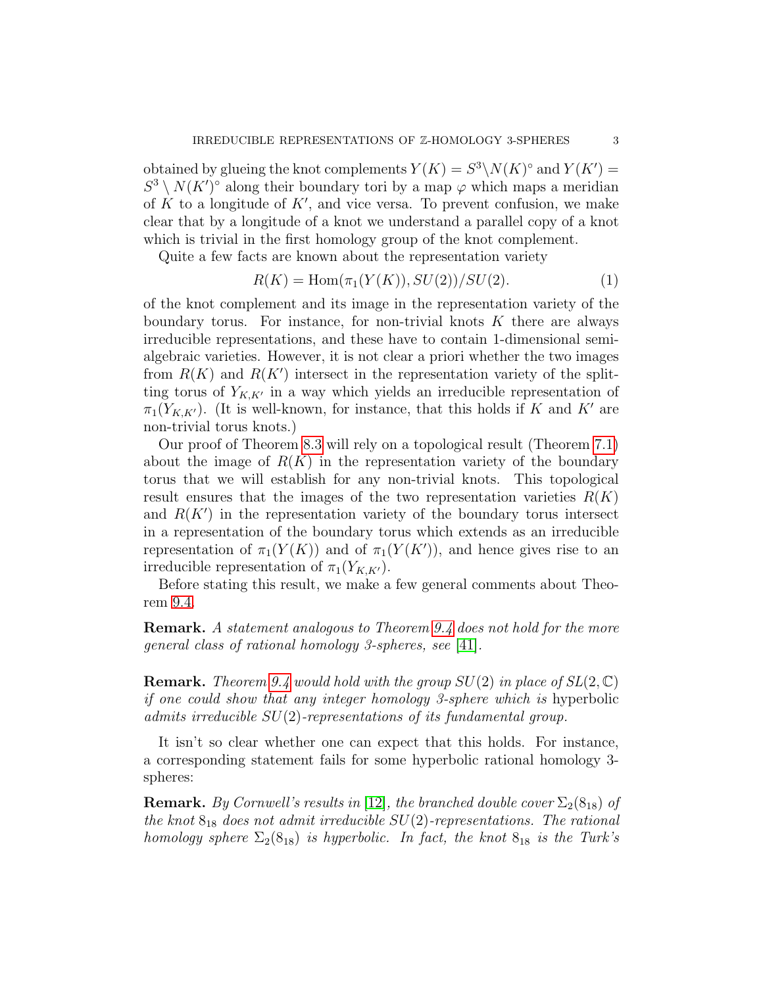obtained by glueing the knot complements  $Y(K) = S^3 \backslash N(K)^{\circ}$  and  $Y(K') =$  $S^3 \setminus N(K')^{\circ}$  along their boundary tori by a map  $\varphi$  which maps a meridian of  $K$  to a longitude of  $K'$ , and vice versa. To prevent confusion, we make clear that by a longitude of a knot we understand a parallel copy of a knot which is trivial in the first homology group of the knot complement.

Quite a few facts are known about the representation variety

<span id="page-2-0"></span>
$$
R(K) = \text{Hom}(\pi_1(Y(K)), SU(2))/SU(2). \tag{1}
$$

of the knot complement and its image in the representation variety of the boundary torus. For instance, for non-trivial knots  $K$  there are always irreducible representations, and these have to contain 1-dimensional semialgebraic varieties. However, it is not clear a priori whether the two images from  $R(K)$  and  $R(K')$  intersect in the representation variety of the splitting torus of  $Y_{K,K'}$  in a way which yields an irreducible representation of  $\pi_1(Y_{K,K'})$ . (It is well-known, for instance, that this holds if K and K' are non-trivial torus knots.)

Our proof of Theorem [8.3](#page-60-0) will rely on a topological result (Theorem [7.1\)](#page-52-0) about the image of  $R(K)$  in the representation variety of the boundary torus that we will establish for any non-trivial knots. This topological result ensures that the images of the two representation varieties  $R(K)$ and  $R(K')$  in the representation variety of the boundary torus intersect in a representation of the boundary torus which extends as an irreducible representation of  $\pi_1(Y(K))$  and of  $\pi_1(Y(K'))$ , and hence gives rise to an irreducible representation of  $\pi_1(Y_{K,K'})$ .

Before stating this result, we make a few general comments about Theorem [9.4.](#page-1-0)

Remark. A statement analogous to Theorem [9.4](#page-1-0) does not hold for the more general class of rational homology 3-spheres, see [\[41\]](#page-69-2).

**Remark.** Theorem [9.4](#page-1-0) would hold with the group  $SU(2)$  in place of  $SL(2,\mathbb{C})$ if one could show that any integer homology 3-sphere which is hyperbolic admits irreducible SU(2)-representations of its fundamental group.

It isn't so clear whether one can expect that this holds. For instance, a corresponding statement fails for some hyperbolic rational homology 3 spheres:

**Remark.** By Cornwell's results in [\[12\]](#page-68-3), the branched double cover  $\Sigma_2(8_{18})$  of the knot  $8_{18}$  does not admit irreducible  $SU(2)$ -representations. The rational homology sphere  $\Sigma_2(8_{18})$  is hyperbolic. In fact, the knot  $8_{18}$  is the Turk's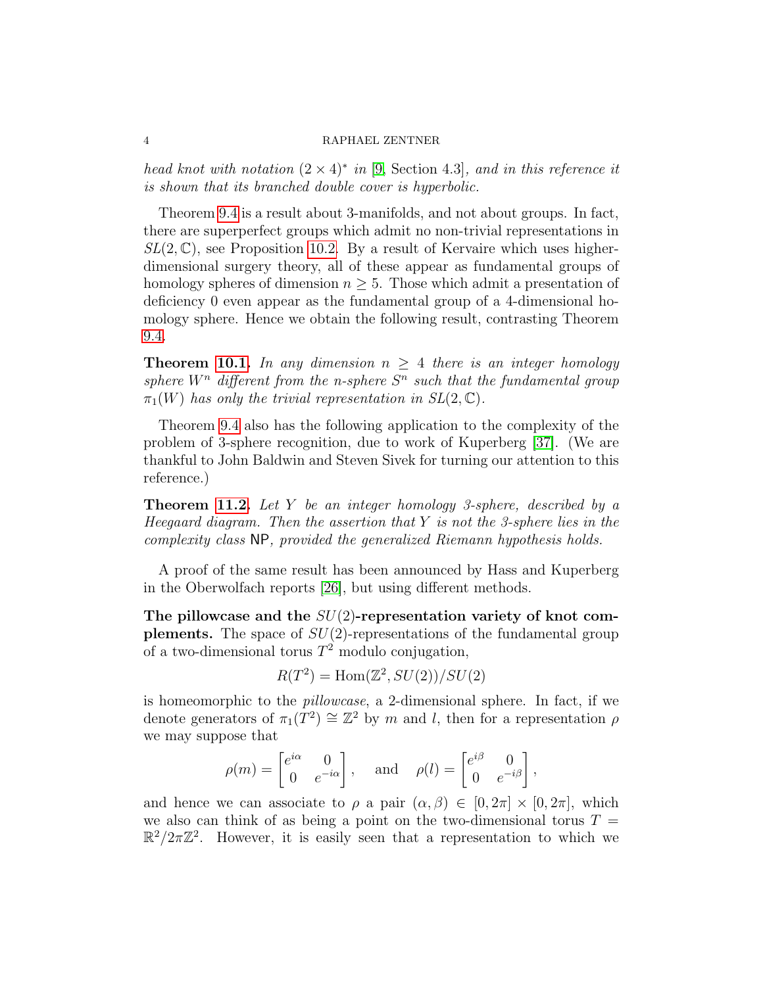head knot with notation  $(2 \times 4)^*$  in [\[9,](#page-68-4) Section 4.3], and in this reference it is shown that its branched double cover is hyperbolic.

Theorem [9.4](#page-1-0) is a result about 3-manifolds, and not about groups. In fact, there are superperfect groups which admit no non-trivial representations in  $SL(2,\mathbb{C})$ , see Proposition [10.2.](#page-65-0) By a result of Kervaire which uses higherdimensional surgery theory, all of these appear as fundamental groups of homology spheres of dimension  $n \geq 5$ . Those which admit a presentation of deficiency 0 even appear as the fundamental group of a 4-dimensional homology sphere. Hence we obtain the following result, contrasting Theorem [9.4.](#page-1-0)

**Theorem [10.1.](#page-64-1)** In any dimension  $n \geq 4$  there is an integer homology sphere  $W^n$  different from the n-sphere  $S^n$  such that the fundamental group  $\pi_1(W)$  has only the trivial representation in  $SL(2,\mathbb{C})$ .

Theorem [9.4](#page-1-0) also has the following application to the complexity of the problem of 3-sphere recognition, due to work of Kuperberg [\[37\]](#page-69-3). (We are thankful to John Baldwin and Steven Sivek for turning our attention to this reference.)

**Theorem [11.2.](#page-67-0)** Let Y be an integer homology 3-sphere, described by a Heegaard diagram. Then the assertion that  $Y$  is not the 3-sphere lies in the complexity class NP, provided the generalized Riemann hypothesis holds.

A proof of the same result has been announced by Hass and Kuperberg in the Oberwolfach reports [\[26\]](#page-69-4), but using different methods.

The pillowcase and the  $SU(2)$ -representation variety of knot complements. The space of  $SU(2)$ -representations of the fundamental group of a two-dimensional torus  $T^2$  modulo conjugation,

$$
R(T^2) = \text{Hom}(\mathbb{Z}^2, SU(2))/SU(2)
$$

is homeomorphic to the pillowcase, a 2-dimensional sphere. In fact, if we denote generators of  $\pi_1(T^2) \cong \mathbb{Z}^2$  by m and l, then for a representation  $\rho$ we may suppose that

$$
\rho(m) = \begin{bmatrix} e^{i\alpha} & 0 \\ 0 & e^{-i\alpha} \end{bmatrix}, \text{ and } \rho(l) = \begin{bmatrix} e^{i\beta} & 0 \\ 0 & e^{-i\beta} \end{bmatrix},
$$

and hence we can associate to  $\rho$  a pair  $(\alpha, \beta) \in [0, 2\pi] \times [0, 2\pi]$ , which we also can think of as being a point on the two-dimensional torus  $T =$  $\mathbb{R}^2/2\pi\mathbb{Z}^2$ . However, it is easily seen that a representation to which we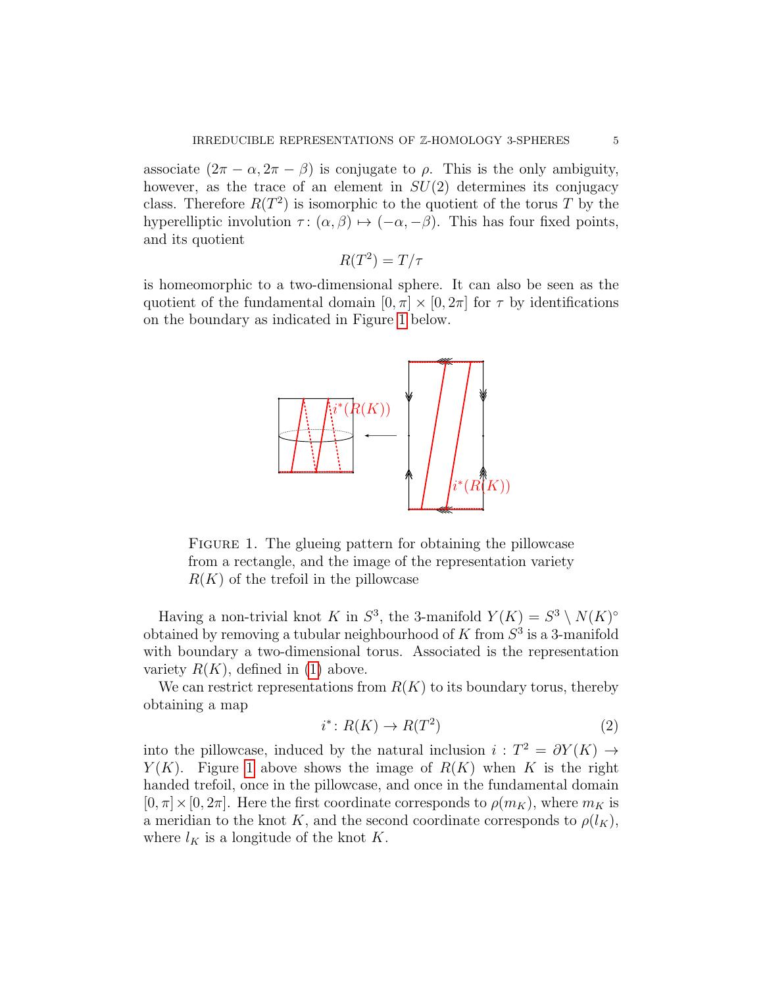associate  $(2\pi - \alpha, 2\pi - \beta)$  is conjugate to  $\rho$ . This is the only ambiguity, however, as the trace of an element in  $SU(2)$  determines its conjugacy class. Therefore  $R(T^2)$  is isomorphic to the quotient of the torus T by the hyperelliptic involution  $\tau : (\alpha, \beta) \mapsto (-\alpha, -\beta)$ . This has four fixed points, and its quotient

$$
R(T^2) = T/\tau
$$

is homeomorphic to a two-dimensional sphere. It can also be seen as the quotient of the fundamental domain  $[0, \pi] \times [0, 2\pi]$  for  $\tau$  by identifications on the boundary as indicated in Figure [1](#page-4-0) below.



<span id="page-4-0"></span>FIGURE 1. The glueing pattern for obtaining the pillowcase from a rectangle, and the image of the representation variety  $R(K)$  of the trefoil in the pillowcase

Having a non-trivial knot K in  $S^3$ , the 3-manifold  $Y(K) = S^3 \setminus N(K)^{\circ}$ obtained by removing a tubular neighbourhood of  $K$  from  $S^3$  is a 3-manifold with boundary a two-dimensional torus. Associated is the representation variety  $R(K)$ , defined in [\(1\)](#page-2-0) above.

We can restrict representations from  $R(K)$  to its boundary torus, thereby obtaining a map

$$
i^* \colon R(K) \to R(T^2)
$$
\n<sup>(2)</sup>

into the pillowcase, induced by the natural inclusion  $i: T^2 = \partial Y(K) \rightarrow$  $Y(K)$ . Figure [1](#page-4-0) above shows the image of  $R(K)$  when K is the right handed trefoil, once in the pillowcase, and once in the fundamental domain  $[0, \pi] \times [0, 2\pi]$ . Here the first coordinate corresponds to  $\rho(m_K)$ , where  $m_K$  is a meridian to the knot K, and the second coordinate corresponds to  $\rho(l_K)$ , where  $l_K$  is a longitude of the knot K.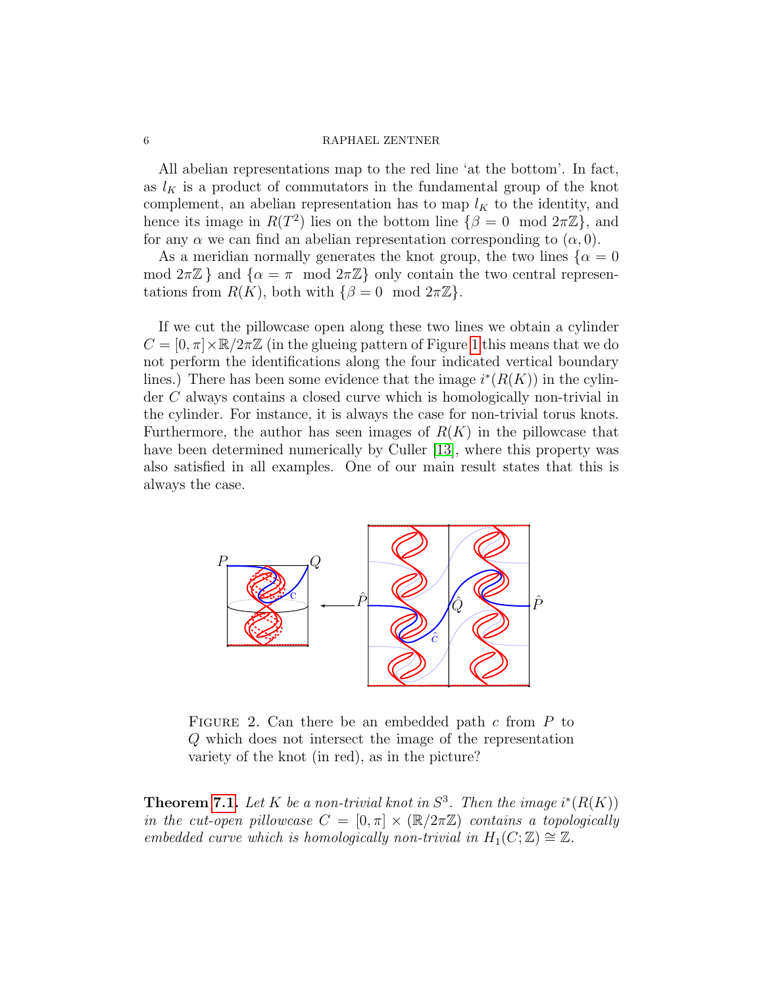All abelian representations map to the red line 'at the bottom'. In fact, as  $l_K$  is a product of commutators in the fundamental group of the knot complement, an abelian representation has to map  $l_K$  to the identity, and hence its image in  $R(T^2)$  lies on the bottom line  $\{\beta = 0 \mod 2\pi \mathbb{Z}\}\,$  and for any  $\alpha$  we can find an abelian representation corresponding to  $(\alpha, 0)$ .

As a meridian normally generates the knot group, the two lines  $\{\alpha = 0\}$ mod  $2\pi\mathbb{Z}$  } and  $\{\alpha = \pi \mod 2\pi\mathbb{Z}\}\$  only contain the two central representations from  $R(K)$ , both with  $\{\beta = 0 \mod 2\pi \mathbb{Z}\}.$ 

If we cut the pillowcase open along these two lines we obtain a cylinder  $C = [0, \pi] \times \mathbb{R}/2\pi\mathbb{Z}$  (in the glueing pattern of Figure [1](#page-4-0) this means that we do not perform the identifications along the four indicated vertical boundary lines.) There has been some evidence that the image  $i^*(R(K))$  in the cylinder C always contains a closed curve which is homologically non-trivial in the cylinder. For instance, it is always the case for non-trivial torus knots. Furthermore, the author has seen images of  $R(K)$  in the pillowcase that have been determined numerically by Culler [\[13\]](#page-68-5), where this property was also satisfied in all examples. One of our main result states that this is always the case.



<span id="page-5-0"></span>FIGURE 2. Can there be an embedded path  $c$  from  $P$  to Q which does not intersect the image of the representation variety of the knot (in red), as in the picture?

<span id="page-5-1"></span>**Theorem [7.1.](#page-52-0)** Let K be a non-trivial knot in  $S^3$ . Then the image  $i^*(R(K))$ in the cut-open pillowcase  $C = [0, \pi] \times (\mathbb{R}/2\pi\mathbb{Z})$  contains a topologically embedded curve which is homologically non-trivial in  $H_1(C;\mathbb{Z}) \cong \mathbb{Z}$ .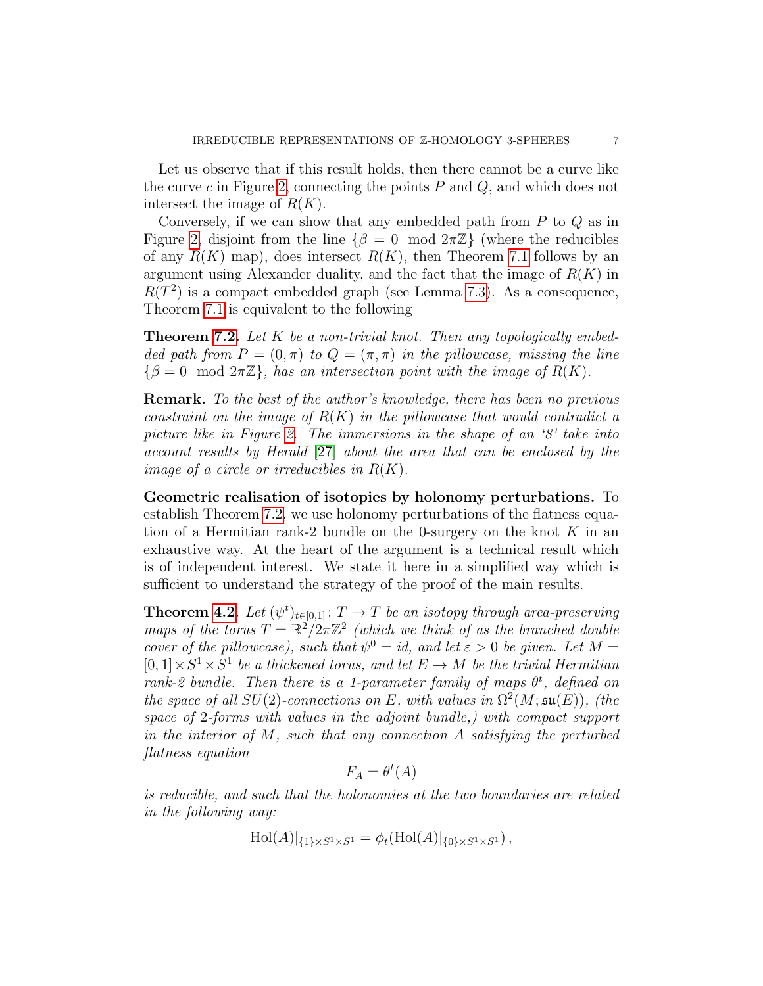Let us observe that if this result holds, then there cannot be a curve like the curve c in Figure [2,](#page-5-0) connecting the points  $P$  and  $Q$ , and which does not intersect the image of  $R(K)$ .

Conversely, if we can show that any embedded path from  $P$  to  $Q$  as in Figure [2,](#page-5-0) disjoint from the line  $\{\beta = 0 \mod 2\pi \mathbb{Z}\}\$  (where the reducibles of any  $R(K)$  map), does intersect  $R(K)$ , then Theorem [7.1](#page-52-0) follows by an argument using Alexander duality, and the fact that the image of  $R(K)$  in  $R(T^2)$  is a compact embedded graph (see Lemma [7.3\)](#page-53-0). As a consequence, Theorem [7.1](#page-52-0) is equivalent to the following

<span id="page-6-1"></span>**Theorem [7.2.](#page-52-1)** Let  $K$  be a non-trivial knot. Then any topologically embedded path from  $P = (0, \pi)$  to  $Q = (\pi, \pi)$  in the pillowcase, missing the line  $\{\beta = 0 \mod 2\pi\mathbb{Z}\},\$  has an intersection point with the image of  $R(K)$ .

Remark. To the best of the author's knowledge, there has been no previous constraint on the image of  $R(K)$  in the pillowcase that would contradict a picture like in Figure [2.](#page-5-0) The immersions in the shape of an '8' take into account results by Herald [\[27\]](#page-69-5) about the area that can be enclosed by the image of a circle or irreducibles in  $R(K)$ .

Geometric realisation of isotopies by holonomy perturbations. To establish Theorem [7.2,](#page-52-1) we use holonomy perturbations of the flatness equation of a Hermitian rank-2 bundle on the 0-surgery on the knot  $K$  in an exhaustive way. At the heart of the argument is a technical result which is of independent interest. We state it here in a simplified way which is sufficient to understand the strategy of the proof of the main results.

<span id="page-6-0"></span>**Theorem [4.2.](#page-36-0)** Let  $(\psi^t)_{t \in [0,1]} : T \to T$  be an isotopy through area-preserving maps of the torus  $T = \mathbb{R}^2/2\pi\mathbb{Z}^2$  (which we think of as the branched double cover of the pillowcase), such that  $\psi^0 = id$ , and let  $\varepsilon > 0$  be given. Let  $M =$  $[0,1] \times S^1 \times S^1$  be a thickened torus, and let  $E \to M$  be the trivial Hermitian rank-2 bundle. Then there is a 1-parameter family of maps  $\theta^t$ , defined on the space of all  $SU(2)$ -connections on E, with values in  $\Omega^2(M;\mathfrak{su}(E))$ , (the space of 2-forms with values in the adjoint bundle,) with compact support in the interior of  $M$ , such that any connection  $A$  satisfying the perturbed flatness equation

$$
F_A = \theta^t(A)
$$

is reducible, and such that the holonomies at the two boundaries are related in the following way:

$$
Hol(A)|_{\{1\} \times S^1 \times S^1} = \phi_t(Hol(A)|_{\{0\} \times S^1 \times S^1}),
$$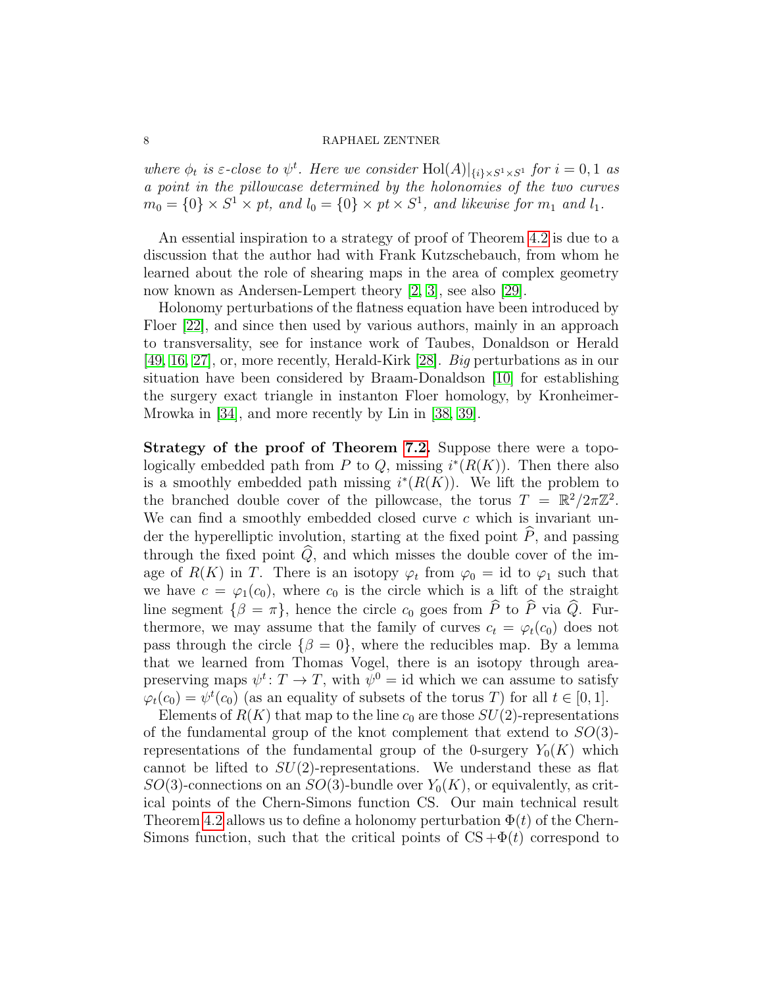where  $\phi_t$  is  $\varepsilon$ -close to  $\psi^t$ . Here we consider  $\text{Hol}(A)|_{\{i\}\times S^1\times S^1}$  for  $i=0,1$  as a point in the pillowcase determined by the holonomies of the two curves  $m_0 = \{0\} \times S^1 \times pt$ , and  $l_0 = \{0\} \times pt \times S^1$ , and likewise for  $m_1$  and  $l_1$ .

An essential inspiration to a strategy of proof of Theorem [4.2](#page-6-0) is due to a discussion that the author had with Frank Kutzschebauch, from whom he learned about the role of shearing maps in the area of complex geometry now known as Andersen-Lempert theory [\[2,](#page-67-1) [3\]](#page-67-2), see also [\[29\]](#page-69-6).

Holonomy perturbations of the flatness equation have been introduced by Floer [\[22\]](#page-68-6), and since then used by various authors, mainly in an approach to transversality, see for instance work of Taubes, Donaldson or Herald [\[49,](#page-70-0) [16,](#page-68-7) [27\]](#page-69-5), or, more recently, Herald-Kirk [\[28\]](#page-69-7). Big perturbations as in our situation have been considered by Braam-Donaldson [\[10\]](#page-68-8) for establishing the surgery exact triangle in instanton Floer homology, by Kronheimer-Mrowka in [\[34\]](#page-69-1), and more recently by Lin in [\[38,](#page-69-8) [39\]](#page-69-9).

Strategy of the proof of Theorem [7.2.](#page-6-1) Suppose there were a topologically embedded path from P to Q, missing  $i^*(R(K))$ . Then there also is a smoothly embedded path missing  $i^*(R(K))$ . We lift the problem to the branched double cover of the pillowcase, the torus  $T = \mathbb{R}^2/2\pi\mathbb{Z}^2$ . We can find a smoothly embedded closed curve  $c$  which is invariant under the hyperelliptic involution, starting at the fixed point  $\widehat{P}$ , and passing through the fixed point  $\widehat{Q}$ , and which misses the double cover of the image of  $R(K)$  in T. There is an isotopy  $\varphi_t$  from  $\varphi_0 = id$  to  $\varphi_1$  such that we have  $c = \varphi_1(c_0)$ , where  $c_0$  is the circle which is a lift of the straight line segment  $\{\beta = \pi\}$ , hence the circle  $c_0$  goes from  $\widehat{P}$  to  $\widehat{P}$  via  $\widehat{Q}$ . Furthermore, we may assume that the family of curves  $c_t = \varphi_t(c_0)$  does not pass through the circle  $\{\beta = 0\}$ , where the reducibles map. By a lemma that we learned from Thomas Vogel, there is an isotopy through areapreserving maps  $\psi^t: T \to T$ , with  $\psi^0 = id$  which we can assume to satisfy  $\varphi_t(c_0) = \psi^t(c_0)$  (as an equality of subsets of the torus T) for all  $t \in [0, 1]$ .

Elements of  $R(K)$  that map to the line  $c_0$  are those  $SU(2)$ -representations of the fundamental group of the knot complement that extend to  $SO(3)$ representations of the fundamental group of the 0-surgery  $Y_0(K)$  which cannot be lifted to  $SU(2)$ -representations. We understand these as flat  $SO(3)$ -connections on an  $SO(3)$ -bundle over  $Y_0(K)$ , or equivalently, as critical points of the Chern-Simons function CS. Our main technical result Theorem [4.2](#page-36-0) allows us to define a holonomy perturbation  $\Phi(t)$  of the Chern-Simons function, such that the critical points of  $CS + \Phi(t)$  correspond to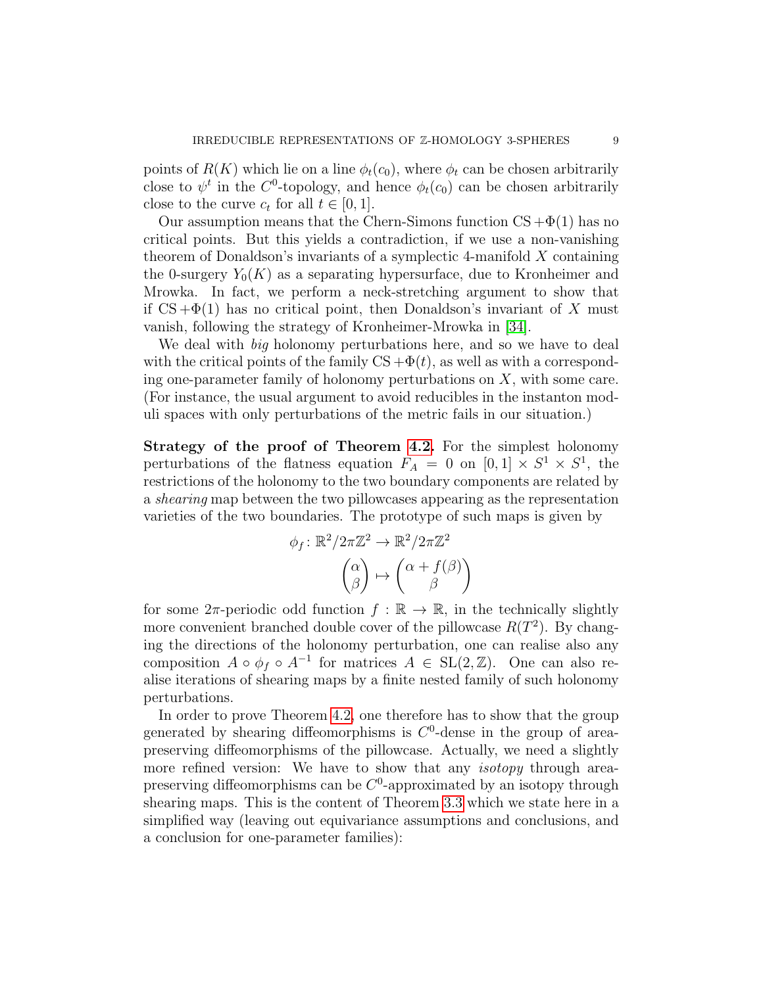points of  $R(K)$  which lie on a line  $\phi_t(c_0)$ , where  $\phi_t$  can be chosen arbitrarily close to  $\psi^t$  in the C<sup>0</sup>-topology, and hence  $\phi_t(c_0)$  can be chosen arbitrarily close to the curve  $c_t$  for all  $t \in [0, 1]$ .

Our assumption means that the Chern-Simons function  $CS + \Phi(1)$  has no critical points. But this yields a contradiction, if we use a non-vanishing theorem of Donaldson's invariants of a symplectic 4-manifold  $X$  containing the 0-surgery  $Y_0(K)$  as a separating hypersurface, due to Kronheimer and Mrowka. In fact, we perform a neck-stretching argument to show that if  $CS + \Phi(1)$  has no critical point, then Donaldson's invariant of X must vanish, following the strategy of Kronheimer-Mrowka in [\[34\]](#page-69-1).

We deal with *big* holonomy perturbations here, and so we have to deal with the critical points of the family  $CS + \Phi(t)$ , as well as with a corresponding one-parameter family of holonomy perturbations on  $X$ , with some care. (For instance, the usual argument to avoid reducibles in the instanton moduli spaces with only perturbations of the metric fails in our situation.)

Strategy of the proof of Theorem [4.2.](#page-6-0) For the simplest holonomy perturbations of the flatness equation  $F_A = 0$  on  $[0,1] \times S^1 \times S^1$ , the restrictions of the holonomy to the two boundary components are related by a shearing map between the two pillowcases appearing as the representation varieties of the two boundaries. The prototype of such maps is given by

$$
\phi_f \colon \mathbb{R}^2 / 2\pi \mathbb{Z}^2 \to \mathbb{R}^2 / 2\pi \mathbb{Z}^2
$$

$$
\begin{pmatrix} \alpha \\ \beta \end{pmatrix} \mapsto \begin{pmatrix} \alpha + f(\beta) \\ \beta \end{pmatrix}
$$

for some  $2\pi$ -periodic odd function  $f : \mathbb{R} \to \mathbb{R}$ , in the technically slightly more convenient branched double cover of the pillowcase  $R(T^2)$ . By changing the directions of the holonomy perturbation, one can realise also any composition  $A \circ \phi_f \circ A^{-1}$  for matrices  $A \in SL(2, \mathbb{Z})$ . One can also realise iterations of shearing maps by a finite nested family of such holonomy perturbations.

In order to prove Theorem [4.2,](#page-6-0) one therefore has to show that the group generated by shearing diffeomorphisms is  $C<sup>0</sup>$ -dense in the group of areapreserving diffeomorphisms of the pillowcase. Actually, we need a slightly more refined version: We have to show that any *isotopy* through areapreserving diffeomorphisms can be  $C^0$ -approximated by an isotopy through shearing maps. This is the content of Theorem [3.3](#page-20-0) which we state here in a simplified way (leaving out equivariance assumptions and conclusions, and a conclusion for one-parameter families):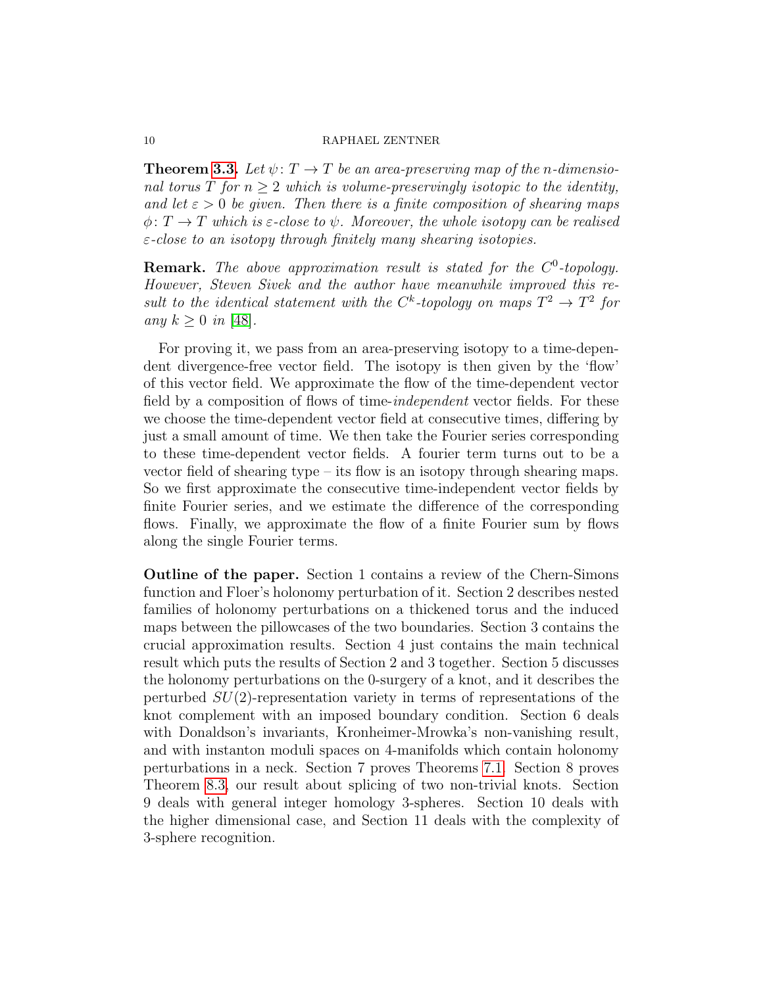**Theorem [3.3.](#page-20-0)** Let  $\psi: T \to T$  be an area-preserving map of the n-dimensional torus  $T$  for  $n > 2$  which is volume-preservingly isotopic to the identity, and let  $\varepsilon > 0$  be given. Then there is a finite composition of shearing maps  $\phi: T \to T$  which is  $\varepsilon$ -close to  $\psi$ . Moreover, the whole isotopy can be realised  $\varepsilon$ -close to an isotopy through finitely many shearing isotopies.

**Remark.** The above approximation result is stated for the  $C^0$ -topology. However, Steven Sivek and the author have meanwhile improved this result to the identical statement with the  $C^k$ -topology on maps  $T^2 \to T^2$  for any  $k \geq 0$  in [\[48\]](#page-70-1).

For proving it, we pass from an area-preserving isotopy to a time-dependent divergence-free vector field. The isotopy is then given by the 'flow' of this vector field. We approximate the flow of the time-dependent vector field by a composition of flows of time-*independent* vector fields. For these we choose the time-dependent vector field at consecutive times, differing by just a small amount of time. We then take the Fourier series corresponding to these time-dependent vector fields. A fourier term turns out to be a vector field of shearing type – its flow is an isotopy through shearing maps. So we first approximate the consecutive time-independent vector fields by finite Fourier series, and we estimate the difference of the corresponding flows. Finally, we approximate the flow of a finite Fourier sum by flows along the single Fourier terms.

Outline of the paper. Section 1 contains a review of the Chern-Simons function and Floer's holonomy perturbation of it. Section 2 describes nested families of holonomy perturbations on a thickened torus and the induced maps between the pillowcases of the two boundaries. Section 3 contains the crucial approximation results. Section 4 just contains the main technical result which puts the results of Section 2 and 3 together. Section 5 discusses the holonomy perturbations on the 0-surgery of a knot, and it describes the perturbed  $SU(2)$ -representation variety in terms of representations of the knot complement with an imposed boundary condition. Section 6 deals with Donaldson's invariants, Kronheimer-Mrowka's non-vanishing result, and with instanton moduli spaces on 4-manifolds which contain holonomy perturbations in a neck. Section 7 proves Theorems [7.1.](#page-5-1) Section 8 proves Theorem [8.3,](#page-1-1) our result about splicing of two non-trivial knots. Section 9 deals with general integer homology 3-spheres. Section 10 deals with the higher dimensional case, and Section 11 deals with the complexity of 3-sphere recognition.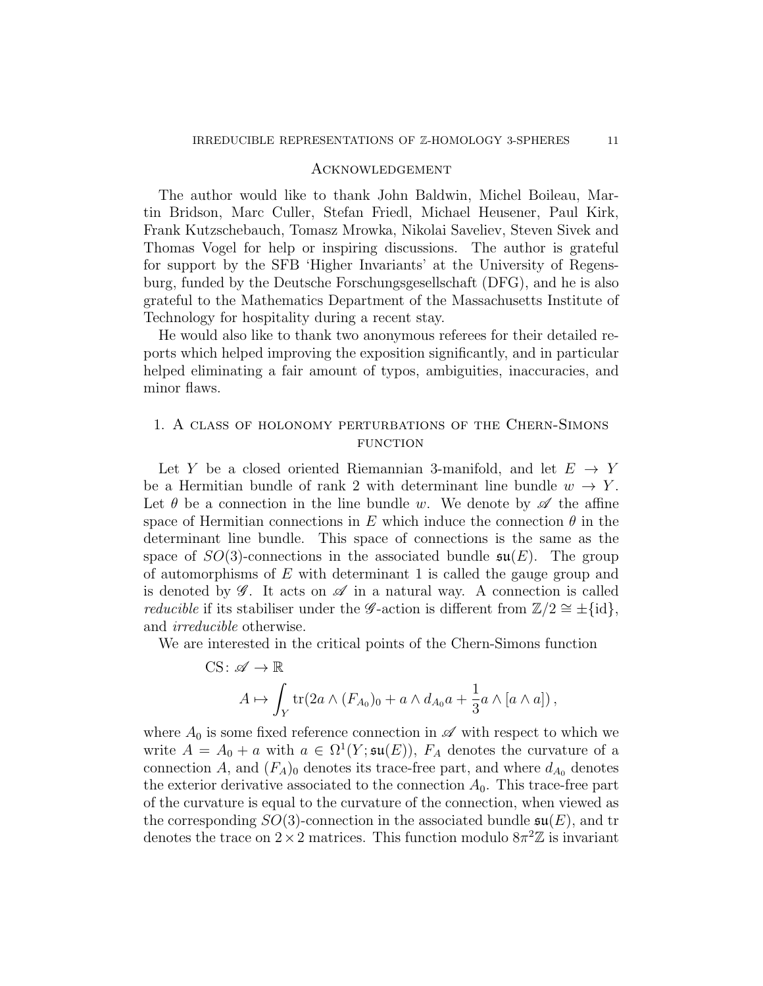## Acknowledgement

The author would like to thank John Baldwin, Michel Boileau, Martin Bridson, Marc Culler, Stefan Friedl, Michael Heusener, Paul Kirk, Frank Kutzschebauch, Tomasz Mrowka, Nikolai Saveliev, Steven Sivek and Thomas Vogel for help or inspiring discussions. The author is grateful for support by the SFB 'Higher Invariants' at the University of Regensburg, funded by the Deutsche Forschungsgesellschaft (DFG), and he is also grateful to the Mathematics Department of the Massachusetts Institute of Technology for hospitality during a recent stay.

He would also like to thank two anonymous referees for their detailed reports which helped improving the exposition significantly, and in particular helped eliminating a fair amount of typos, ambiguities, inaccuracies, and minor flaws.

# <span id="page-10-0"></span>1. A class of holonomy perturbations of the Chern-Simons **FUNCTION**

Let Y be a closed oriented Riemannian 3-manifold, and let  $E \rightarrow Y$ be a Hermitian bundle of rank 2 with determinant line bundle  $w \to Y$ . Let  $\theta$  be a connection in the line bundle w. We denote by  $\mathscr A$  the affine space of Hermitian connections in E which induce the connection  $\theta$  in the determinant line bundle. This space of connections is the same as the space of  $SO(3)$ -connections in the associated bundle  $\mathfrak{su}(E)$ . The group of automorphisms of  $E$  with determinant 1 is called the gauge group and is denoted by  $\mathscr{G}$ . It acts on  $\mathscr{A}$  in a natural way. A connection is called *reducible* if its stabiliser under the G-action is different from  $\mathbb{Z}/2 \cong \pm \{\text{id}\},\$ and irreducible otherwise.

We are interested in the critical points of the Chern-Simons function

CS: 
$$
\mathscr{A} \to \mathbb{R}
$$
  
\n
$$
A \mapsto \int_Y \text{tr}(2a \wedge (F_{A_0})_0 + a \wedge d_{A_0}a + \frac{1}{3}a \wedge [a \wedge a]),
$$

where  $A_0$  is some fixed reference connection in  $\mathscr A$  with respect to which we write  $A = A_0 + a$  with  $a \in \Omega^1(Y; \mathfrak{su}(E))$ ,  $F_A$  denotes the curvature of a connection A, and  $(F_A)_0$  denotes its trace-free part, and where  $d_{A_0}$  denotes the exterior derivative associated to the connection  $A_0$ . This trace-free part of the curvature is equal to the curvature of the connection, when viewed as the corresponding  $SO(3)$ -connection in the associated bundle  $\mathfrak{su}(E)$ , and tr denotes the trace on  $2 \times 2$  matrices. This function modulo  $8\pi^2 \mathbb{Z}$  is invariant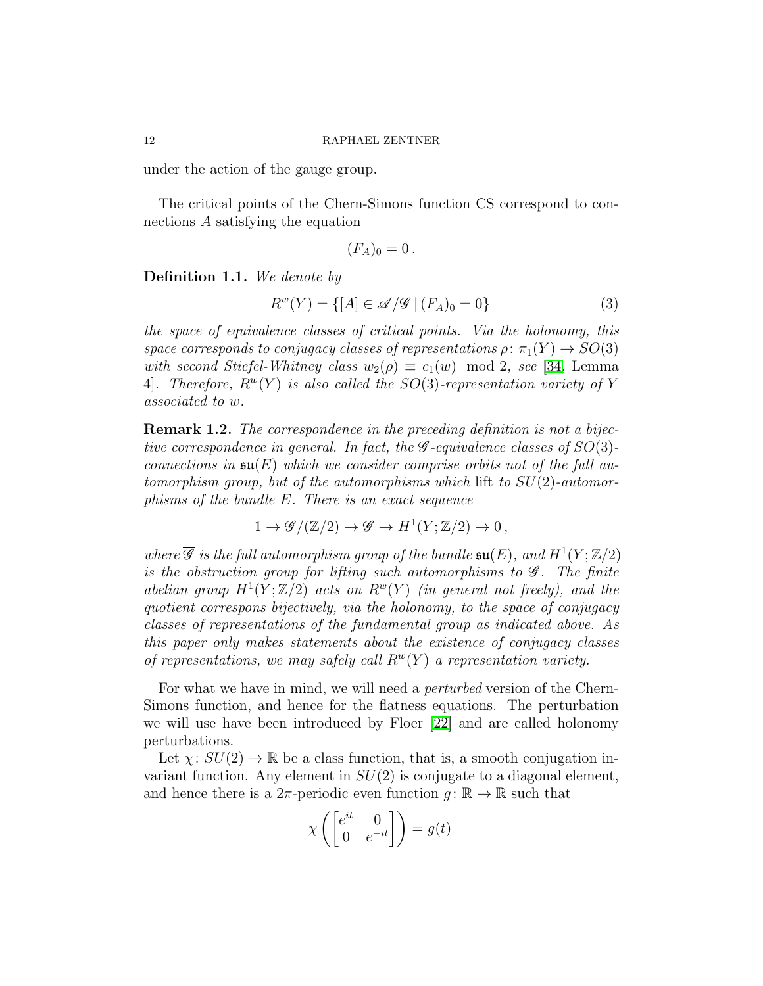under the action of the gauge group.

The critical points of the Chern-Simons function CS correspond to connections A satisfying the equation

$$
(F_A)_0=0.
$$

Definition 1.1. We denote by

$$
R^{w}(Y) = \{ [A] \in \mathcal{A}/\mathcal{G} \mid (F_A)_0 = 0 \}
$$
 (3)

the space of equivalence classes of critical points. Via the holonomy, this space corresponds to conjugacy classes of representations  $\rho: \pi_1(Y) \to SO(3)$ with second Stiefel-Whitney class  $w_2(\rho) \equiv c_1(w) \mod 2$ , see [\[34,](#page-69-1) Lemma 4. Therefore,  $R^{w}(Y)$  is also called the SO(3)-representation variety of Y associated to w.

<span id="page-11-0"></span>Remark 1.2. The correspondence in the preceding definition is not a bijective correspondence in general. In fact, the  $\mathscr G$ -equivalence classes of  $SO(3)$ connections in  $\mathfrak{su}(E)$  which we consider comprise orbits not of the full automorphism group, but of the automorphisms which lift to  $SU(2)$ -automorphisms of the bundle E. There is an exact sequence

$$
1 \to \mathscr{G}/(\mathbb{Z}/2) \to \overline{\mathscr{G}} \to H^1(Y; \mathbb{Z}/2) \to 0,
$$

where  $\overline{\mathscr{G}}$  is the full automorphism group of the bundle  $\mathfrak{su}(E)$ , and  $H^1(Y;\mathbb{Z}/2)$ is the obstruction group for lifting such automorphisms to  $\mathscr G$ . The finite abelian group  $H^1(Y;\mathbb{Z}/2)$  acts on  $R^w(Y)$  (in general not freely), and the quotient correspons bijectively, via the holonomy, to the space of conjugacy classes of representations of the fundamental group as indicated above. As this paper only makes statements about the existence of conjugacy classes of representations, we may safely call  $R^w(Y)$  a representation variety.

For what we have in mind, we will need a perturbed version of the Chern-Simons function, and hence for the flatness equations. The perturbation we will use have been introduced by Floer [\[22\]](#page-68-6) and are called holonomy perturbations.

Let  $\chi: SU(2) \to \mathbb{R}$  be a class function, that is, a smooth conjugation invariant function. Any element in  $SU(2)$  is conjugate to a diagonal element, and hence there is a  $2\pi$ -periodic even function  $g: \mathbb{R} \to \mathbb{R}$  such that

$$
\chi\left(\begin{bmatrix} e^{it} & 0 \\ 0 & e^{-it} \end{bmatrix}\right) = g(t)
$$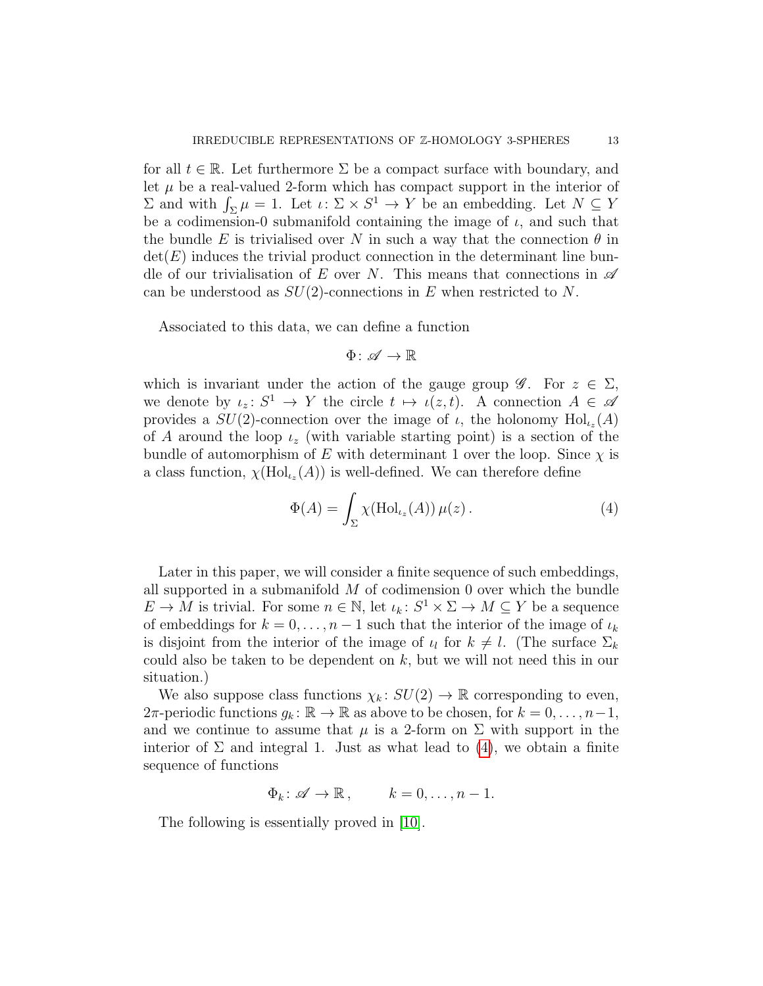for all  $t \in \mathbb{R}$ . Let furthermore  $\Sigma$  be a compact surface with boundary, and let  $\mu$  be a real-valued 2-form which has compact support in the interior of  $\Sigma$  and with  $\int_{\Sigma} \mu = 1$ . Let  $\iota : \Sigma \times S^1 \to Y$  be an embedding. Let  $N \subseteq Y$ be a codimension-0 submanifold containing the image of  $\iota$ , and such that the bundle E is trivialised over N in such a way that the connection  $\theta$  in  $det(E)$  induces the trivial product connection in the determinant line bundle of our trivialisation of E over N. This means that connections in  $\mathscr A$ can be understood as  $SU(2)$ -connections in E when restricted to N.

Associated to this data, we can define a function

$$
\Phi\colon \mathscr{A}\to \mathbb{R}
$$

which is invariant under the action of the gauge group  $\mathscr{G}$ . For  $z \in \Sigma$ , we denote by  $\iota_z \colon S^1 \to Y$  the circle  $t \mapsto \iota(z, t)$ . A connection  $A \in \mathscr{A}$ provides a  $SU(2)$ -connection over the image of  $\iota$ , the holonomy  $\text{Hol}_{\iota_z}(A)$ of A around the loop  $\iota_z$  (with variable starting point) is a section of the bundle of automorphism of E with determinant 1 over the loop. Since  $\chi$  is a class function,  $\chi(\text{Hol}_{\iota_z}(A))$  is well-defined. We can therefore define

<span id="page-12-0"></span>
$$
\Phi(A) = \int_{\Sigma} \chi(\text{Hol}_{\iota_z}(A)) \,\mu(z) \,. \tag{4}
$$

Later in this paper, we will consider a finite sequence of such embeddings, all supported in a submanifold  $M$  of codimension 0 over which the bundle  $E \to M$  is trivial. For some  $n \in \mathbb{N}$ , let  $\iota_k \colon S^1 \times \Sigma \to M \subseteq Y$  be a sequence of embeddings for  $k = 0, \ldots, n-1$  such that the interior of the image of  $\iota_k$ is disjoint from the interior of the image of  $\iota_l$  for  $k \neq l$ . (The surface  $\Sigma_k$ could also be taken to be dependent on  $k$ , but we will not need this in our situation.)

We also suppose class functions  $\chi_k: SU(2) \to \mathbb{R}$  corresponding to even,  $2\pi$ -periodic functions  $g_k: \mathbb{R} \to \mathbb{R}$  as above to be chosen, for  $k = 0, \ldots, n-1$ , and we continue to assume that  $\mu$  is a 2-form on  $\Sigma$  with support in the interior of  $\Sigma$  and integral 1. Just as what lead to [\(4\)](#page-12-0), we obtain a finite sequence of functions

$$
\Phi_k \colon \mathscr{A} \to \mathbb{R}, \qquad k = 0, \dots, n - 1.
$$

The following is essentially proved in [\[10\]](#page-68-8).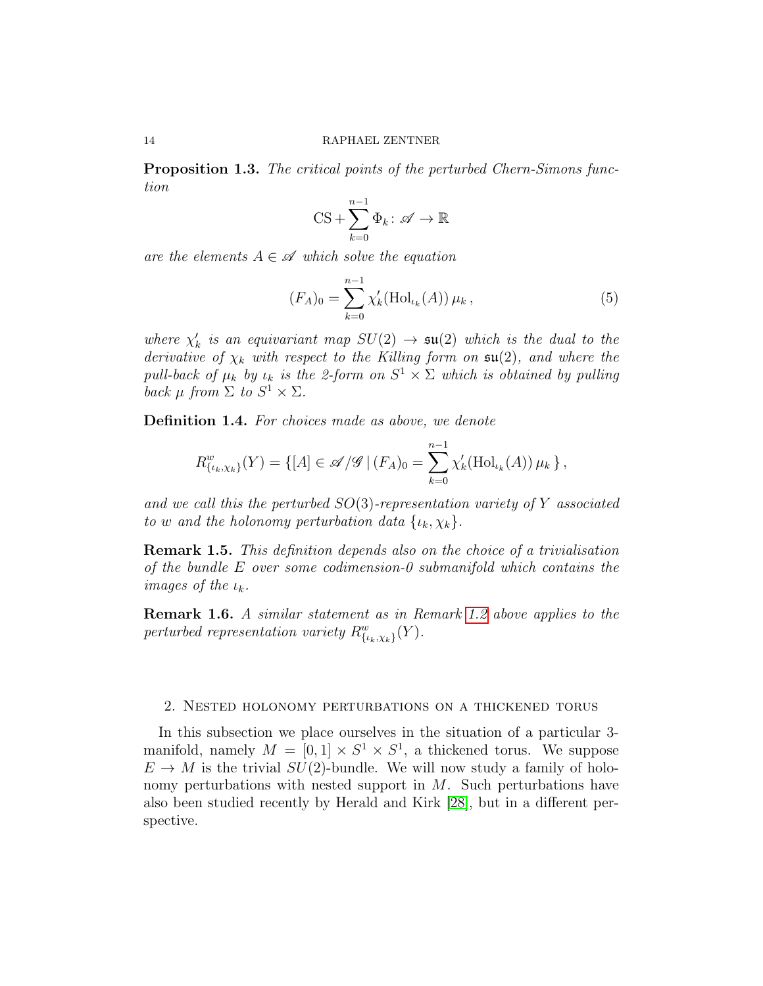<span id="page-13-1"></span>Proposition 1.3. The critical points of the perturbed Chern-Simons function

$$
CS + \sum_{k=0}^{n-1} \Phi_k \colon \mathscr{A} \to \mathbb{R}
$$

are the elements  $A \in \mathcal{A}$  which solve the equation

$$
(F_A)_0 = \sum_{k=0}^{n-1} \chi'_k(\text{Hol}_{\iota_k}(A)) \,\mu_k \,, \tag{5}
$$

where  $\chi'_k$  is an equivariant map  $SU(2) \rightarrow \mathfrak{su}(2)$  which is the dual to the derivative of  $\chi_k$  with respect to the Killing form on  $\mathfrak{su}(2)$ , and where the pull-back of  $\mu_k$  by  $\iota_k$  is the 2-form on  $S^1 \times \Sigma$  which is obtained by pulling back  $\mu$  from  $\Sigma$  to  $S^1 \times \Sigma$ .

Definition 1.4. For choices made as above, we denote

$$
R_{\{\iota_k,\chi_k\}}^w(Y) = \{ [A] \in \mathscr{A}/\mathscr{G} \mid (F_A)_0 = \sum_{k=0}^{n-1} \chi'_k(\text{Hol}_{\iota_k}(A)) \mu_k \},
$$

and we call this the perturbed  $SO(3)$ -representation variety of Y associated to w and the holonomy perturbation data  $\{\iota_k, \chi_k\}.$ 

Remark 1.5. This definition depends also on the choice of a trivialisation of the bundle E over some codimension-0 submanifold which contains the images of the  $\iota_k$ .

Remark 1.6. A similar statement as in Remark [1.2](#page-11-0) above applies to the perturbed representation variety  $R^w_{\{\iota_k,\chi_k\}}(Y)$ .

## <span id="page-13-0"></span>2. Nested holonomy perturbations on a thickened torus

In this subsection we place ourselves in the situation of a particular 3 manifold, namely  $M = [0, 1] \times S^1 \times S^1$ , a thickened torus. We suppose  $E \to M$  is the trivial  $SU(2)$ -bundle. We will now study a family of holonomy perturbations with nested support in  $M$ . Such perturbations have also been studied recently by Herald and Kirk [\[28\]](#page-69-7), but in a different perspective.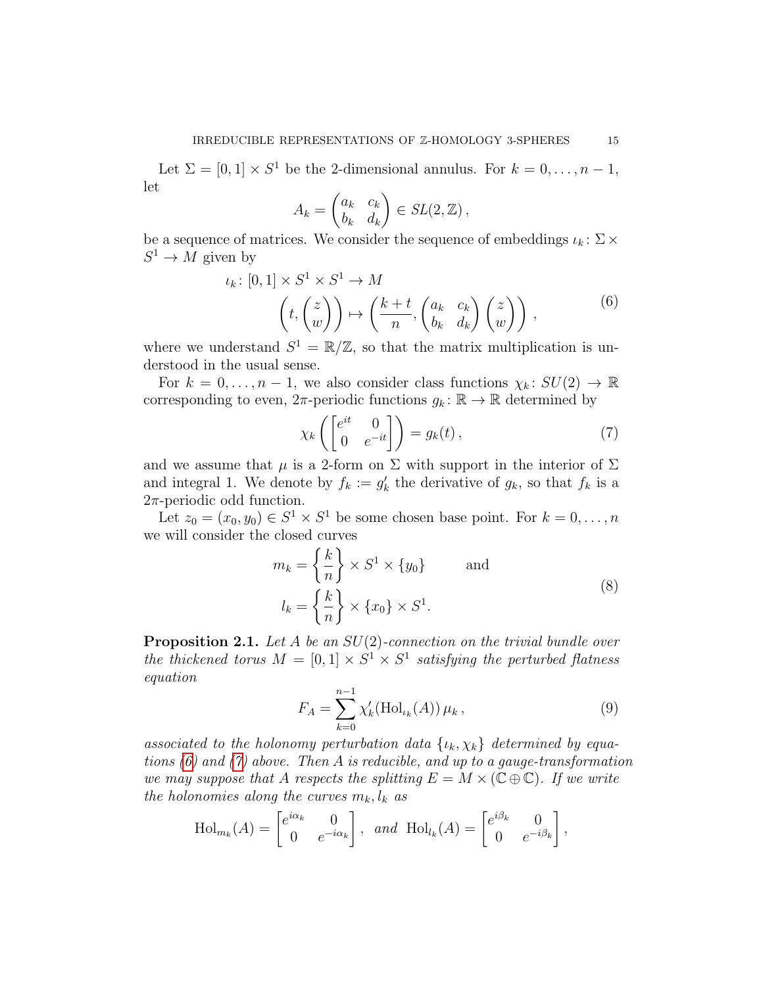Let  $\Sigma = [0,1] \times S^1$  be the 2-dimensional annulus. For  $k = 0, \ldots, n-1$ , let

$$
A_k = \begin{pmatrix} a_k & c_k \\ b_k & d_k \end{pmatrix} \in SL(2, \mathbb{Z}),
$$

be a sequence of matrices. We consider the sequence of embeddings  $\iota_k \colon \Sigma \times$  $S^1 \to M$  given by

$$
\iota_k \colon [0,1] \times S^1 \times S^1 \to M
$$

$$
\left(t, \begin{pmatrix} z \\ w \end{pmatrix}\right) \mapsto \left(\frac{k+t}{n}, \begin{pmatrix} a_k & c_k \\ b_k & d_k \end{pmatrix} \begin{pmatrix} z \\ w \end{pmatrix}\right),
$$
 $(6)$ 

<span id="page-14-0"></span>where we understand  $S^1 = \mathbb{R}/\mathbb{Z}$ , so that the matrix multiplication is understood in the usual sense.

For  $k = 0, \ldots, n-1$ , we also consider class functions  $\chi_k : SU(2) \to \mathbb{R}$ corresponding to even,  $2\pi$ -periodic functions  $g_k : \mathbb{R} \to \mathbb{R}$  determined by

<span id="page-14-1"></span>
$$
\chi_k\left(\begin{bmatrix} e^{it} & 0\\ 0 & e^{-it} \end{bmatrix}\right) = g_k(t),\tag{7}
$$

and we assume that  $\mu$  is a 2-form on  $\Sigma$  with support in the interior of  $\Sigma$ and integral 1. We denote by  $f_k := g'_k$  the derivative of  $g_k$ , so that  $f_k$  is a  $2\pi$ -periodic odd function.

Let  $z_0 = (x_0, y_0) \in S^1 \times S^1$  be some chosen base point. For  $k = 0, \ldots, n$ we will consider the closed curves

$$
m_k = \left\{ \frac{k}{n} \right\} \times S^1 \times \{y_0\} \quad \text{and}
$$

$$
l_k = \left\{ \frac{k}{n} \right\} \times \{x_0\} \times S^1.
$$
 (8)

<span id="page-14-3"></span>**Proposition 2.1.** Let A be an  $SU(2)$ -connection on the trivial bundle over the thickened torus  $M = [0, 1] \times S^1 \times S^1$  satisfying the perturbed flatness equation

<span id="page-14-2"></span>
$$
F_A = \sum_{k=0}^{n-1} \chi'_k(\text{Hol}_{\iota_k}(A)) \,\mu_k \,, \tag{9}
$$

associated to the holonomy perturbation data  $\{\iota_k, \chi_k\}$  determined by equations  $(6)$  and  $(7)$  above. Then A is reducible, and up to a gauge-transformation we may suppose that A respects the splitting  $E = M \times (\mathbb{C} \oplus \mathbb{C})$ . If we write the holonomies along the curves  $m_k, l_k$  as

$$
\text{Hol}_{m_k}(A) = \begin{bmatrix} e^{i\alpha_k} & 0\\ 0 & e^{-i\alpha_k} \end{bmatrix}, \text{ and } \text{Hol}_{l_k}(A) = \begin{bmatrix} e^{i\beta_k} & 0\\ 0 & e^{-i\beta_k} \end{bmatrix},
$$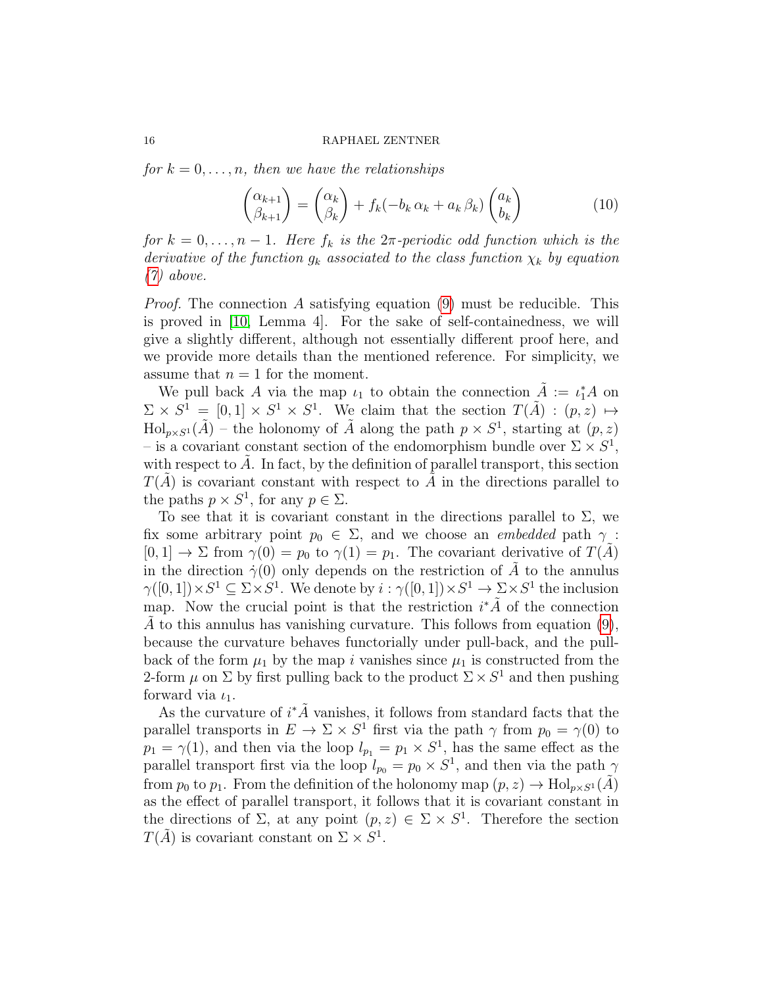for  $k = 0, \ldots, n$ , then we have the relationships

$$
\begin{pmatrix} \alpha_{k+1} \\ \beta_{k+1} \end{pmatrix} = \begin{pmatrix} \alpha_k \\ \beta_k \end{pmatrix} + f_k(-b_k \alpha_k + a_k \beta_k) \begin{pmatrix} a_k \\ b_k \end{pmatrix}
$$
 (10)

for  $k = 0, \ldots, n - 1$ . Here  $f_k$  is the  $2\pi$ -periodic odd function which is the derivative of the function  $g_k$  associated to the class function  $\chi_k$  by equation [\(7\)](#page-14-1) above.

*Proof.* The connection A satisfying equation [\(9\)](#page-14-2) must be reducible. This is proved in [\[10,](#page-68-8) Lemma 4]. For the sake of self-containedness, we will give a slightly different, although not essentially different proof here, and we provide more details than the mentioned reference. For simplicity, we assume that  $n = 1$  for the moment.

We pull back A via the map  $\iota_1$  to obtain the connection  $\tilde{A} := \iota_1^* A$  on  $\Sigma \times S^1 = [0,1] \times S^1 \times S^1$ . We claim that the section  $T(\tilde{A}) : (p, z) \mapsto$  $\text{Hol}_{p\times S^1}(\tilde{A})$  – the holonomy of  $\tilde{A}$  along the path  $p\times S^1$ , starting at  $(p, z)$ – is a covariant constant section of the endomorphism bundle over  $\Sigma \times S^1$ , with respect to  $A$ . In fact, by the definition of parallel transport, this section  $T(A)$  is covariant constant with respect to A in the directions parallel to the paths  $p \times S^1$ , for any  $p \in \Sigma$ .

To see that it is covariant constant in the directions parallel to  $\Sigma$ , we fix some arbitrary point  $p_0 \in \Sigma$ , and we choose an *embedded* path  $\gamma$ :  $[0, 1] \rightarrow \Sigma$  from  $\gamma(0) = p_0$  to  $\gamma(1) = p_1$ . The covariant derivative of  $T(A)$ in the direction  $\dot{\gamma}(0)$  only depends on the restriction of  $\ddot{A}$  to the annulus  $\gamma([0,1])\times S^1 \subseteq \Sigma \times S^1$ . We denote by  $i : \gamma([0,1]) \times S^1 \to \Sigma \times S^1$  the inclusion map. Now the crucial point is that the restriction  $i^*\tilde{A}$  of the connection A to this annulus has vanishing curvature. This follows from equation  $(9)$ , because the curvature behaves functorially under pull-back, and the pullback of the form  $\mu_1$  by the map i vanishes since  $\mu_1$  is constructed from the 2-form  $\mu$  on  $\Sigma$  by first pulling back to the product  $\Sigma \times S^1$  and then pushing forward via  $\iota_1$ .

As the curvature of  $i^*\tilde{A}$  vanishes, it follows from standard facts that the parallel transports in  $E \to \Sigma \times S^1$  first via the path  $\gamma$  from  $p_0 = \gamma(0)$  to  $p_1 = \gamma(1)$ , and then via the loop  $l_{p_1} = p_1 \times S^1$ , has the same effect as the parallel transport first via the loop  $l_{p_0} = p_0 \times S^1$ , and then via the path  $\gamma$ from  $p_0$  to  $p_1$ . From the definition of the holonomy map  $(p, z) \to Hol_{p \times S^1}(\tilde{A})$ as the effect of parallel transport, it follows that it is covariant constant in the directions of  $\Sigma$ , at any point  $(p, z) \in \Sigma \times S^1$ . Therefore the section  $T(\tilde{A})$  is covariant constant on  $\Sigma \times S^1$ .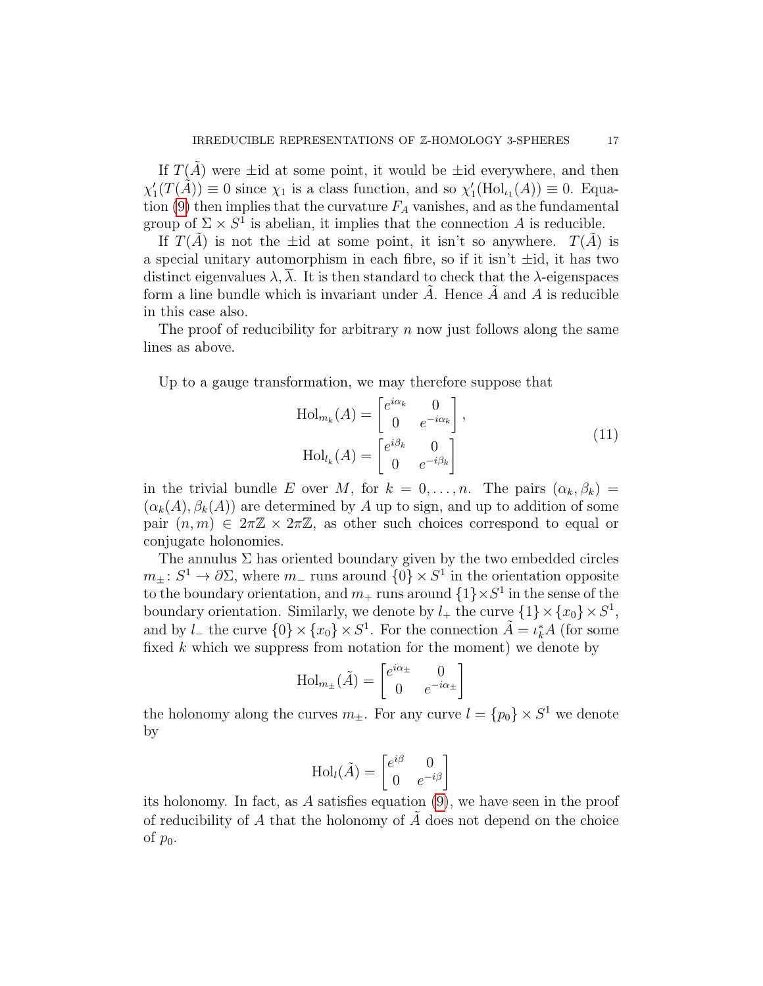If  $T(\tilde{A})$  were  $\pm$ id at some point, it would be  $\pm$ id everywhere, and then  $\chi'_1(T(\tilde{A})) \equiv 0$  since  $\chi_1$  is a class function, and so  $\chi'_1(\text{Hol}_{\iota_1}(A)) \equiv 0$ . Equa-tion [\(9\)](#page-14-2) then implies that the curvature  $F_A$  vanishes, and as the fundamental group of  $\Sigma \times S^1$  is abelian, it implies that the connection A is reducible.

If  $T(\tilde{A})$  is not the ±id at some point, it isn't so anywhere.  $T(\tilde{A})$  is a special unitary automorphism in each fibre, so if it isn't  $\pm id$ , it has two distinct eigenvalues  $\lambda$ ,  $\lambda$ . It is then standard to check that the  $\lambda$ -eigenspaces form a line bundle which is invariant under  $A$ . Hence  $A$  and  $A$  is reducible in this case also.

The proof of reducibility for arbitrary  $n$  now just follows along the same lines as above.

Up to a gauge transformation, we may therefore suppose that

$$
\text{Hol}_{m_k}(A) = \begin{bmatrix} e^{i\alpha_k} & 0\\ 0 & e^{-i\alpha_k} \end{bmatrix},
$$

$$
\text{Hol}_{l_k}(A) = \begin{bmatrix} e^{i\beta_k} & 0\\ 0 & e^{-i\beta_k} \end{bmatrix}
$$
(11)

in the trivial bundle E over M, for  $k = 0, \ldots, n$ . The pairs  $(\alpha_k, \beta_k)$  $(\alpha_k(A), \beta_k(A))$  are determined by A up to sign, and up to addition of some pair  $(n, m) \in 2\pi\mathbb{Z} \times 2\pi\mathbb{Z}$ , as other such choices correspond to equal or conjugate holonomies.

The annulus  $\Sigma$  has oriented boundary given by the two embedded circles  $m_{\pm} : S^1 \to \partial \Sigma$ , where  $m_{-}$  runs around  $\{0\} \times S^1$  in the orientation opposite to the boundary orientation, and  $m_+$  runs around  $\{1\}\times S^1$  in the sense of the boundary orientation. Similarly, we denote by  $l_+$  the curve  $\{1\} \times \{x_0\} \times S^1$ , and by  $l_{-}$  the curve  $\{0\} \times \{x_0\} \times S^1$ . For the connection  $\tilde{A} = \iota_k^* A$  (for some fixed  $k$  which we suppress from notation for the moment) we denote by

$$
\text{Hol}_{m_{\pm}}(\tilde{A}) = \begin{bmatrix} e^{i\alpha_{\pm}} & 0\\ 0 & e^{-i\alpha_{\pm}} \end{bmatrix}
$$

the holonomy along the curves  $m_{\pm}$ . For any curve  $l = \{p_0\} \times S^1$  we denote by

$$
\text{Hol}_{l}(\tilde{A}) = \begin{bmatrix} e^{i\beta} & 0\\ 0 & e^{-i\beta} \end{bmatrix}
$$

its holonomy. In fact, as A satisfies equation [\(9\)](#page-14-2), we have seen in the proof of reducibility of  $A$  that the holonomy of  $A$  does not depend on the choice of  $p_0$ .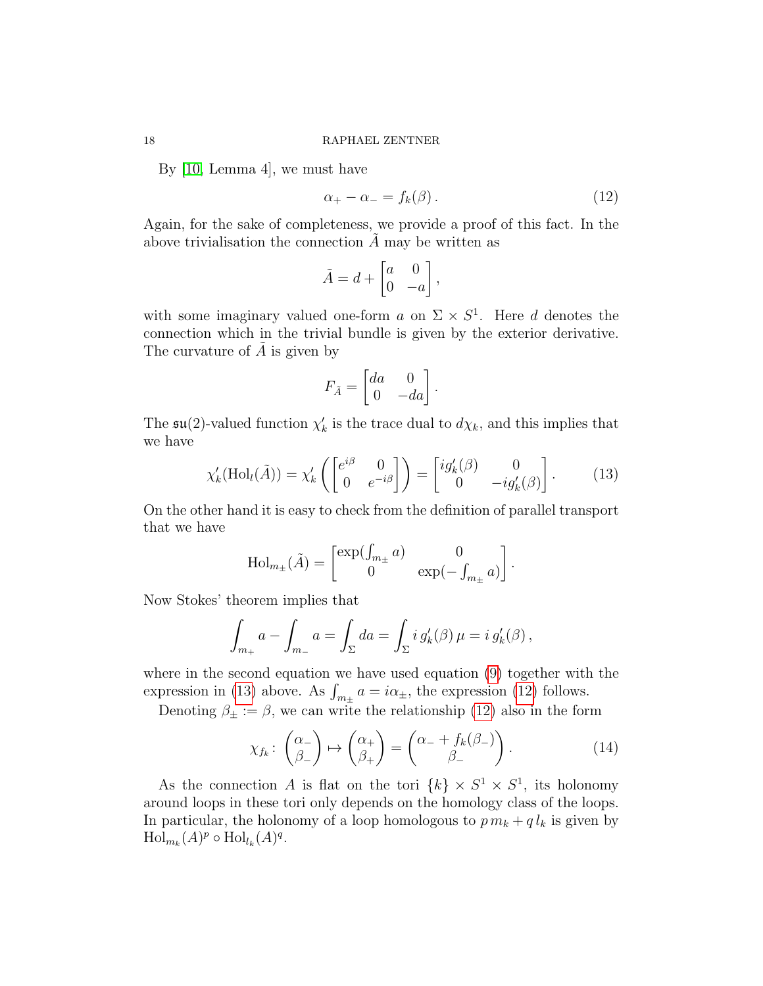By [\[10,](#page-68-8) Lemma 4], we must have

<span id="page-17-1"></span>
$$
\alpha_+ - \alpha_- = f_k(\beta). \tag{12}
$$

Again, for the sake of completeness, we provide a proof of this fact. In the above trivialisation the connection  $A$  may be written as

$$
\tilde{A} = d + \begin{bmatrix} a & 0 \\ 0 & -a \end{bmatrix},
$$

with some imaginary valued one-form a on  $\Sigma \times S^1$ . Here d denotes the connection which in the trivial bundle is given by the exterior derivative. The curvature of  $A$  is given by

$$
F_{\tilde{A}} = \begin{bmatrix} da & 0 \\ 0 & -da \end{bmatrix}.
$$

The  $\mathfrak{su}(2)$ -valued function  $\chi'_k$  is the trace dual to  $d\chi_k$ , and this implies that we have

<span id="page-17-0"></span>
$$
\chi'_{k}(\text{Hol}_{l}(\tilde{A})) = \chi'_{k}\left(\begin{bmatrix} e^{i\beta} & 0\\ 0 & e^{-i\beta} \end{bmatrix}\right) = \begin{bmatrix} ig'_{k}(\beta) & 0\\ 0 & -ig'_{k}(\beta) \end{bmatrix}.
$$
 (13)

On the other hand it is easy to check from the definition of parallel transport that we have

$$
\text{Hol}_{m_{\pm}}(\tilde{A}) = \begin{bmatrix} \exp(\int_{m_{\pm}} a) & 0 \\ 0 & \exp(-\int_{m_{\pm}} a) \end{bmatrix}.
$$

Now Stokes' theorem implies that

$$
\int_{m_+} a - \int_{m_-} a = \int_{\Sigma} da = \int_{\Sigma} i g'_k(\beta) \mu = i g'_k(\beta),
$$

where in the second equation we have used equation [\(9\)](#page-14-2) together with the expression in [\(13\)](#page-17-0) above. As  $\int_{m_\pm} a = i\alpha_\pm$ , the expression [\(12\)](#page-17-1) follows.

Denoting  $\beta_{\pm} := \beta$ , we can write the relationship [\(12\)](#page-17-1) also in the form

<span id="page-17-2"></span>
$$
\chi_{f_k} \colon \begin{pmatrix} \alpha_- \\ \beta_- \end{pmatrix} \mapsto \begin{pmatrix} \alpha_+ \\ \beta_+ \end{pmatrix} = \begin{pmatrix} \alpha_- + f_k(\beta_-) \\ \beta_- \end{pmatrix} . \tag{14}
$$

As the connection A is flat on the tori  $\{k\} \times S^1 \times S^1$ , its holonomy around loops in these tori only depends on the homology class of the loops. In particular, the holonomy of a loop homologous to  $p m_k + q l_k$  is given by  $\mathrm{Hol}_{m_k}(A)^p \circ \mathrm{Hol}_{l_k}(A)^q.$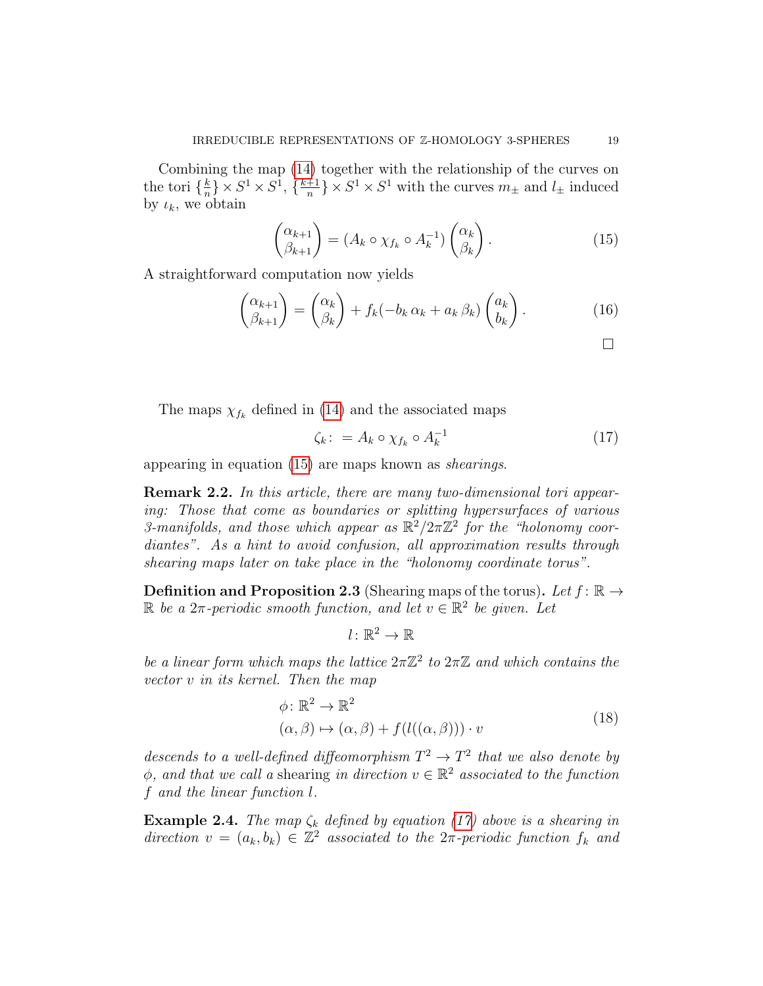Combining the map [\(14\)](#page-17-2) together with the relationship of the curves on the tori  $\{\frac{k}{n}\}$  $\frac{k}{n}$   $\times S^1 \times S^1$ ,  $\{\frac{k+1}{n}$  $\frac{+1}{n}$   $\times S^1 \times S^1$  with the curves  $m_{\pm}$  and  $l_{\pm}$  induced by  $\iota_k$ , we obtain

<span id="page-18-0"></span>
$$
\begin{pmatrix} \alpha_{k+1} \\ \beta_{k+1} \end{pmatrix} = (A_k \circ \chi_{f_k} \circ A_k^{-1}) \begin{pmatrix} \alpha_k \\ \beta_k \end{pmatrix} . \tag{15}
$$

A straightforward computation now yields

$$
\begin{pmatrix} \alpha_{k+1} \\ \beta_{k+1} \end{pmatrix} = \begin{pmatrix} \alpha_k \\ \beta_k \end{pmatrix} + f_k(-b_k \alpha_k + a_k \beta_k) \begin{pmatrix} a_k \\ b_k \end{pmatrix}.
$$
 (16)

The maps  $\chi_{f_k}$  defined in [\(14\)](#page-17-2) and the associated maps

<span id="page-18-1"></span>
$$
\zeta_k \colon = A_k \circ \chi_{f_k} \circ A_k^{-1} \tag{17}
$$

appearing in equation [\(15\)](#page-18-0) are maps known as shearings.

Remark 2.2. In this article, there are many two-dimensional tori appearing: Those that come as boundaries or splitting hypersurfaces of various 3-manifolds, and those which appear as  $\mathbb{R}^2/2\pi\mathbb{Z}^2$  for the "holonomy coordiantes". As a hint to avoid confusion, all approximation results through shearing maps later on take place in the "holonomy coordinate torus".

**Definition and Proposition 2.3** (Shearing maps of the torus). Let  $f: \mathbb{R} \to$  $\mathbb R$  be a  $2\pi$ -periodic smooth function, and let  $v \in \mathbb R^2$  be given. Let

$$
l\colon \mathbb{R}^2\to \mathbb{R}
$$

be a linear form which maps the lattice  $2\pi\mathbb{Z}^2$  to  $2\pi\mathbb{Z}$  and which contains the vector v in its kernel. Then the map

$$
\phi: \mathbb{R}^2 \to \mathbb{R}^2
$$
  
\n
$$
(\alpha, \beta) \mapsto (\alpha, \beta) + f(l((\alpha, \beta))) \cdot v
$$
\n(18)

descends to a well-defined diffeomorphism  $T^2 \to T^2$  that we also denote by  $\phi$ , and that we call a shearing in direction  $v \in \mathbb{R}^2$  associated to the function f and the linear function l.

**Example 2.4.** The map  $\zeta_k$  defined by equation [\(17\)](#page-18-1) above is a shearing in direction  $v = (a_k, b_k) \in \mathbb{Z}^2$  associated to the  $2\pi$ -periodic function  $f_k$  and

 $\Box$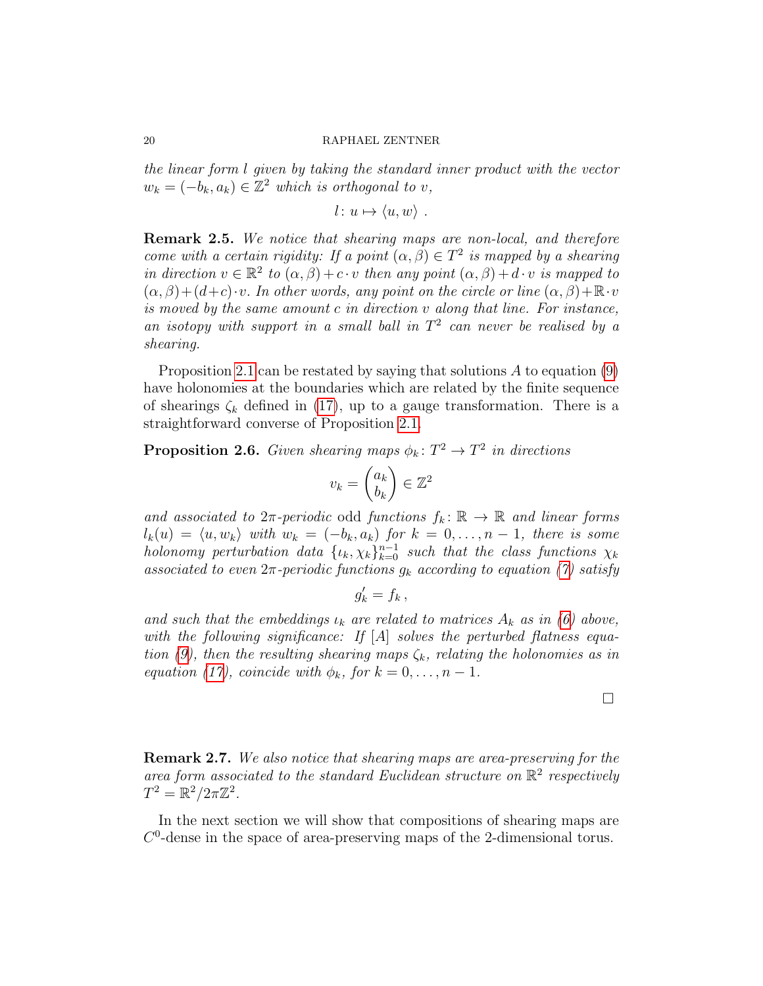the linear form l given by taking the standard inner product with the vector  $w_k = (-b_k, a_k) \in \mathbb{Z}^2$  which is orthogonal to v,

$$
l: u \mapsto \langle u, w \rangle .
$$

Remark 2.5. We notice that shearing maps are non-local, and therefore come with a certain rigidity: If a point  $(\alpha, \beta) \in T^2$  is mapped by a shearing in direction  $v \in \mathbb{R}^2$  to  $(\alpha, \beta) + c \cdot v$  then any point  $(\alpha, \beta) + d \cdot v$  is mapped to  $(\alpha, \beta) + (d+c) \cdot v$ . In other words, any point on the circle or line  $(\alpha, \beta) + \mathbb{R} \cdot v$ is moved by the same amount c in direction v along that line. For instance, an isotopy with support in a small ball in  $T^2$  can never be realised by a shearing.

Proposition [2.1](#page-14-3) can be restated by saying that solutions  $A$  to equation [\(9\)](#page-14-2) have holonomies at the boundaries which are related by the finite sequence of shearings  $\zeta_k$  defined in [\(17\)](#page-18-1), up to a gauge transformation. There is a straightforward converse of Proposition [2.1.](#page-14-3)

<span id="page-19-0"></span>**Proposition 2.6.** Given shearing maps  $\phi_k \colon T^2 \to T^2$  in directions

$$
v_k = \begin{pmatrix} a_k \\ b_k \end{pmatrix} \in \mathbb{Z}^2
$$

and associated to  $2\pi$ -periodic odd functions  $f_k: \mathbb{R} \to \mathbb{R}$  and linear forms  $l_k(u) = \langle u, w_k \rangle$  with  $w_k = (-b_k, a_k)$  for  $k = 0, \ldots, n - 1$ , there is some holonomy perturbation data  $\{u_k, \chi_k\}_{k=0}^{n-1}$  such that the class functions  $\chi_k$ associated to even  $2\pi$ -periodic functions  $g_k$  according to equation [\(7\)](#page-14-1) satisfy

$$
g'_k = f_k \,,
$$

and such that the embeddings  $\iota_k$  are related to matrices  $A_k$  as in [\(6\)](#page-14-0) above, with the following significance: If  $[A]$  solves the perturbed flatness equa-tion [\(9\)](#page-14-2), then the resulting shearing maps  $\zeta_k$ , relating the holonomies as in equation [\(17\)](#page-18-1), coincide with  $\phi_k$ , for  $k = 0, \ldots, n - 1$ .

 $\Box$ 

Remark 2.7. We also notice that shearing maps are area-preserving for the area form associated to the standard Euclidean structure on  $\mathbb{R}^2$  respectively  $T^2 = \mathbb{R}^2 / 2\pi \mathbb{Z}^2$ .

In the next section we will show that compositions of shearing maps are  $C<sup>0</sup>$ -dense in the space of area-preserving maps of the 2-dimensional torus.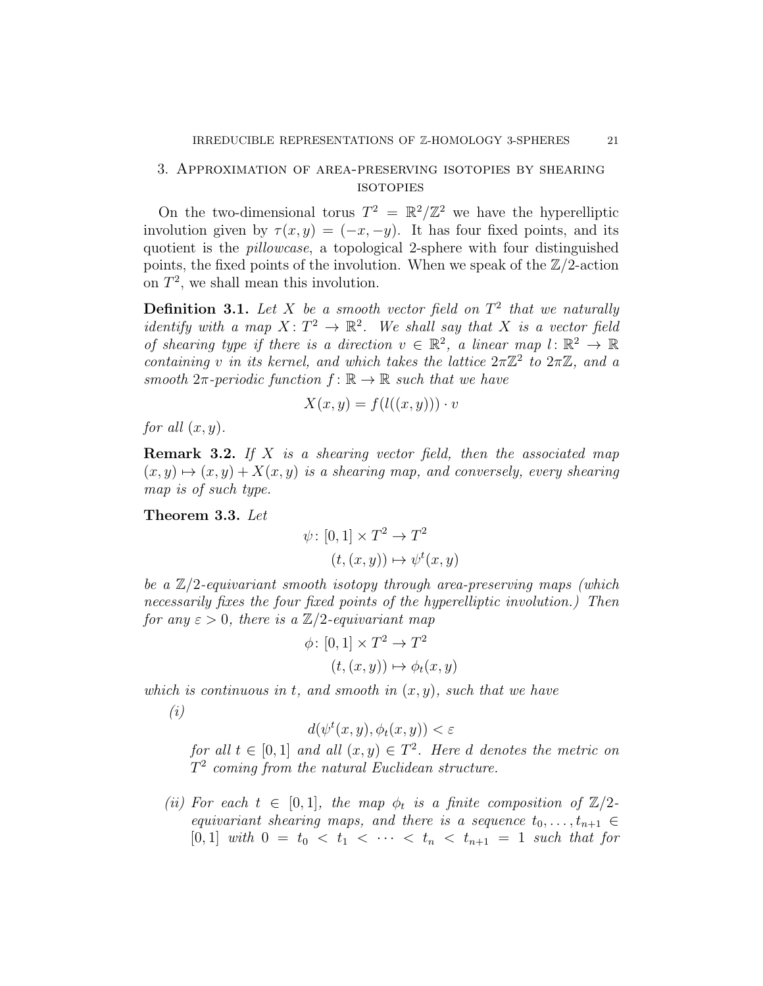# <span id="page-20-1"></span>3. Approximation of area-preserving isotopies by shearing **ISOTOPIES**

On the two-dimensional torus  $T^2 = \mathbb{R}^2/\mathbb{Z}^2$  we have the hyperelliptic involution given by  $\tau(x, y) = (-x, -y)$ . It has four fixed points, and its quotient is the pillowcase, a topological 2-sphere with four distinguished points, the fixed points of the involution. When we speak of the  $\mathbb{Z}/2$ -action on  $T^2$ , we shall mean this involution.

**Definition 3.1.** Let X be a smooth vector field on  $T^2$  that we naturally identify with a map  $X\colon T^2\to \mathbb{R}^2$ . We shall say that X is a vector field of shearing type if there is a direction  $v \in \mathbb{R}^2$ , a linear map  $l: \mathbb{R}^2 \to \mathbb{R}$ containing v in its kernel, and which takes the lattice  $2\pi\mathbb{Z}^2$  to  $2\pi\mathbb{Z}$ , and a smooth  $2\pi$ -periodic function  $f: \mathbb{R} \to \mathbb{R}$  such that we have

$$
X(x, y) = f(l((x, y))) \cdot v
$$

for all  $(x, y)$ .

**Remark 3.2.** If X is a shearing vector field, then the associated map  $(x, y) \mapsto (x, y) + X(x, y)$  is a shearing map, and conversely, every shearing map is of such type.

<span id="page-20-0"></span>Theorem 3.3. Let

$$
\psi: [0,1] \times T^2 \to T^2
$$

$$
(t,(x,y)) \mapsto \psi^t(x,y)
$$

be a  $\mathbb{Z}/2$ -equivariant smooth isotopy through area-preserving maps (which necessarily fixes the four fixed points of the hyperelliptic involution.) Then for any  $\varepsilon > 0$ , there is a  $\mathbb{Z}/2$ -equivariant map

$$
\phi \colon [0,1] \times T^2 \to T^2
$$

$$
(t,(x,y)) \mapsto \phi_t(x,y)
$$

which is continuous in t, and smooth in  $(x, y)$ , such that we have

(i)

$$
d(\psi^t(x, y), \phi_t(x, y)) < \varepsilon
$$

for all  $t \in [0,1]$  and all  $(x,y) \in T^2$ . Here d denotes the metric on  $T^2$  coming from the natural Euclidean structure.

(ii) For each  $t \in [0,1]$ , the map  $\phi_t$  is a finite composition of  $\mathbb{Z}/2$ equivariant shearing maps, and there is a sequence  $t_0, \ldots, t_{n+1} \in$  $[0, 1]$  with  $0 = t_0 < t_1 < \cdots < t_n < t_{n+1} = 1$  such that for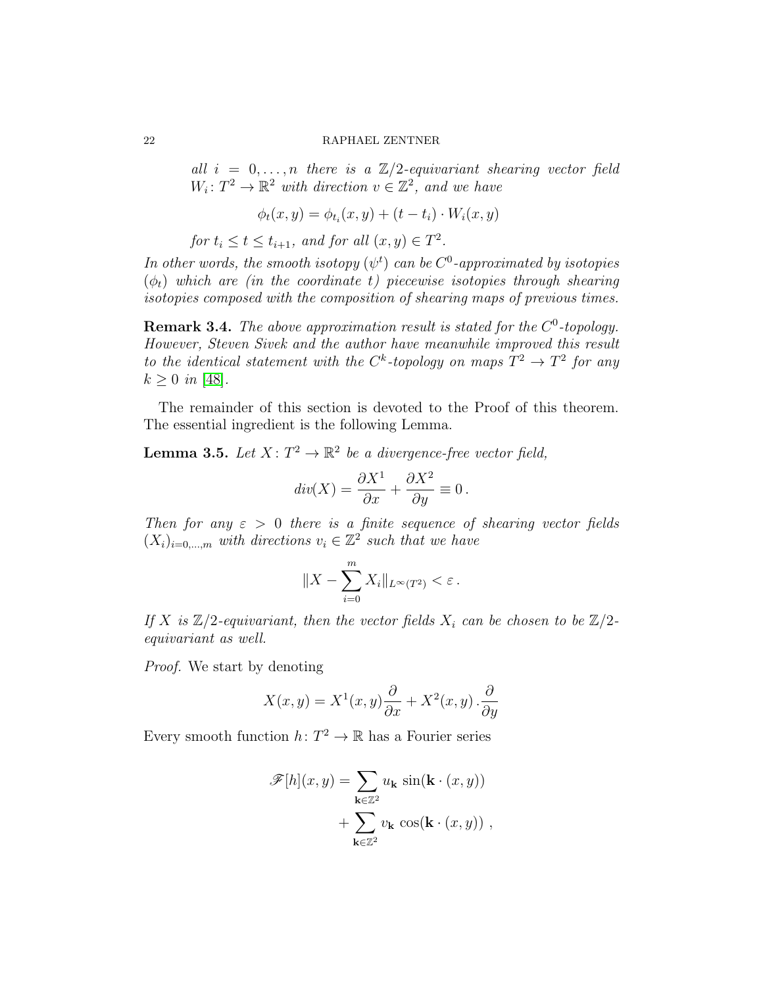all  $i = 0, \ldots, n$  there is a  $\mathbb{Z}/2$ -equivariant shearing vector field  $W_i: T^2 \to \mathbb{R}^2$  with direction  $v \in \mathbb{Z}^2$ , and we have

$$
\phi_t(x, y) = \phi_{t_i}(x, y) + (t - t_i) \cdot W_i(x, y)
$$

for  $t_i \le t \le t_{i+1}$ , and for all  $(x, y) \in T^2$ .

In other words, the smooth isotopy  $(\psi^t)$  can be  $C^0$ -approximated by isotopies  $(\phi_t)$  which are (in the coordinate t) piecewise isotopies through shearing isotopies composed with the composition of shearing maps of previous times.

**Remark 3.4.** The above approximation result is stated for the  $C^0$ -topology. However, Steven Sivek and the author have meanwhile improved this result to the identical statement with the C<sup>k</sup>-topology on maps  $T^2 \to T^2$  for any  $k \geq 0$  in [\[48\]](#page-70-1).

The remainder of this section is devoted to the Proof of this theorem. The essential ingredient is the following Lemma.

<span id="page-21-0"></span>**Lemma 3.5.** Let  $X: T^2 \to \mathbb{R}^2$  be a divergence-free vector field,

$$
div(X) = \frac{\partial X^1}{\partial x} + \frac{\partial X^2}{\partial y} \equiv 0.
$$

Then for any  $\varepsilon > 0$  there is a finite sequence of shearing vector fields  $(X_i)_{i=0,\dots,m}$  with directions  $v_i \in \mathbb{Z}^2$  such that we have

$$
||X - \sum_{i=0}^m X_i||_{L^\infty(T^2)} < \varepsilon \, .
$$

If X is  $\mathbb{Z}/2$ -equivariant, then the vector fields  $X_i$  can be chosen to be  $\mathbb{Z}/2$ equivariant as well.

Proof. We start by denoting

$$
X(x,y) = X^{1}(x,y)\frac{\partial}{\partial x} + X^{2}(x,y) \cdot \frac{\partial}{\partial y}
$$

Every smooth function  $h: T^2 \to \mathbb{R}$  has a Fourier series

$$
\mathscr{F}[h](x,y) = \sum_{\mathbf{k}\in\mathbb{Z}^2} u_{\mathbf{k}} \sin(\mathbf{k} \cdot (x,y)) + \sum_{\mathbf{k}\in\mathbb{Z}^2} v_{\mathbf{k}} \cos(\mathbf{k} \cdot (x,y)),
$$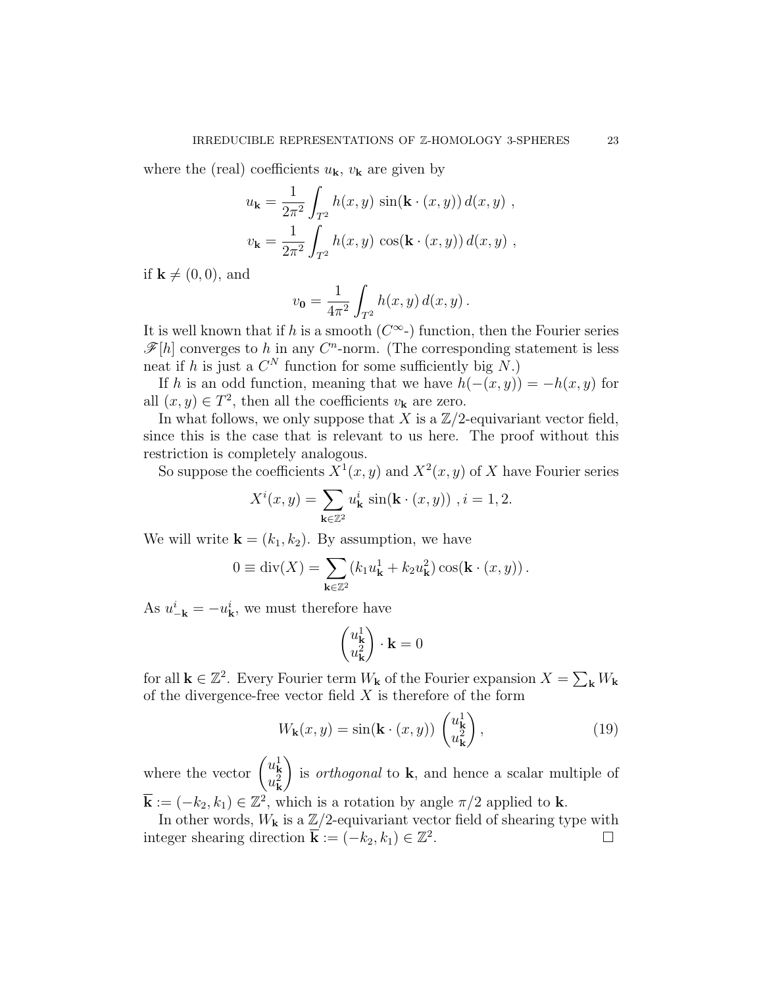where the (real) coefficients  $u_{\mathbf{k}}$ ,  $v_{\mathbf{k}}$  are given by

$$
u_{\mathbf{k}} = \frac{1}{2\pi^2} \int_{T^2} h(x, y) \sin(\mathbf{k} \cdot (x, y)) d(x, y) ,
$$
  

$$
v_{\mathbf{k}} = \frac{1}{2\pi^2} \int_{T^2} h(x, y) \cos(\mathbf{k} \cdot (x, y)) d(x, y) ,
$$

if  $\mathbf{k} \neq (0, 0)$ , and

$$
v_0 = \frac{1}{4\pi^2} \int_{T^2} h(x, y) d(x, y).
$$

It is well known that if h is a smooth  $(C^{\infty})$  function, then the Fourier series  $\mathscr{F}[h]$  converges to h in any  $C<sup>n</sup>$ -norm. (The corresponding statement is less neat if h is just a  $C^N$  function for some sufficiently big N.)

If h is an odd function, meaning that we have  $h(-(x, y)) = -h(x, y)$  for all  $(x, y) \in T^2$ , then all the coefficients  $v_{\mathbf{k}}$  are zero.

In what follows, we only suppose that X is a  $\mathbb{Z}/2$ -equivariant vector field, since this is the case that is relevant to us here. The proof without this restriction is completely analogous.

So suppose the coefficients  $X^1(x, y)$  and  $X^2(x, y)$  of X have Fourier series

$$
X^{i}(x, y) = \sum_{\mathbf{k} \in \mathbb{Z}^{2}} u_{\mathbf{k}}^{i} \sin(\mathbf{k} \cdot (x, y)), i = 1, 2.
$$

We will write  $\mathbf{k} = (k_1, k_2)$ . By assumption, we have

$$
0 \equiv \operatorname{div}(X) = \sum_{\mathbf{k}\in\mathbb{Z}^2} (k_1 u_{\mathbf{k}}^1 + k_2 u_{\mathbf{k}}^2) \cos(\mathbf{k} \cdot (x, y)).
$$

As  $u_{-\mathbf{k}}^i = -u_{\mathbf{k}}^i$ , we must therefore have

$$
\begin{pmatrix} u_{\mathbf{k}}^1 \\ u_{\mathbf{k}}^2 \end{pmatrix} \cdot \mathbf{k} = 0
$$

for all  $\mathbf{k} \in \mathbb{Z}^2$ . Every Fourier term  $W_{\mathbf{k}}$  of the Fourier expansion  $X = \sum_{\mathbf{k}} W_{\mathbf{k}}$ of the divergence-free vector field  $X$  is therefore of the form

<span id="page-22-0"></span>
$$
W_{\mathbf{k}}(x,y) = \sin(\mathbf{k} \cdot (x,y)) \begin{pmatrix} u_{\mathbf{k}}^1 \\ u_{\mathbf{k}}^2 \end{pmatrix},\tag{19}
$$

where the vector  $\begin{pmatrix} u_{\mathbf{k}}^1 \\ u_{\mathbf{k}}^2 \end{pmatrix}$  $\setminus$ is *orthogonal* to  $k$ , and hence a scalar multiple of  $\mathbf{\overline{k}} := (-k_2, k_1) \in \mathbb{Z}^2$ , which is a rotation by angle  $\pi/2$  applied to **k**.

In other words,  $W_{\mathbf{k}}$  is a  $\mathbb{Z}/2$ -equivariant vector field of shearing type with integer shearing direction  $\mathbf{\overline{k}} := (-k_2, k_1) \in \mathbb{Z}^2$ .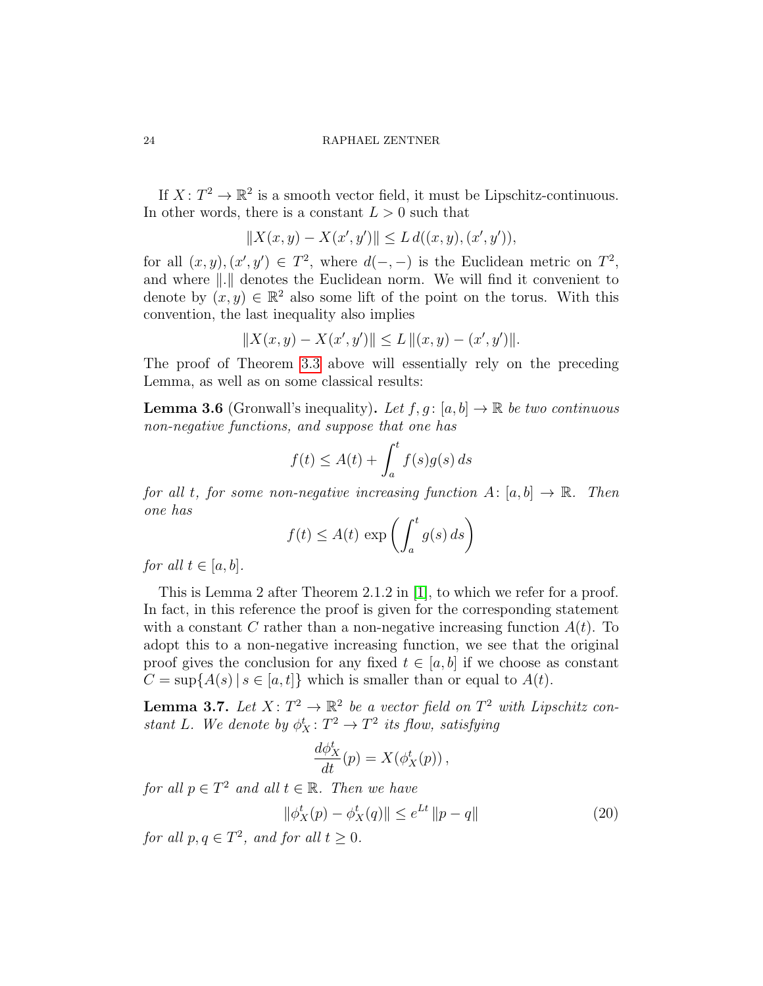If  $X: T^2 \to \mathbb{R}^2$  is a smooth vector field, it must be Lipschitz-continuous. In other words, there is a constant  $L > 0$  such that

$$
||X(x,y) - X(x',y')|| \le L d((x,y),(x',y')),
$$

for all  $(x, y), (x', y') \in T^2$ , where  $d(-, -)$  is the Euclidean metric on  $T^2$ , and where  $\|.\|$  denotes the Euclidean norm. We will find it convenient to denote by  $(x, y) \in \mathbb{R}^2$  also some lift of the point on the torus. With this convention, the last inequality also implies

$$
||X(x,y) - X(x',y')|| \le L ||(x,y) - (x',y')||.
$$

The proof of Theorem [3.3](#page-20-0) above will essentially rely on the preceding Lemma, as well as on some classical results:

**Lemma 3.6** (Gronwall's inequality). Let  $f, g : [a, b] \to \mathbb{R}$  be two continuous non-negative functions, and suppose that one has

$$
f(t) \le A(t) + \int_a^t f(s)g(s) \, ds
$$

for all t, for some non-negative increasing function  $A: [a, b] \to \mathbb{R}$ . Then one has

$$
f(t) \le A(t) \, \exp\left(\int_a^t g(s) \, ds\right)
$$

for all  $t \in [a, b]$ .

This is Lemma 2 after Theorem 2.1.2 in [\[1\]](#page-67-3), to which we refer for a proof. In fact, in this reference the proof is given for the corresponding statement with a constant C rather than a non-negative increasing function  $A(t)$ . To adopt this to a non-negative increasing function, we see that the original proof gives the conclusion for any fixed  $t \in [a, b]$  if we choose as constant  $C = \sup\{A(s) | s \in [a, t]\}\$  which is smaller than or equal to  $A(t)$ .

<span id="page-23-0"></span>**Lemma 3.7.** Let  $X: T^2 \to \mathbb{R}^2$  be a vector field on  $T^2$  with Lipschitz constant L. We denote by  $\phi_X^t: T^2 \to T^2$  its flow, satisfying

$$
\frac{d\phi_X^t}{dt}(p) = X(\phi_X^t(p)),
$$

for all  $p \in T^2$  and all  $t \in \mathbb{R}$ . Then we have

$$
\|\phi_X^t(p) - \phi_X^t(q)\| \le e^{Lt} \|p - q\| \tag{20}
$$

for all  $p, q \in T^2$ , and for all  $t \geq 0$ .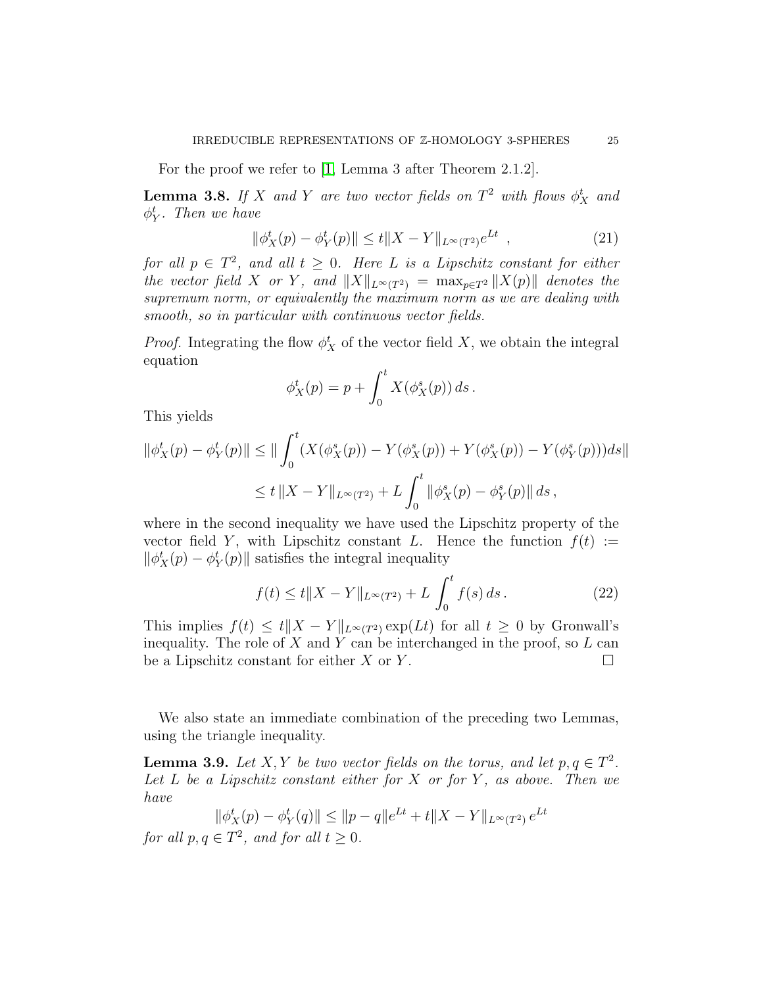For the proof we refer to [\[1,](#page-67-3) Lemma 3 after Theorem 2.1.2].

<span id="page-24-0"></span>**Lemma 3.8.** If X and Y are two vector fields on  $T^2$  with flows  $\phi_X^t$  and  $\phi_Y^t$ . Then we have

$$
\|\phi_X^t(p) - \phi_Y^t(p)\| \le t \|X - Y\|_{L^\infty(T^2)} e^{Lt} \quad , \tag{21}
$$

for all  $p \in T^2$ , and all  $t \geq 0$ . Here L is a Lipschitz constant for either the vector field X or Y, and  $||X||_{L^{\infty}(T^2)} = \max_{p \in T^2} ||X(p)||$  denotes the supremum norm, or equivalently the maximum norm as we are dealing with smooth, so in particular with continuous vector fields.

*Proof.* Integrating the flow  $\phi_X^t$  of the vector field X, we obtain the integral equation

$$
\phi^t_X(p) = p + \int_0^t X(\phi^s_X(p)) ds.
$$

This yields

$$
\|\phi^t_X(p) - \phi^t_Y(p)\| \le \|\int_0^t (X(\phi^s_X(p)) - Y(\phi^s_X(p)) + Y(\phi^s_X(p)) - Y(\phi^s_Y(p)))ds\|
$$
  

$$
\le t \|X - Y\|_{L^\infty(T^2)} + L \int_0^t \|\phi^s_X(p) - \phi^s_Y(p)\| ds,
$$

where in the second inequality we have used the Lipschitz property of the vector field Y, with Lipschitz constant L. Hence the function  $f(t) :=$  $\|\phi_X^t(p) - \phi_Y^t(p)\|$  satisfies the integral inequality

$$
f(t) \le t \|X - Y\|_{L^{\infty}(T^2)} + L \int_0^t f(s) \, ds \,. \tag{22}
$$

This implies  $f(t) \leq t \|X - Y\|_{L^{\infty}(T^2)} \exp(Lt)$  for all  $t \geq 0$  by Gronwall's inequality. The role of  $X$  and  $Y$  can be interchanged in the proof, so  $L$  can be a Lipschitz constant for either X or Y.  $\Box$ 

We also state an immediate combination of the preceding two Lemmas, using the triangle inequality.

**Lemma 3.9.** Let X, Y be two vector fields on the torus, and let  $p, q \in T^2$ . Let  $L$  be a Lipschitz constant either for  $X$  or for  $Y$ , as above. Then we have

$$
\|\phi_X^t(p) - \phi_Y^t(q)\| \le \|p - q\|e^{Lt} + t\|X - Y\|_{L^\infty(T^2)} e^{Lt}
$$

for all  $p, q \in T^2$ , and for all  $t \geq 0$ .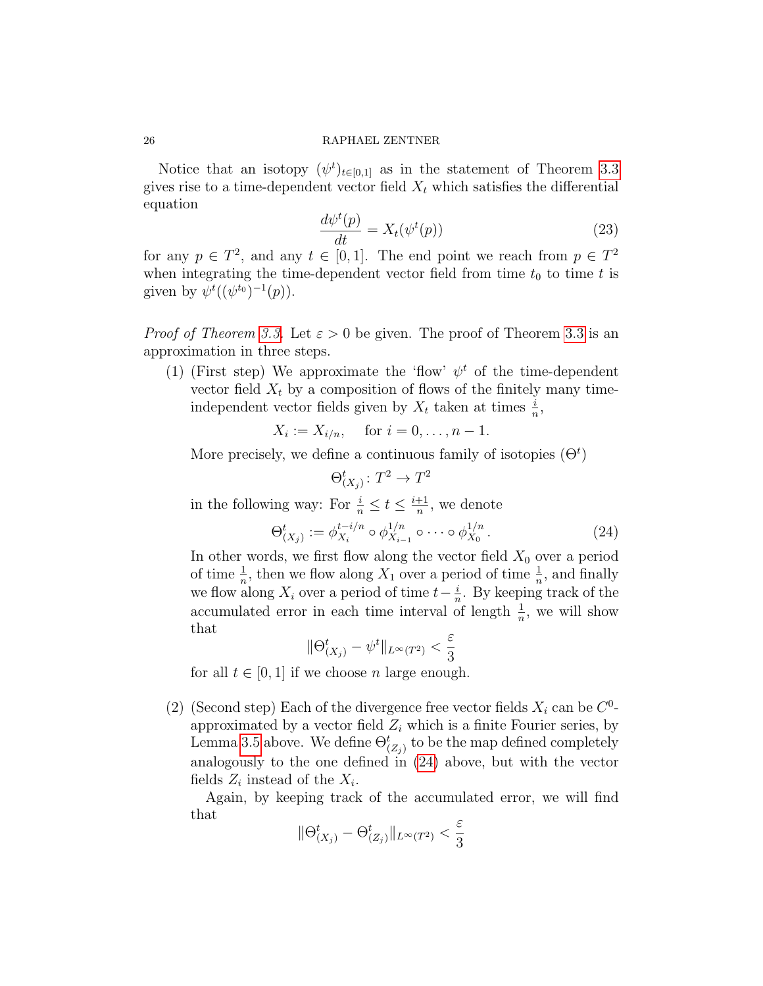Notice that an isotopy  $(\psi^t)_{t\in[0,1]}$  as in the statement of Theorem [3.3](#page-20-0) gives rise to a time-dependent vector field  $X_t$  which satisfies the differential equation

$$
\frac{d\psi^t(p)}{dt} = X_t(\psi^t(p))\tag{23}
$$

for any  $p \in T^2$ , and any  $t \in [0,1]$ . The end point we reach from  $p \in T^2$ when integrating the time-dependent vector field from time  $t_0$  to time t is given by  $\psi^t((\psi^{t_0})^{-1}(p)).$ 

*Proof of Theorem [3.3.](#page-20-0)* Let  $\varepsilon > 0$  be given. The proof of Theorem [3.3](#page-20-0) is an approximation in three steps.

(1) (First step) We approximate the 'flow'  $\psi^t$  of the time-dependent vector field  $X_t$  by a composition of flows of the finitely many timeindependent vector fields given by  $X_t$  taken at times  $\frac{i}{n}$ ,

$$
X_i := X_{i/n}
$$
, for  $i = 0, ..., n - 1$ .

More precisely, we define a continuous family of isotopies  $(\Theta^t)$ 

$$
\Theta^t_{(X_j)} \colon T^2 \to T^2
$$

in the following way: For  $\frac{i}{n} \leq t \leq \frac{i+1}{n}$  $\frac{+1}{n}$ , we denote

<span id="page-25-0"></span>
$$
\Theta_{(X_j)}^t := \phi_{X_i}^{t-i/n} \circ \phi_{X_{i-1}}^{1/n} \circ \cdots \circ \phi_{X_0}^{1/n} \,. \tag{24}
$$

In other words, we first flow along the vector field  $X_0$  over a period of time  $\frac{1}{n}$ , then we flow along  $X_1$  over a period of time  $\frac{1}{n}$ , and finally we flow along  $X_i$  over a period of time  $t-\frac{i}{n}$  $\frac{i}{n}$ . By keeping track of the accumulated error in each time interval of length  $\frac{1}{n}$ , we will show that

$$
\|\Theta_{(X_j)}^t - \psi^t\|_{L^\infty(T^2)} < \frac{\varepsilon}{3}
$$

for all  $t \in [0, 1]$  if we choose n large enough.

(2) (Second step) Each of the divergence free vector fields  $X_i$  can be  $C^0$ approximated by a vector field  $Z_i$  which is a finite Fourier series, by Lemma [3.5](#page-21-0) above. We define  $\Theta_{(Z_j)}^t$  to be the map defined completely analogously to the one defined in [\(24\)](#page-25-0) above, but with the vector fields  $Z_i$  instead of the  $X_i$ .

Again, by keeping track of the accumulated error, we will find that

$$
\|\Theta_{(X_j)}^t-\Theta_{(Z_j)}^t\|_{L^\infty(T^2)}<\frac{\varepsilon}{3}
$$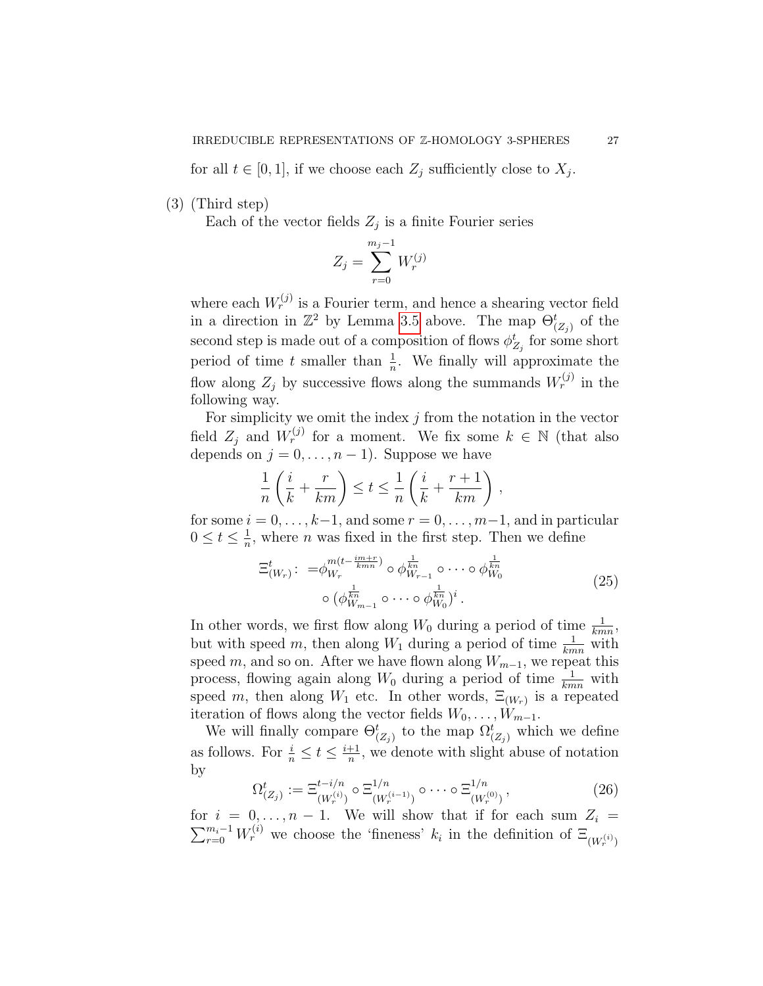for all  $t \in [0,1]$ , if we choose each  $Z_j$  sufficiently close to  $X_j$ .

(3) (Third step)

Each of the vector fields  $Z_j$  is a finite Fourier series

$$
Z_j = \sum_{r=0}^{m_j - 1} W_r^{(j)}
$$

where each  $W_r^{(j)}$  is a Fourier term, and hence a shearing vector field in a direction in  $\mathbb{Z}^2$  by Lemma [3.5](#page-21-0) above. The map  $\Theta_{(Z_j)}^t$  of the second step is made out of a composition of flows  $\phi_{Z_j}^t$  for some short period of time t smaller than  $\frac{1}{n}$ . We finally will approximate the flow along  $Z_j$  by successive flows along the summands  $W_r^{(j)}$  in the following way.

For simplicity we omit the index  $j$  from the notation in the vector field  $Z_j$  and  $W_r^{(j)}$  for a moment. We fix some  $k \in \mathbb{N}$  (that also depends on  $j = 0, \ldots, n - 1$ . Suppose we have

$$
\frac{1}{n}\left(\frac{i}{k} + \frac{r}{km}\right) \le t \le \frac{1}{n}\left(\frac{i}{k} + \frac{r+1}{km}\right),\,
$$

for some  $i = 0, \ldots, k-1$ , and some  $r = 0, \ldots, m-1$ , and in particular  $0\leq t\leq \frac{1}{n}$  $\frac{1}{n}$ , where *n* was fixed in the first step. Then we define

$$
\Xi_{(W_r)}^t: = \phi_{W_r}^{m(t-\frac{im+r}{kmn})} \circ \phi_{W_{r-1}}^{\frac{1}{kn}} \circ \cdots \circ \phi_{W_0}^{\frac{1}{kn}}
$$
\n
$$
\circ (\phi_{W_{m-1}}^{\frac{1}{kn}} \circ \cdots \circ \phi_{W_0}^{\frac{1}{kn}})^i.
$$
\n(25)

<span id="page-26-0"></span>In other words, we first flow along  $W_0$  during a period of time  $\frac{1}{kmn}$ , but with speed m, then along  $W_1$  during a period of time  $\frac{1}{kmn}$  with speed m, and so on. After we have flown along  $W_{m-1}$ , we repeat this process, flowing again along  $W_0$  during a period of time  $\frac{1}{kmn}$  with speed m, then along  $W_1$  etc. In other words,  $\Xi_{(W_r)}$  is a repeated iteration of flows along the vector fields  $W_0, \ldots, W_{m-1}$ .

We will finally compare  $\Theta_{(Z_j)}^t$  to the map  $\Omega_{(Z_j)}^t$  which we define as follows. For  $\frac{i}{n} \leq t \leq \frac{i+1}{n}$  $\frac{+1}{n}$ , we denote with slight abuse of notation by

$$
\Omega_{(Z_j)}^t := \Xi_{(W_r^{(i)})}^{t-i/n} \circ \Xi_{(W_r^{(i-1)})}^{1/n} \circ \cdots \circ \Xi_{(W_r^{(0)})}^{1/n}, \qquad (26)
$$

for  $i = 0, \ldots, n - 1$ . We will show that if for each sum  $Z_i =$  $\sum_{r=0}^{m_i-1} W_r^{(i)}$  we choose the 'fineness'  $k_i$  in the definition of  $\Xi_{(W_r^{(i)})}$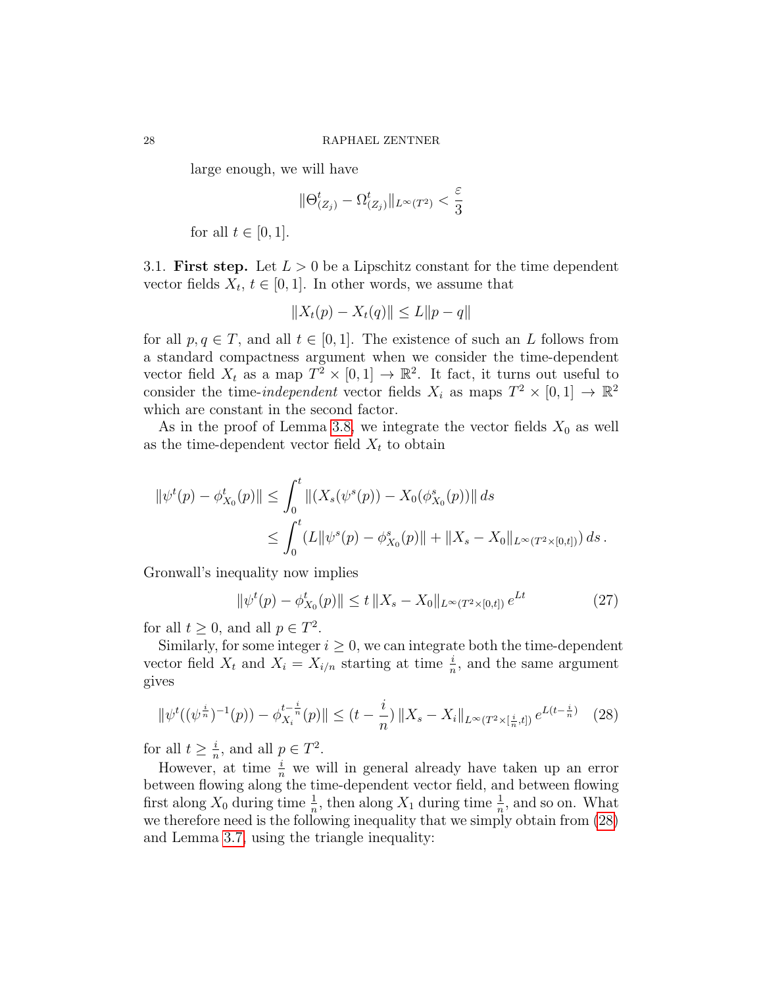large enough, we will have

$$
\|\Theta_{(Z_j)}^t-\Omega_{(Z_j)}^t\|_{L^\infty(T^2)}<\frac{\varepsilon}{3}
$$

for all  $t \in [0, 1]$ .

3.1. First step. Let  $L > 0$  be a Lipschitz constant for the time dependent vector fields  $X_t$ ,  $t \in [0, 1]$ . In other words, we assume that

$$
||X_t(p) - X_t(q)|| \le L||p - q||
$$

for all  $p, q \in T$ , and all  $t \in [0, 1]$ . The existence of such an L follows from a standard compactness argument when we consider the time-dependent vector field  $X_t$  as a map  $T^2 \times [0,1] \to \mathbb{R}^2$ . It fact, it turns out useful to consider the time-*independent* vector fields  $X_i$  as maps  $T^2 \times [0,1] \to \mathbb{R}^2$ which are constant in the second factor.

As in the proof of Lemma [3.8,](#page-24-0) we integrate the vector fields  $X_0$  as well as the time-dependent vector field  $X_t$  to obtain

$$
\begin{aligned} \|\psi^t(p) - \phi^t_{X_0}(p)\| &\leq \int_0^t \|(X_s(\psi^s(p)) - X_0(\phi^s_{X_0}(p))\| \, ds \\ &\leq \int_0^t (L\|\psi^s(p) - \phi^s_{X_0}(p)\| + \|X_s - X_0\|_{L^\infty(T^2 \times [0, t])}) \, ds \,. \end{aligned}
$$

Gronwall's inequality now implies

<span id="page-27-1"></span>
$$
\|\psi^t(p) - \phi^t_{X_0}(p)\| \le t \|X_s - X_0\|_{L^\infty(T^2 \times [0,t])} e^{Lt} \tag{27}
$$

for all  $t \geq 0$ , and all  $p \in T^2$ .

Similarly, for some integer  $i \geq 0$ , we can integrate both the time-dependent vector field  $X_t$  and  $X_i = X_{i/n}$  starting at time  $\frac{i}{n}$ , and the same argument gives

<span id="page-27-0"></span>
$$
\|\psi^t((\psi^{\frac{i}{n}})^{-1}(p)) - \phi^{t-\frac{i}{n}}_{X_i}(p)\| \le (t - \frac{i}{n}) \|X_s - X_i\|_{L^\infty(T^2 \times [\frac{i}{n}, t])} e^{L(t - \frac{i}{n})} \tag{28}
$$

for all  $t \geq \frac{i}{n}$  $\frac{i}{n}$ , and all  $p \in T^2$ .

However, at time  $\frac{i}{n}$  we will in general already have taken up an error between flowing along the time-dependent vector field, and between flowing first along  $X_0$  during time  $\frac{1}{n}$ , then along  $X_1$  during time  $\frac{1}{n}$ , and so on. What we therefore need is the following inequality that we simply obtain from [\(28\)](#page-27-0) and Lemma [3.7,](#page-23-0) using the triangle inequality: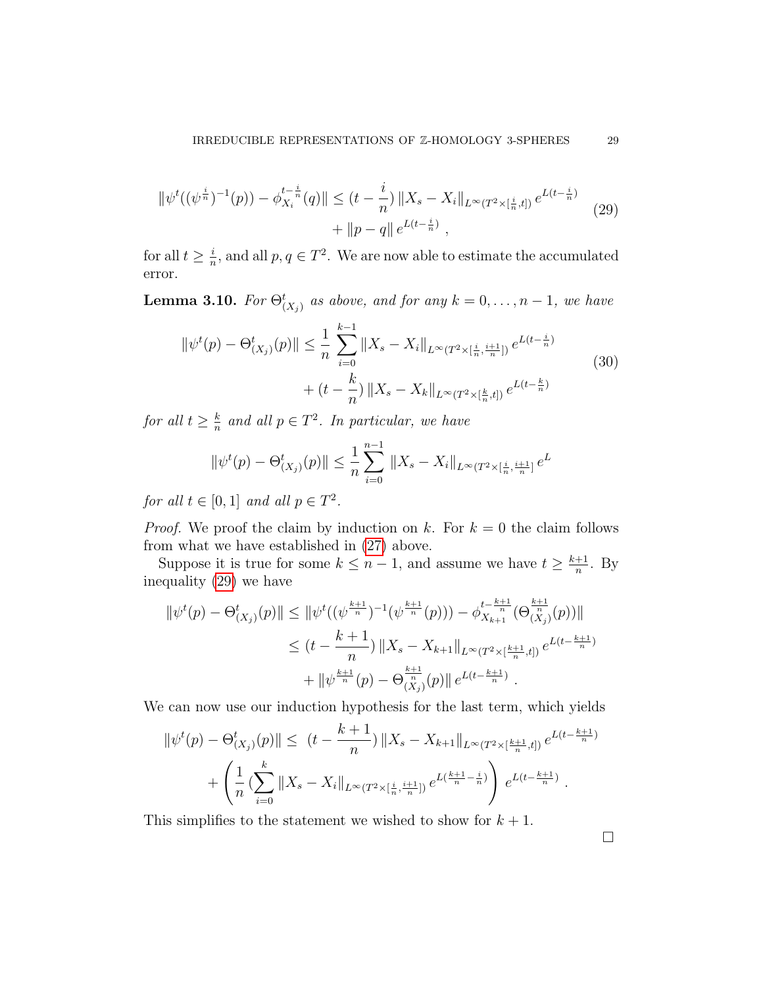<span id="page-28-0"></span>
$$
\|\psi^t((\psi^{\frac{i}{n}})^{-1}(p)) - \phi^{t-\frac{i}{n}}_{X_i}(q)\| \le (t - \frac{i}{n}) \|X_s - X_i\|_{L^\infty(T^2 \times [\frac{i}{n}, t])} e^{L(t - \frac{i}{n})} + \|p - q\| e^{L(t - \frac{i}{n})}, \tag{29}
$$

for all  $t \geq \frac{i}{n}$  $\frac{i}{n}$ , and all  $p, q \in T^2$ . We are now able to estimate the accumulated error.

<span id="page-28-1"></span>**Lemma 3.10.** For  $\Theta_{(X_j)}^t$  as above, and for any  $k = 0, \ldots, n-1$ , we have

$$
\|\psi^t(p) - \Theta^t_{(X_j)}(p)\| \le \frac{1}{n} \sum_{i=0}^{k-1} \|X_s - X_i\|_{L^\infty(T^2 \times [\frac{i}{n}, \frac{i+1}{n}])} e^{L(t - \frac{i}{n})} + (t - \frac{k}{n}) \|X_s - X_k\|_{L^\infty(T^2 \times [\frac{k}{n}, t])} e^{L(t - \frac{k}{n})}
$$
(30)

for all  $t \geq \frac{k}{n}$  $\frac{k}{n}$  and all  $p \in T^2$ . In particular, we have

$$
\|\psi^t(p) - \Theta^t_{(X_j)}(p)\| \le \frac{1}{n} \sum_{i=0}^{n-1} \|X_s - X_i\|_{L^\infty(T^2 \times [\frac{i}{n}, \frac{i+1}{n}]} e^L
$$

for all  $t \in [0,1]$  and all  $p \in T^2$ .

*Proof.* We proof the claim by induction on k. For  $k = 0$  the claim follows from what we have established in [\(27\)](#page-27-1) above.

Suppose it is true for some  $k \leq n-1$ , and assume we have  $t \geq \frac{k+1}{n}$  $\frac{+1}{n}$ . By inequality [\(29\)](#page-28-0) we have

$$
\|\psi^t(p) - \Theta^t(x_j)(p)\| \le \|\psi^t((\psi^{\frac{k+1}{n}})^{-1}(\psi^{\frac{k+1}{n}}(p))) - \phi^t_{X_{k+1}} \Theta^{\frac{k+1}{n}}_{(X_j)}(p))\|
$$
  

$$
\le (t - \frac{k+1}{n}) \|X_s - X_{k+1}\|_{L^\infty(T^2 \times [\frac{k+1}{n}, t])} e^{L(t - \frac{k+1}{n})}
$$
  

$$
+ \|\psi^{\frac{k+1}{n}}(p) - \Theta^{\frac{k+1}{n}}_{(X_j)}(p)\| e^{L(t - \frac{k+1}{n})}.
$$

We can now use our induction hypothesis for the last term, which yields

$$
\|\psi^t(p) - \Theta^t_{(X_j)}(p)\| \le (t - \frac{k+1}{n}) \|X_s - X_{k+1}\|_{L^\infty(T^2 \times [\frac{k+1}{n}, t])} e^{L(t - \frac{k+1}{n})}
$$

$$
+ \left(\frac{1}{n} \left(\sum_{i=0}^k \|X_s - X_i\|_{L^\infty(T^2 \times [\frac{i}{n}, \frac{i+1}{n}])} e^{L(\frac{k+1}{n} - \frac{i}{n})}\right) e^{L(t - \frac{k+1}{n})}.
$$

This simplifies to the statement we wished to show for  $k + 1$ .

 $\Box$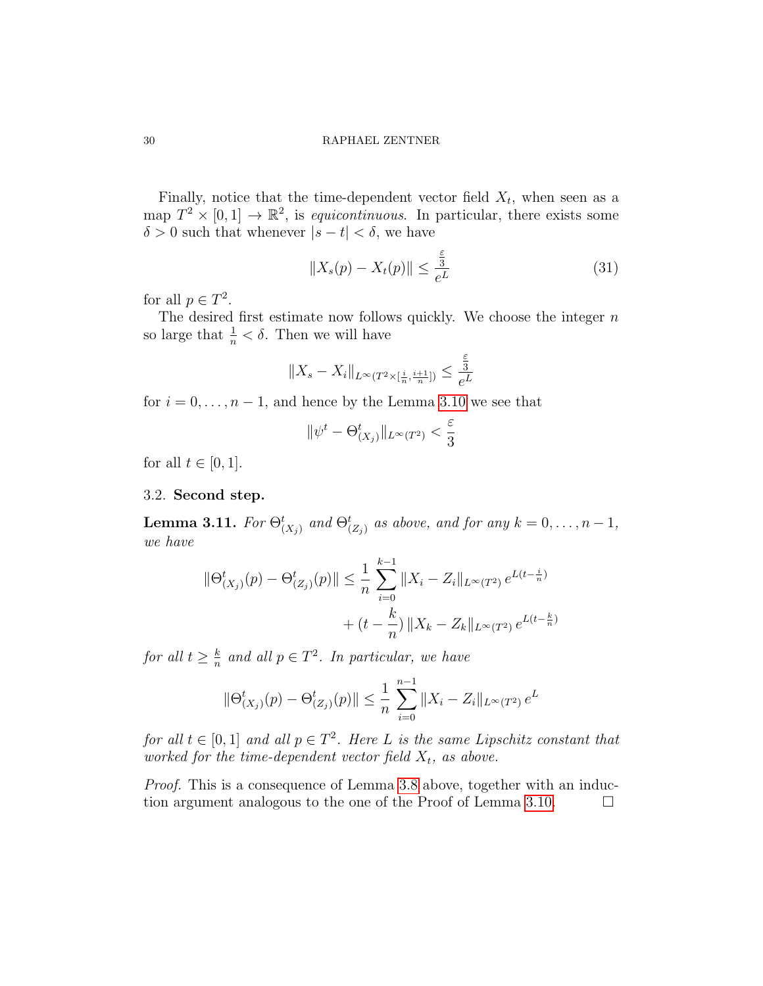Finally, notice that the time-dependent vector field  $X_t$ , when seen as a map  $T^2 \times [0,1] \to \mathbb{R}^2$ , is equicontinuous. In particular, there exists some  $\delta > 0$  such that whenever  $|s - t| < \delta$ , we have

$$
||X_s(p) - X_t(p)|| \le \frac{\frac{\varepsilon}{3}}{e^L}
$$
\n(31)

for all  $p \in T^2$ .

The desired first estimate now follows quickly. We choose the integer  $n$ so large that  $\frac{1}{n} < \delta$ . Then we will have

$$
||X_s - X_i||_{L^{\infty}(T^2 \times [\frac{i}{n}, \frac{i+1}{n}])} \le \frac{\frac{\varepsilon}{3}}{e^L}
$$

for  $i = 0, \ldots, n - 1$ , and hence by the Lemma [3.10](#page-28-1) we see that

$$
\|\psi^t - \Theta_{(X_j)}^t\|_{L^\infty(T^2)} < \frac{\varepsilon}{3}
$$

for all  $t \in [0, 1]$ .

## 3.2. Second step.

<span id="page-29-0"></span>**Lemma 3.11.** For  $\Theta_{(X_j)}^t$  and  $\Theta_{(Z_j)}^t$  as above, and for any  $k = 0, \ldots, n-1$ , we have

$$
\|\Theta_{(X_j)}^t(p) - \Theta_{(Z_j)}^t(p)\| \le \frac{1}{n} \sum_{i=0}^{k-1} \|X_i - Z_i\|_{L^\infty(T^2)} e^{L(t - \frac{i}{n})} + (t - \frac{k}{n}) \|X_k - Z_k\|_{L^\infty(T^2)} e^{L(t - \frac{k}{n})}
$$

for all  $t \geq \frac{k}{n}$  $\frac{k}{n}$  and all  $p \in T^2$ . In particular, we have

$$
\|\Theta_{(X_j)}^t(p) - \Theta_{(Z_j)}^t(p)\| \le \frac{1}{n} \sum_{i=0}^{n-1} \|X_i - Z_i\|_{L^\infty(T^2)} e^L
$$

for all  $t \in [0,1]$  and all  $p \in T^2$ . Here L is the same Lipschitz constant that worked for the time-dependent vector field  $X_t$ , as above.

Proof. This is a consequence of Lemma [3.8](#page-24-0) above, together with an induc-tion argument analogous to the one of the Proof of Lemma [3.10.](#page-28-1)  $\Box$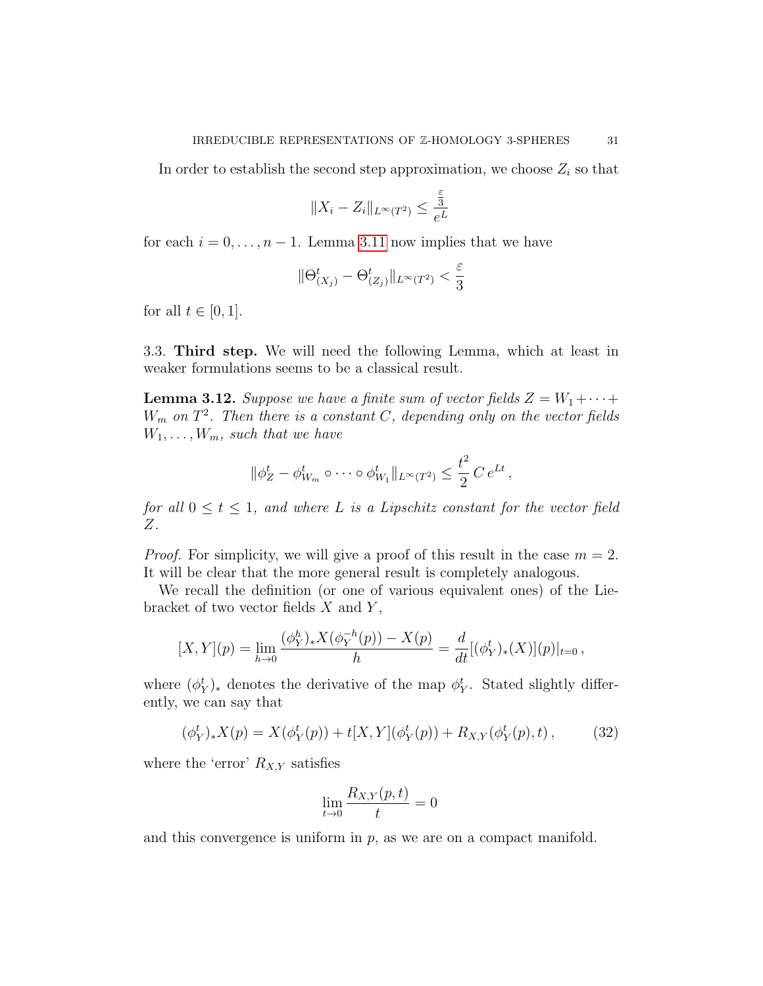In order to establish the second step approximation, we choose  $Z_i$  so that

$$
||X_i - Z_i||_{L^{\infty}(T^2)} \le \frac{\frac{\varepsilon}{3}}{e^L}
$$

for each  $i = 0, \ldots, n - 1$ . Lemma [3.11](#page-29-0) now implies that we have

$$
\|\Theta_{(X_j)}^t-\Theta_{(Z_j)}^t\|_{L^\infty(T^2)}<\frac{\varepsilon}{3}
$$

for all  $t \in [0, 1]$ .

3.3. Third step. We will need the following Lemma, which at least in weaker formulations seems to be a classical result.

<span id="page-30-1"></span>**Lemma 3.12.** Suppose we have a finite sum of vector fields  $Z = W_1 + \cdots + W_n$  $W_m$  on  $T^2$ . Then there is a constant C, depending only on the vector fields  $W_1, \ldots, W_m$ , such that we have

$$
\|\phi_Z^t - \phi_{W_m}^t \circ \cdots \circ \phi_{W_1}^t\|_{L^\infty(T^2)} \leq \frac{t^2}{2} C e^{Lt},
$$

for all  $0 \leq t \leq 1$ , and where L is a Lipschitz constant for the vector field Z.

*Proof.* For simplicity, we will give a proof of this result in the case  $m = 2$ . It will be clear that the more general result is completely analogous.

We recall the definition (or one of various equivalent ones) of the Liebracket of two vector fields  $X$  and  $Y$ ,

$$
[X,Y](p) = \lim_{h \to 0} \frac{(\phi_Y^h)_* X(\phi_Y^{-h}(p)) - X(p)}{h} = \frac{d}{dt} [(\phi_Y^t)_* (X)](p)|_{t=0},
$$

where  $(\phi_Y^t)_*$  denotes the derivative of the map  $\phi_Y^t$ . Stated slightly differently, we can say that

<span id="page-30-0"></span>
$$
(\phi_Y^t)_* X(p) = X(\phi_Y^t(p)) + t[X, Y](\phi_Y^t(p)) + R_{X,Y}(\phi_Y^t(p), t), \qquad (32)
$$

where the 'error'  $R_{X,Y}$  satisfies

$$
\lim_{t \to 0} \frac{R_{X,Y}(p,t)}{t} = 0
$$

and this convergence is uniform in  $p$ , as we are on a compact manifold.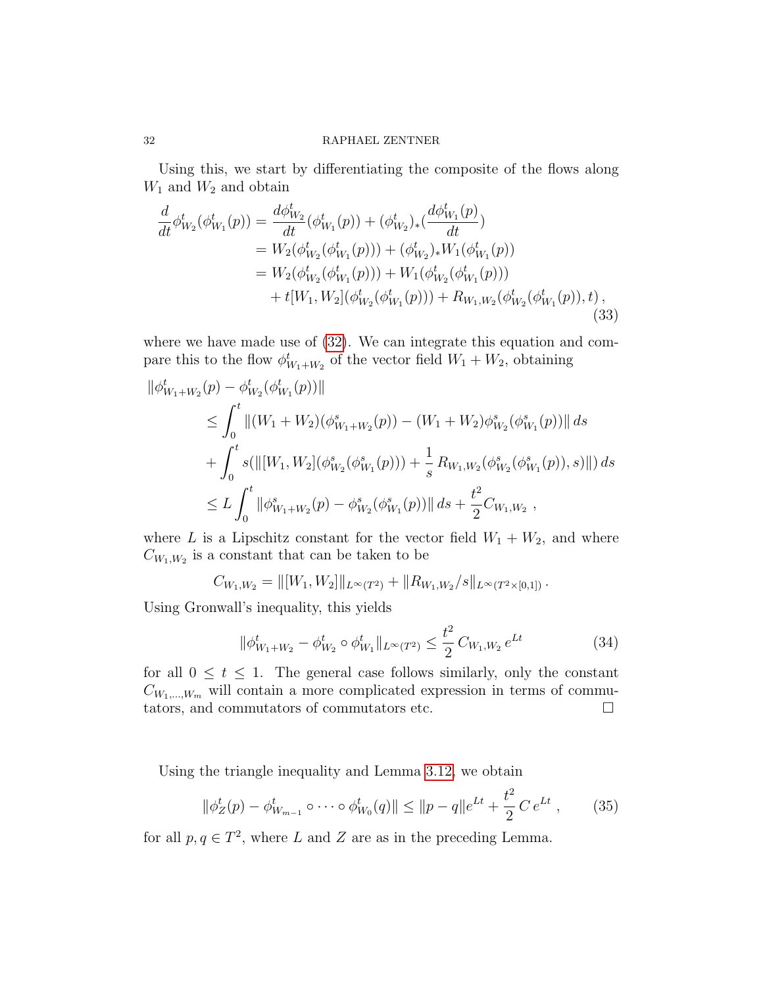Using this, we start by differentiating the composite of the flows along  $W_1$  and  $W_2$  and obtain

$$
\frac{d}{dt}\phi_{W_2}^t(\phi_{W_1}^t(p)) = \frac{d\phi_{W_2}^t}{dt}(\phi_{W_1}^t(p)) + (\phi_{W_2}^t)_*(\frac{d\phi_{W_1}^t(p)}{dt})
$$
\n
$$
= W_2(\phi_{W_2}^t(\phi_{W_1}^t(p))) + (\phi_{W_2}^t)_*W_1(\phi_{W_1}^t(p))
$$
\n
$$
= W_2(\phi_{W_2}^t(\phi_{W_1}^t(p))) + W_1(\phi_{W_2}^t(\phi_{W_1}^t(p)))
$$
\n
$$
+ t[W_1, W_2](\phi_{W_2}^t(\phi_{W_1}^t(p))) + R_{W_1, W_2}(\phi_{W_2}^t(\phi_{W_1}^t(p)), t),
$$
\n(33)

where we have made use of [\(32\)](#page-30-0). We can integrate this equation and compare this to the flow  $\phi_{W_1+W_2}^t$  of the vector field  $W_1+W_2$ , obtaining

$$
\|\phi_{W_1+W_2}^t(p) - \phi_{W_2}^t(\phi_{W_1}^t(p))\|
$$
  
\n
$$
\leq \int_0^t \|(W_1 + W_2)(\phi_{W_1+W_2}^s(p)) - (W_1 + W_2)\phi_{W_2}^s(\phi_{W_1}^s(p))\| ds
$$
  
\n
$$
+ \int_0^t s(\|[W_1, W_2](\phi_{W_2}^s(\phi_{W_1}^s(p))) + \frac{1}{s} R_{W_1,W_2}(\phi_{W_2}^s(\phi_{W_1}^s(p)), s)\|) ds
$$
  
\n
$$
\leq L \int_0^t \|\phi_{W_1+W_2}^s(p) - \phi_{W_2}^s(\phi_{W_1}^s(p))\| ds + \frac{t^2}{2} C_{W_1,W_2} ,
$$

where L is a Lipschitz constant for the vector field  $W_1 + W_2$ , and where  $C_{W_1,W_2}$  is a constant that can be taken to be

$$
C_{W_1,W_2} = ||[W_1,W_2]||_{L^{\infty}(T^2)} + ||R_{W_1,W_2}/s||_{L^{\infty}(T^2 \times [0,1])}.
$$

Using Gronwall's inequality, this yields

$$
\|\phi_{W_1+W_2}^t - \phi_{W_2}^t \circ \phi_{W_1}^t\|_{L^\infty(T^2)} \le \frac{t^2}{2} C_{W_1,W_2} e^{Lt} \tag{34}
$$

for all  $0 \leq t \leq 1$ . The general case follows similarly, only the constant  $C_{W_1,\dots,W_m}$  will contain a more complicated expression in terms of commutators, and commutators of commutators etc.  $\Box$ 

Using the triangle inequality and Lemma [3.12,](#page-30-1) we obtain

<span id="page-31-0"></span>
$$
\|\phi_Z^t(p) - \phi_{W_{m-1}}^t \circ \cdots \circ \phi_{W_0}^t(q)\| \le \|p - q\|e^{Lt} + \frac{t^2}{2} C e^{Lt} ,\qquad (35)
$$

for all  $p, q \in T^2$ , where L and Z are as in the preceding Lemma.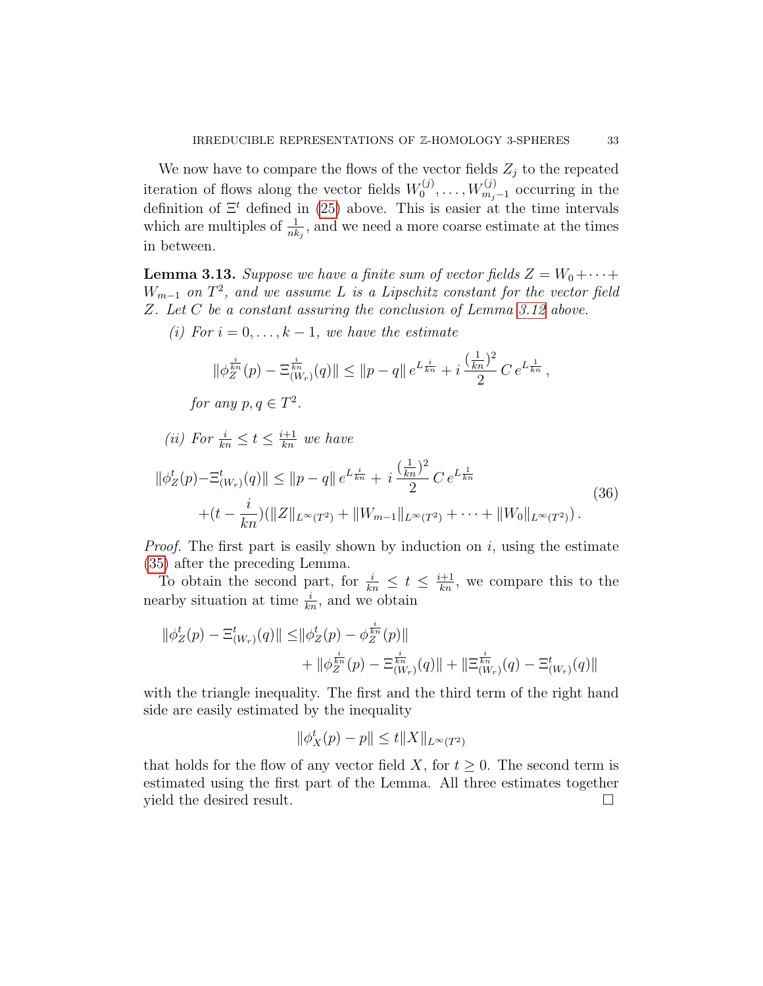We now have to compare the flows of the vector fields  $Z_j$  to the repeated iteration of flows along the vector fields  $W_0^{(j)}$  $W_{m_j-1}^{(j)}$  occurring in the definition of  $\Xi^t$  defined in [\(25\)](#page-26-0) above. This is easier at the time intervals which are multiples of  $\frac{1}{nk_j}$ , and we need a more coarse estimate at the times in between.

<span id="page-32-0"></span>**Lemma 3.13.** Suppose we have a finite sum of vector fields  $Z = W_0 + \cdots +$  $W_{m-1}$  on  $T^2$ , and we assume L is a Lipschitz constant for the vector field Z. Let C be a constant assuring the conclusion of Lemma [3.12](#page-30-1) above.

(i) For  $i = 0, \ldots, k - 1$ , we have the estimate

$$
\|\phi_{Z}^{\frac{i}{kn}}(p) - \Xi_{(W_r)}^{\frac{i}{kn}}(q)\| \le \|p - q\| \, e^{L\frac{i}{kn}} + i \frac{(\frac{1}{kn})^2}{2} \, C \, e^{L\frac{1}{kn}} \,,
$$

for any  $p, q \in T^2$ .

(*ii*) For  $\frac{i}{kn} \leq t \leq \frac{i+1}{kn}$  we have

$$
\|\phi_Z^t(p) - \Xi_{(W_r)}^t(q)\| \le \|p - q\| e^{L\frac{i}{kn}} + i \frac{\left(\frac{1}{kn}\right)^2}{2} C e^{L\frac{1}{kn}}
$$
  
 
$$
+ (t - \frac{i}{kn})(\|Z\|_{L^\infty(T^2)} + \|W_{m-1}\|_{L^\infty(T^2)} + \cdots + \|W_0\|_{L^\infty(T^2)}).
$$
 (36)

*Proof.* The first part is easily shown by induction on  $i$ , using the estimate [\(35\)](#page-31-0) after the preceding Lemma.

To obtain the second part, for  $\frac{i}{kn} \leq t \leq \frac{i+1}{kn}$ , we compare this to the nearby situation at time  $\frac{i}{kn}$ , and we obtain

$$
\|\phi_Z^t(p) - \Xi_{(W_r)}^t(q)\| \le \|\phi_Z^t(p) - \phi_{Z}^{\frac{i}{kn}}(p)\| + \|\phi_{Z}^{\frac{i}{kn}}(p) - \Xi_{(W_r)}^{\frac{i}{kn}}(q)\| + \|\Xi_{(W_r)}^{\frac{i}{kn}}(q) - \Xi_{(W_r)}^t(q)\|
$$

with the triangle inequality. The first and the third term of the right hand side are easily estimated by the inequality

$$
\|\phi_X^t(p) - p\| \le t \|X\|_{L^\infty(T^2)}
$$

that holds for the flow of any vector field X, for  $t \geq 0$ . The second term is estimated using the first part of the Lemma. All three estimates together yield the desired result.  $\Box$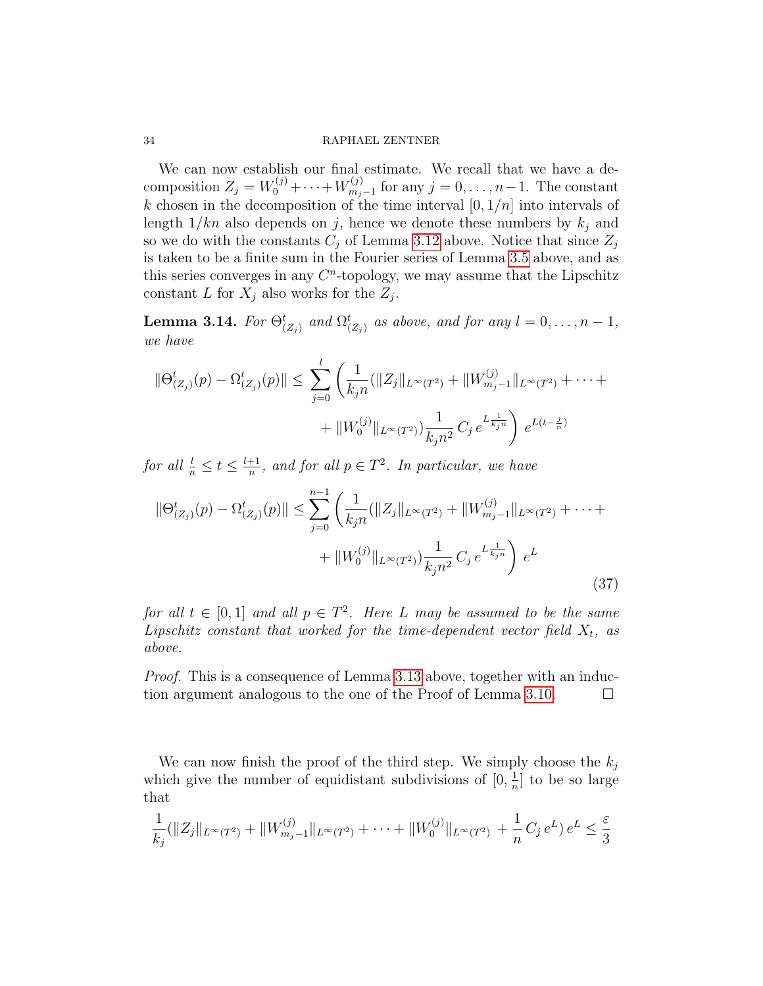We can now establish our final estimate. We recall that we have a decomposition  $Z_j = W_0^{(j)} + \cdots + W_{m_j}^{(j)}$  $\sum_{m_j-1}^{(j)}$  for any  $j=0,\ldots,n-1$ . The constant k chosen in the decomposition of the time interval  $[0, 1/n]$  into intervals of length  $1/kn$  also depends on j, hence we denote these numbers by  $k_j$  and so we do with the constants  $C_j$  of Lemma [3.12](#page-30-1) above. Notice that since  $Z_j$ is taken to be a finite sum in the Fourier series of Lemma [3.5](#page-21-0) above, and as this series converges in any  $C<sup>n</sup>$ -topology, we may assume that the Lipschitz constant L for  $X_j$  also works for the  $Z_j$ .

<span id="page-33-0"></span>**Lemma 3.14.** For  $\Theta_{(Z_j)}^t$  and  $\Omega_{(Z_j)}^t$  as above, and for any  $l = 0, \ldots, n-1$ , we have

$$
\|\Theta_{(Z_j)}^t(p) - \Omega_{(Z_j)}^t(p)\| \le \sum_{j=0}^l \left(\frac{1}{k_j n} (\|Z_j\|_{L^\infty(T^2)} + \|W_{m_j-1}^{(j)}\|_{L^\infty(T^2)} + \cdots + \|W_0^{(j)}\|_{L^\infty(T^2)})\frac{1}{k_j n^2} C_j e^{L\frac{1}{k_j n}}\right) e^{L(t-\frac{j}{n})}
$$

for all  $\frac{l}{n} \leq t \leq \frac{l+1}{n}$  $\frac{+1}{n}$ , and for all  $p \in T^2$ . In particular, we have

$$
\|\Theta_{(Z_j)}^t(p) - \Omega_{(Z_j)}^t(p)\| \le \sum_{j=0}^{n-1} \left( \frac{1}{k_j n} (\|Z_j\|_{L^\infty(T^2)} + \|W_{m_j-1}^{(j)}\|_{L^\infty(T^2)} + \cdots + \|W_0^{(j)}\|_{L^\infty(T^2)}) \frac{1}{k_j n^2} C_j e^{L\frac{1}{k_j n}} \right) e^L
$$
\n(37)

for all  $t \in [0,1]$  and all  $p \in T^2$ . Here L may be assumed to be the same Lipschitz constant that worked for the time-dependent vector field  $X_t$ , as above.

*Proof.* This is a consequence of Lemma [3.13](#page-32-0) above, together with an induc-tion argument analogous to the one of the Proof of Lemma [3.10.](#page-28-1)  $\Box$ 

We can now finish the proof of the third step. We simply choose the  $k_i$ which give the number of equidistant subdivisions of  $[0, \frac{1}{n}]$  $\frac{1}{n}$  to be so large that

$$
\frac{1}{k_j}(\|Z_j\|_{L^\infty(T^2)} + \|W_{m_j-1}^{(j)}\|_{L^\infty(T^2)} + \cdots + \|W_0^{(j)}\|_{L^\infty(T^2)} + \frac{1}{n}C_j e^L e^L \le \frac{\varepsilon}{3}
$$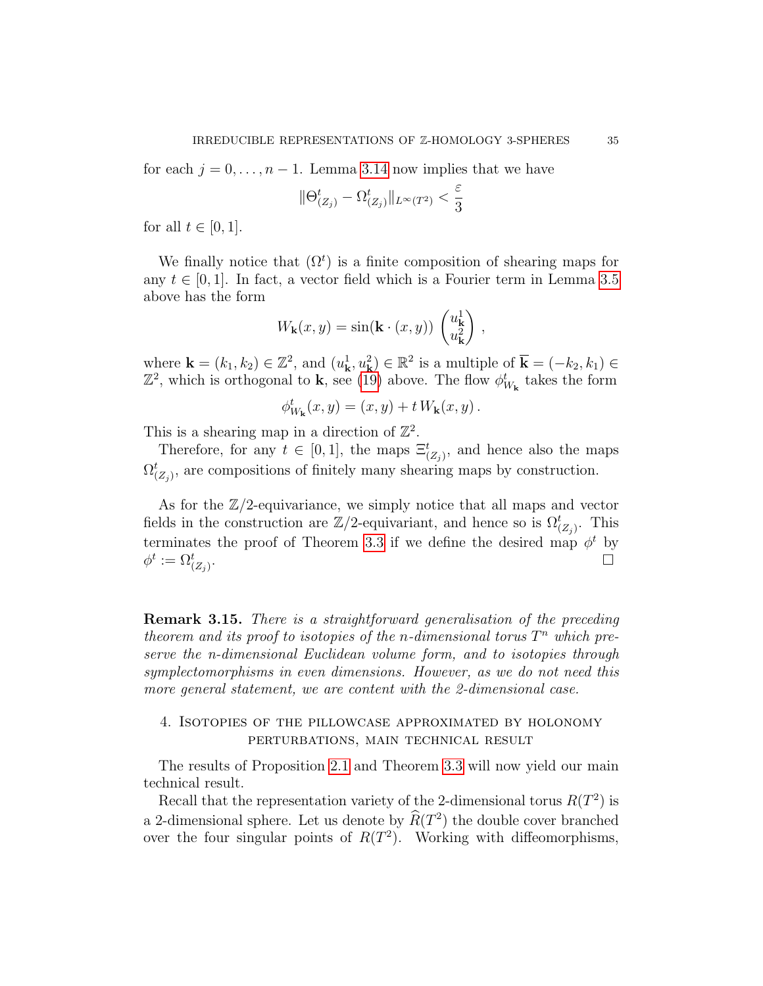for each  $j = 0, \ldots, n - 1$ . Lemma [3.14](#page-33-0) now implies that we have

$$
\|\Theta_{(Z_j)}^t-\Omega_{(Z_j)}^t\|_{L^\infty(T^2)}<\frac{\varepsilon}{3}
$$

for all  $t \in [0, 1]$ .

We finally notice that  $(\Omega^t)$  is a finite composition of shearing maps for any  $t \in [0, 1]$ . In fact, a vector field which is a Fourier term in Lemma [3.5](#page-21-0) above has the form

$$
W_{\mathbf{k}}(x,y) = \sin(\mathbf{k} \cdot (x,y)) \begin{pmatrix} u_{\mathbf{k}}^1 \\ u_{\mathbf{k}}^2 \end{pmatrix},
$$

where  $\mathbf{k} = (k_1, k_2) \in \mathbb{Z}^2$ , and  $(u_{\mathbf{k}}^1, u_{\mathbf{k}}^2) \in \mathbb{R}^2$  is a multiple of  $\overline{\mathbf{k}} = (-k_2, k_1) \in$  $\mathbb{Z}^2$ , which is orthogonal to **k**, see [\(19\)](#page-22-0) above. The flow  $\phi_{W_{\mathbf{k}}}^t$  takes the form

$$
\phi_{W_{\mathbf{k}}}^{t}(x,y)=(x,y)+t W_{\mathbf{k}}(x,y).
$$

This is a shearing map in a direction of  $\mathbb{Z}^2$ .

Therefore, for any  $t \in [0,1]$ , the maps  $\Xi_{(Z_j)}^t$ , and hence also the maps  $\Omega_{(Z_j)}^t$ , are compositions of finitely many shearing maps by construction.

As for the  $\mathbb{Z}/2$ -equivariance, we simply notice that all maps and vector fields in the construction are  $\mathbb{Z}/2$ -equivariant, and hence so is  $\Omega_{(Z_j)}^t$ . This terminates the proof of Theorem [3.3](#page-20-0) if we define the desired map  $\phi^t$  by  $\phi^t:=\Omega_{(Z_j)}^t$ . В последните последните последните последните последните последните последните последните последните последн<br>В 1990 година от селото на селото на селото на селото на селото на селото на селото на селото на селото на сел

Remark 3.15. There is a straightforward generalisation of the preceding theorem and its proof to isotopies of the n-dimensional torus  $T^n$  which preserve the n-dimensional Euclidean volume form, and to isotopies through symplectomorphisms in even dimensions. However, as we do not need this more general statement, we are content with the 2-dimensional case.

# 4. Isotopies of the pillowcase approximated by holonomy perturbations, main technical result

The results of Proposition [2.1](#page-14-3) and Theorem [3.3](#page-20-0) will now yield our main technical result.

Recall that the representation variety of the 2-dimensional torus  $R(T^2)$  is a 2-dimensional sphere. Let us denote by  $\hat{R}(T^2)$  the double cover branched over the four singular points of  $R(T^2)$ . Working with diffeomorphisms,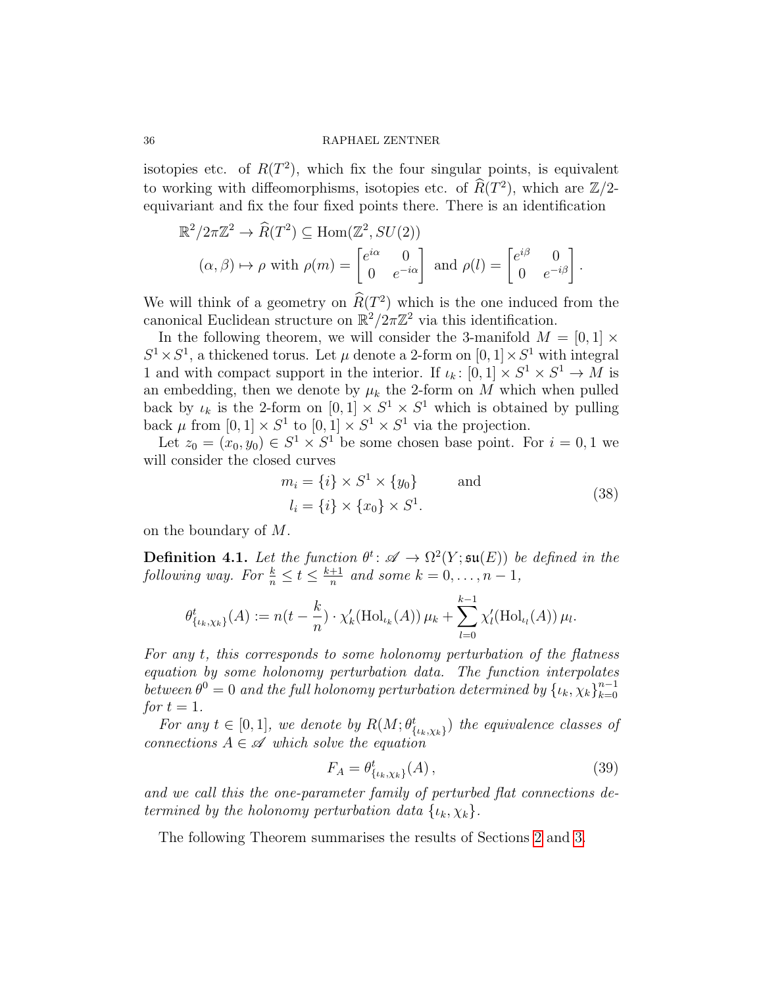isotopies etc. of  $R(T^2)$ , which fix the four singular points, is equivalent to working with diffeomorphisms, isotopies etc. of  $\widehat{R}(T^2)$ , which are  $\mathbb{Z}/2$ equivariant and fix the four fixed points there. There is an identification

$$
\mathbb{R}^2/2\pi\mathbb{Z}^2 \to \widehat{R}(T^2) \subseteq \text{Hom}(\mathbb{Z}^2, SU(2))
$$
  

$$
(\alpha, \beta) \mapsto \rho \text{ with } \rho(m) = \begin{bmatrix} e^{i\alpha} & 0 \\ 0 & e^{-i\alpha} \end{bmatrix} \text{ and } \rho(l) = \begin{bmatrix} e^{i\beta} & 0 \\ 0 & e^{-i\beta} \end{bmatrix}.
$$

We will think of a geometry on  $\widehat{R}(T^2)$  which is the one induced from the canonical Euclidean structure on  $\mathbb{R}^2/2\pi\mathbb{Z}^2$  via this identification.

In the following theorem, we will consider the 3-manifold  $M = [0, 1] \times$  $S^1 \times S^1$ , a thickened torus. Let  $\mu$  denote a 2-form on  $[0, 1] \times S^1$  with integral 1 and with compact support in the interior. If  $\iota_k: [0,1] \times S^1 \times S^1 \to M$  is an embedding, then we denote by  $\mu_k$  the 2-form on M which when pulled back by  $\iota_k$  is the 2-form on  $[0,1] \times S^1 \times S^1$  which is obtained by pulling back  $\mu$  from  $[0,1] \times S^1$  to  $[0,1] \times S^1 \times S^1$  via the projection.

Let  $z_0 = (x_0, y_0) \in S^1 \times S^1$  be some chosen base point. For  $i = 0, 1$  we will consider the closed curves

$$
m_i = \{i\} \times S^1 \times \{y_0\} \quad \text{and}
$$
  

$$
l_i = \{i\} \times \{x_0\} \times S^1.
$$
 (38)

on the boundary of M.

<span id="page-35-1"></span>**Definition 4.1.** Let the function  $\theta^t$ :  $\mathscr{A} \to \Omega^2(Y; \mathfrak{su}(E))$  be defined in the following way. For  $\frac{k}{n} \leq t \leq \frac{k+1}{n}$  $\frac{+1}{n}$  and some  $k = 0, \ldots, n - 1$ ,

$$
\theta^t_{\{\iota_k,\chi_k\}}(A) := n(t - \frac{k}{n}) \cdot \chi'_k(\text{Hol}_{\iota_k}(A)) \mu_k + \sum_{l=0}^{k-1} \chi'_l(\text{Hol}_{\iota_l}(A)) \mu_l.
$$

For any t, this corresponds to some holonomy perturbation of the flatness equation by some holonomy perturbation data. The function interpolates between  $\theta^0 = 0$  and the full holonomy perturbation determined by  $\{ \iota_k, \chi_k \}_{k=0}^{n-1}$  $_{k=0}$ for  $t=1$ .

For any  $t \in [0,1]$ , we denote by  $R(M; \theta_{\{\iota_k,\chi_k\}}^t)$  the equivalence classes of connections  $A \in \mathcal{A}$  which solve the equation

<span id="page-35-0"></span>
$$
F_A = \theta^t_{\{\iota_k, \chi_k\}}(A) \,, \tag{39}
$$

and we call this the one-parameter family of perturbed flat connections determined by the holonomy perturbation data  $\{\iota_k, \chi_k\}.$ 

The following Theorem summarises the results of Sections [2](#page-13-0) and [3.](#page-20-1)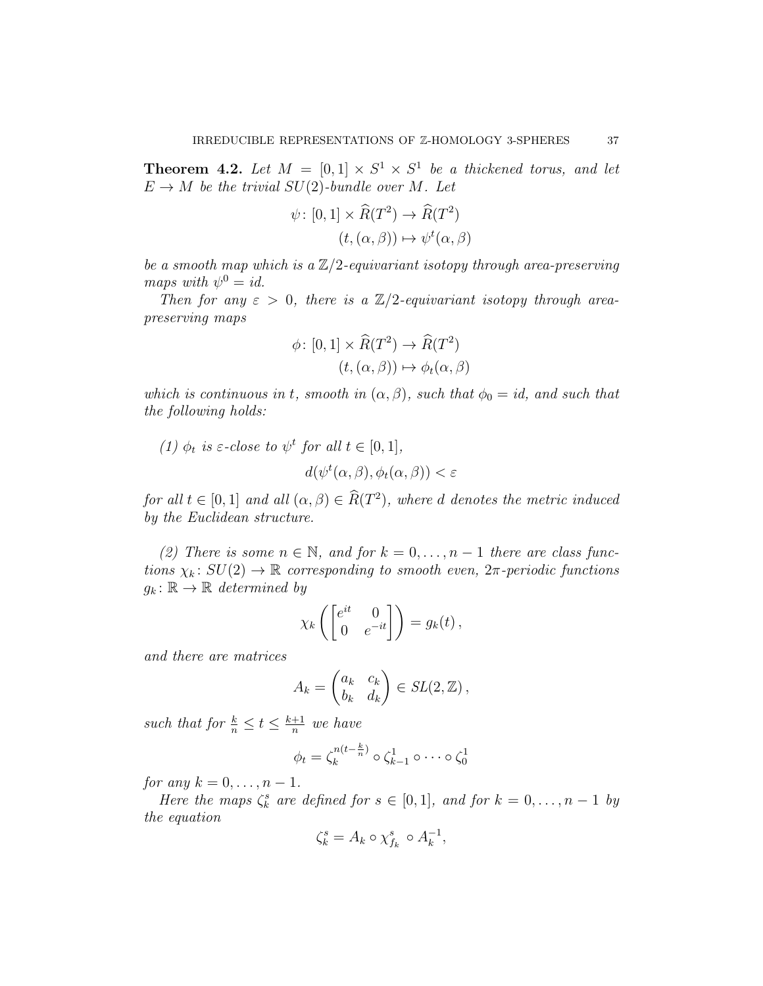<span id="page-36-0"></span>**Theorem 4.2.** Let  $M = [0,1] \times S^1 \times S^1$  be a thickened torus, and let  $E \to M$  be the trivial  $SU(2)$ -bundle over M. Let

$$
\psi: [0,1] \times \widehat{R}(T^2) \to \widehat{R}(T^2)
$$

$$
(t, (\alpha, \beta)) \mapsto \psi^t(\alpha, \beta)
$$

be a smooth map which is a  $\mathbb{Z}/2$ -equivariant isotopy through area-preserving maps with  $\psi^0 = id$ .

Then for any  $\varepsilon > 0$ , there is a  $\mathbb{Z}/2$ -equivariant isotopy through areapreserving maps

$$
\phi \colon [0,1] \times \widehat{R}(T^2) \to \widehat{R}(T^2)
$$

$$
(t, (\alpha, \beta)) \mapsto \phi_t(\alpha, \beta)
$$

 $\mathbb{R}^2$ 

which is continuous in t, smooth in  $(\alpha, \beta)$ , such that  $\phi_0 = id$ , and such that the following holds:

(1) 
$$
\phi_t
$$
 is  $\varepsilon$ -close to  $\psi^t$  for all  $t \in [0, 1]$ ,  
 $d(\psi^t(\alpha, \beta), \phi_t(\alpha, \beta)) < \varepsilon$ 

for all  $t \in [0,1]$  and all  $(\alpha, \beta) \in R(T^2)$ , where d denotes the metric induced by the Euclidean structure.

(2) There is some  $n \in \mathbb{N}$ , and for  $k = 0, \ldots, n-1$  there are class functions  $\chi_k$ :  $SU(2) \to \mathbb{R}$  corresponding to smooth even,  $2\pi$ -periodic functions  $g_k: \mathbb{R} \to \mathbb{R}$  determined by

$$
\chi_k\left(\begin{bmatrix} e^{it} & 0\\ 0 & e^{-it} \end{bmatrix}\right) = g_k(t),
$$

and there are matrices

$$
A_k = \begin{pmatrix} a_k & c_k \\ b_k & d_k \end{pmatrix} \in SL(2, \mathbb{Z}),
$$

such that for  $\frac{k}{n} \leq t \leq \frac{k+1}{n}$  $\frac{+1}{n}$  we have

$$
\phi_t = \zeta_k^{n(t-\frac{k}{n})} \circ \zeta_{k-1}^1 \circ \cdots \circ \zeta_0^1
$$

for any  $k = 0, \ldots, n-1$ .

Here the maps  $\zeta_k^s$  are defined for  $s \in [0,1]$ , and for  $k = 0, \ldots, n-1$  by the equation

$$
\zeta_k^s = A_k \circ \chi_{f_k}^s \circ A_k^{-1},
$$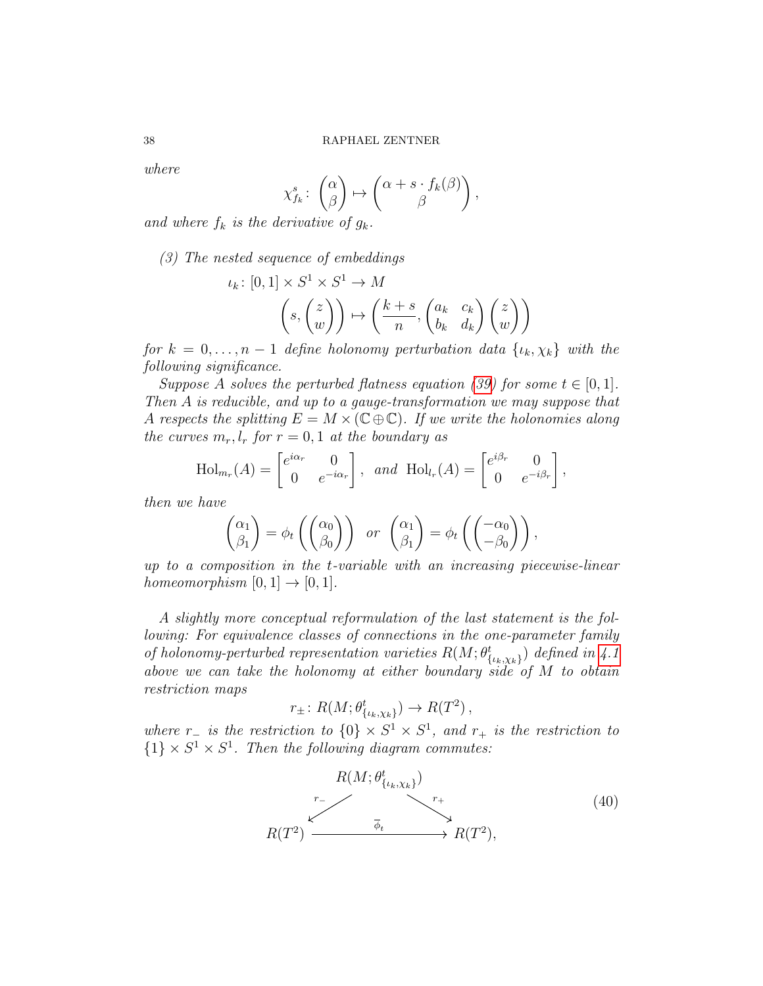where

$$
\chi_{f_k}^s \colon \begin{pmatrix} \alpha \\ \beta \end{pmatrix} \mapsto \begin{pmatrix} \alpha + s \cdot f_k(\beta) \\ \beta \end{pmatrix},
$$

and where  $f_k$  is the derivative of  $g_k$ .

(3) The nested sequence of embeddings

$$
\iota_k \colon [0,1] \times S^1 \times S^1 \to M
$$

$$
\left(s, \begin{pmatrix} z \\ w \end{pmatrix}\right) \mapsto \left(\frac{k+s}{n}, \begin{pmatrix} a_k & c_k \\ b_k & d_k \end{pmatrix} \begin{pmatrix} z \\ w \end{pmatrix}\right)
$$

for  $k = 0, \ldots, n-1$  define holonomy perturbation data  $\{\iota_k, \chi_k\}$  with the following significance.

Suppose A solves the perturbed flatness equation [\(39\)](#page-35-0) for some  $t \in [0, 1]$ . Then A is reducible, and up to a gauge-transformation we may suppose that A respects the splitting  $E = M \times (C \oplus C)$ . If we write the holonomies along the curves  $m_r, l_r$  for  $r = 0, 1$  at the boundary as

$$
\text{Hol}_{m_r}(A) = \begin{bmatrix} e^{i\alpha_r} & 0 \\ 0 & e^{-i\alpha_r} \end{bmatrix}, \text{ and } \text{Hol}_{l_r}(A) = \begin{bmatrix} e^{i\beta_r} & 0 \\ 0 & e^{-i\beta_r} \end{bmatrix},
$$

then we have

$$
\begin{pmatrix} \alpha_1 \\ \beta_1 \end{pmatrix} = \phi_t \left( \begin{pmatrix} \alpha_0 \\ \beta_0 \end{pmatrix} \right) \quad \text{or} \quad \begin{pmatrix} \alpha_1 \\ \beta_1 \end{pmatrix} = \phi_t \left( \begin{pmatrix} -\alpha_0 \\ -\beta_0 \end{pmatrix} \right),
$$

up to a composition in the t-variable with an increasing piecewise-linear homeomorphism  $[0, 1] \rightarrow [0, 1]$ .

A slightly more conceptual reformulation of the last statement is the following: For equivalence classes of connections in the one-parameter family of holonomy-perturbed representation varieties  $R(M; \theta_{\{\iota_k,\chi_k\}}^t)$  defined in [4.1](#page-35-1) above we can take the holonomy at either boundary side of  $M$  to obtain restriction maps

$$
r_{\pm} \colon R(M; \theta^t_{\{\iota_k,\chi_k\}}) \to R(T^2) ,
$$

where  $r_-\;$  is the restriction to  $\{0\} \times S^1 \times S^1$ , and  $r_+\;$  is the restriction to  $\{1\} \times S^1 \times S^1$ . Then the following diagram commutes:

$$
R(M; \theta_{\{\iota_k, \chi_k\}}^t) \longrightarrow r_+ \longrightarrow R(T^2),
$$
\n
$$
R(T^2) \longrightarrow R(T^2),
$$
\n(40)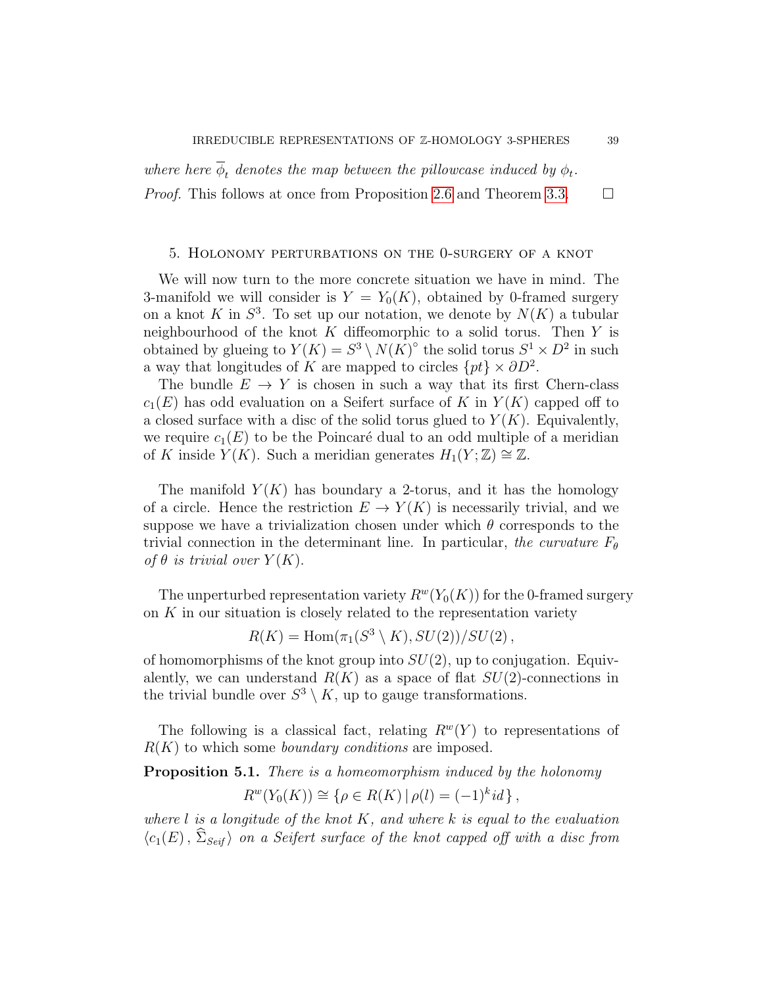where here  $\phi_t$  denotes the map between the pillowcase induced by  $\phi_t$ . *Proof.* This follows at once from Proposition [2.6](#page-19-0) and Theorem [3.3.](#page-20-0)  $\Box$ 

## <span id="page-38-1"></span>5. Holonomy perturbations on the 0-surgery of a knot

We will now turn to the more concrete situation we have in mind. The 3-manifold we will consider is  $Y = Y_0(K)$ , obtained by 0-framed surgery on a knot K in  $S^3$ . To set up our notation, we denote by  $N(K)$  a tubular neighbourhood of the knot  $K$  diffeomorphic to a solid torus. Then  $Y$  is obtained by glueing to  $Y(K) = S^3 \setminus N(K)^\circ$  the solid torus  $S^1 \times D^2$  in such a way that longitudes of K are mapped to circles  $\{pt\} \times \partial D^2$ .

The bundle  $E \to Y$  is chosen in such a way that its first Chern-class  $c_1(E)$  has odd evaluation on a Seifert surface of K in  $Y(K)$  capped off to a closed surface with a disc of the solid torus glued to  $Y(K)$ . Equivalently, we require  $c_1(E)$  to be the Poincaré dual to an odd multiple of a meridian of K inside  $Y(K)$ . Such a meridian generates  $H_1(Y;\mathbb{Z}) \cong \mathbb{Z}$ .

The manifold  $Y(K)$  has boundary a 2-torus, and it has the homology of a circle. Hence the restriction  $E \to Y(K)$  is necessarily trivial, and we suppose we have a trivialization chosen under which  $\theta$  corresponds to the trivial connection in the determinant line. In particular, the curvature  $F_{\theta}$ of  $\theta$  is trivial over  $Y(K)$ .

The unperturbed representation variety  $R^w(Y_0(K))$  for the 0-framed surgery on  $K$  in our situation is closely related to the representation variety

$$
R(K) = \text{Hom}(\pi_1(S^3 \setminus K), SU(2))/SU(2),
$$

of homomorphisms of the knot group into  $SU(2)$ , up to conjugation. Equivalently, we can understand  $R(K)$  as a space of flat  $SU(2)$ -connections in the trivial bundle over  $S^3 \setminus K$ , up to gauge transformations.

The following is a classical fact, relating  $R^w(Y)$  to representations of  $R(K)$  to which some *boundary conditions* are imposed.

<span id="page-38-0"></span>**Proposition 5.1.** There is a homeomorphism induced by the holonomy

$$
R^{w}(Y_0(K)) \cong {\rho \in R(K) | \rho(l) = (-1)^k id },
$$

where  $l$  is a longitude of the knot  $K$ , and where k is equal to the evaluation  $\langle c_1(E), \hat{\Sigma}_{Seif} \rangle$  on a Seifert surface of the knot capped off with a disc from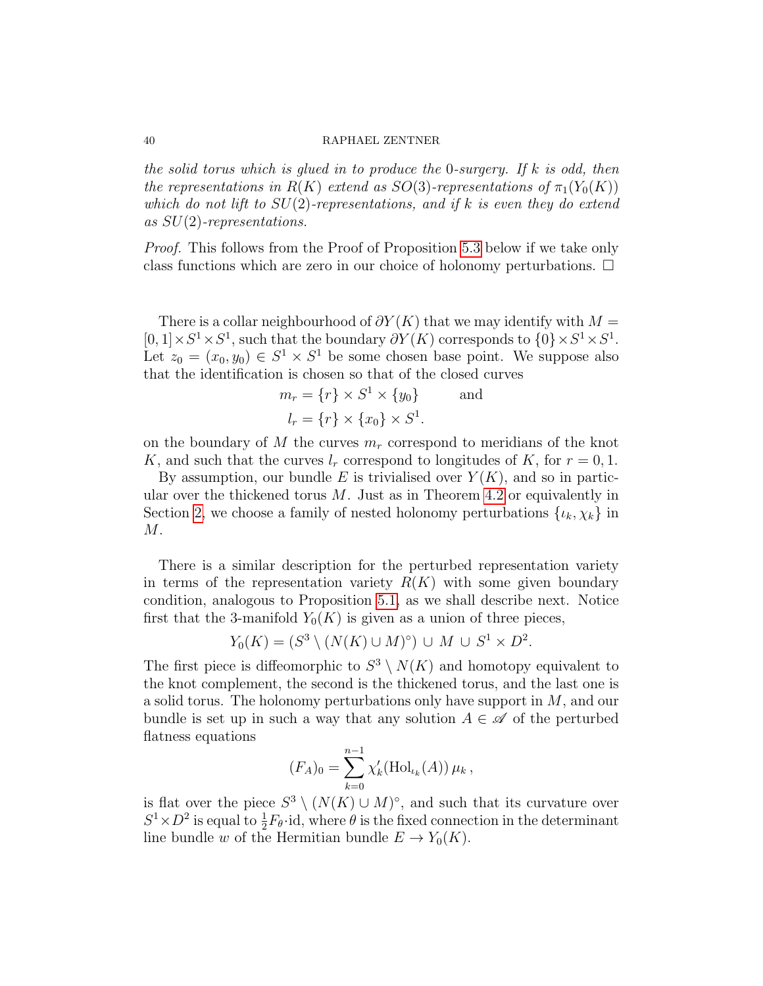the solid torus which is glued in to produce the 0-surgery. If k is odd, then the representations in  $R(K)$  extend as  $SO(3)$ -representations of  $\pi_1(Y_0(K))$ which do not lift to  $SU(2)$ -representations, and if k is even they do extend as  $SU(2)$ -representations.

Proof. This follows from the Proof of Proposition [5.3](#page-40-0) below if we take only class functions which are zero in our choice of holonomy perturbations.  $\Box$ 

There is a collar neighbourhood of  $\partial Y(K)$  that we may identify with  $M =$  $[0,1] \times S^1 \times S^1$ , such that the boundary  $\partial Y(K)$  corresponds to  $\{0\} \times S^1 \times S^1$ . Let  $z_0 = (x_0, y_0) \in S^1 \times S^1$  be some chosen base point. We suppose also that the identification is chosen so that of the closed curves

$$
m_r = \{r\} \times S^1 \times \{y_0\} \quad \text{and}
$$

$$
l_r = \{r\} \times \{x_0\} \times S^1.
$$

on the boundary of M the curves  $m_r$  correspond to meridians of the knot K, and such that the curves  $l_r$  correspond to longitudes of K, for  $r = 0, 1$ .

By assumption, our bundle E is trivialised over  $Y(K)$ , and so in particular over the thickened torus  $M$ . Just as in Theorem [4.2](#page-36-0) or equivalently in Section [2,](#page-13-0) we choose a family of nested holonomy perturbations  $\{\iota_k, \chi_k\}$  in  $M$ .

There is a similar description for the perturbed representation variety in terms of the representation variety  $R(K)$  with some given boundary condition, analogous to Proposition [5.1,](#page-38-0) as we shall describe next. Notice first that the 3-manifold  $Y_0(K)$  is given as a union of three pieces,

$$
Y_0(K) = (S^3 \setminus (N(K) \cup M)^\circ) \cup M \cup S^1 \times D^2.
$$

The first piece is diffeomorphic to  $S^3 \setminus N(K)$  and homotopy equivalent to the knot complement, the second is the thickened torus, and the last one is a solid torus. The holonomy perturbations only have support in M, and our bundle is set up in such a way that any solution  $A \in \mathscr{A}$  of the perturbed flatness equations

$$
(F_A)_0 = \sum_{k=0}^{n-1} \chi'_k(\text{Hol}_{\iota_k}(A)) \,\mu_k\,,
$$

is flat over the piece  $S^3 \setminus (N(K) \cup M)^\circ$ , and such that its curvature over  $S^1 \times D^2$  is equal to  $\frac{1}{2}F_{\theta}$  id, where  $\theta$  is the fixed connection in the determinant line bundle w of the Hermitian bundle  $E \to Y_0(K)$ .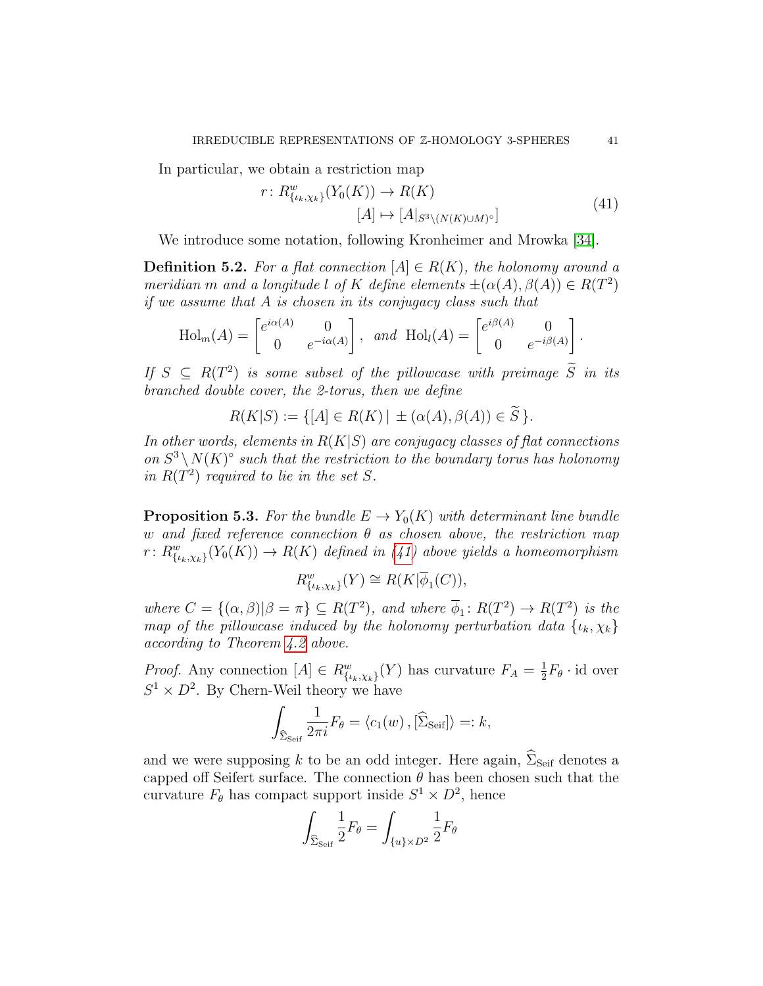<span id="page-40-1"></span>In particular, we obtain a restriction map

$$
r: R^{w}_{\{\iota_k, \chi_k\}}(Y_0(K)) \to R(K)
$$
  

$$
[A] \mapsto [A|_{S^3 \setminus (N(K) \cup M)^\circ}]
$$
 (41)

We introduce some notation, following Kronheimer and Mrowka [\[34\]](#page-69-1).

**Definition 5.2.** For a flat connection  $[A] \in R(K)$ , the holonomy around a meridian m and a longitude l of K define elements  $\pm(\alpha(A), \beta(A)) \in R(T^2)$ if we assume that A is chosen in its conjugacy class such that

$$
\text{Hol}_m(A) = \begin{bmatrix} e^{i\alpha(A)} & 0 \\ 0 & e^{-i\alpha(A)} \end{bmatrix}, \text{ and } \text{Hol}_l(A) = \begin{bmatrix} e^{i\beta(A)} & 0 \\ 0 & e^{-i\beta(A)} \end{bmatrix}.
$$

If  $S \subseteq R(T^2)$  is some subset of the pillowcase with preimage  $\widetilde{S}$  in its branched double cover, the 2-torus, then we define

$$
R(K|S) := \{ [A] \in R(K) \mid \pm (\alpha(A), \beta(A)) \in \widetilde{S} \}.
$$

In other words, elements in  $R(K|S)$  are conjugacy classes of flat connections on  $S^3 \setminus N(K)^\circ$  such that the restriction to the boundary torus has holonomy in  $R(T^2)$  required to lie in the set S.

<span id="page-40-0"></span>**Proposition 5.3.** For the bundle  $E \to Y_0(K)$  with determinant line bundle w and fixed reference connection  $\theta$  as chosen above, the restriction map  $r: R^w_{\{\iota_k,\chi_k\}}(Y_0(K)) \to R(K)$  defined in [\(41\)](#page-40-1) above yields a homeomorphism

$$
R^w_{\{\iota_k,\chi_k\}}(Y) \cong R(K|\overline{\phi}_1(C)),
$$

where  $C = \{(\alpha, \beta)| \beta = \pi\} \subseteq R(T^2)$ , and where  $\overline{\phi}_1 : R(T^2) \to R(T^2)$  is the map of the pillowcase induced by the holonomy perturbation data  $\{i_k, \chi_k\}$ according to Theorem [4.2](#page-36-0) above.

*Proof.* Any connection  $[A] \in R_{\{\iota_k,\chi_k\}}^w(Y)$  has curvature  $F_A = \frac{1}{2}$  $\frac{1}{2}F_{\theta} \cdot id$  over  $S^1 \times D^2$ . By Chern-Weil theory we have

$$
\int_{\widehat{\Sigma}_{\text{Seif}}}\frac{1}{2\pi i}F_{\theta}=\langle c_1(w),[\widehat{\Sigma}_{\text{Seif}}]\rangle=:k,
$$

and we were supposing k to be an odd integer. Here again,  $\hat{\Sigma}_{\text{Seif}}$  denotes a capped off Seifert surface. The connection  $\theta$  has been chosen such that the curvature  $F_{\theta}$  has compact support inside  $S^1 \times D^2$ , hence

$$
\int_{\widehat{\Sigma}_{\mathrm{Seif}}}\frac{1}{2}F_{\theta}=\int_{\{u\}\times D^2}\frac{1}{2}F_{\theta}
$$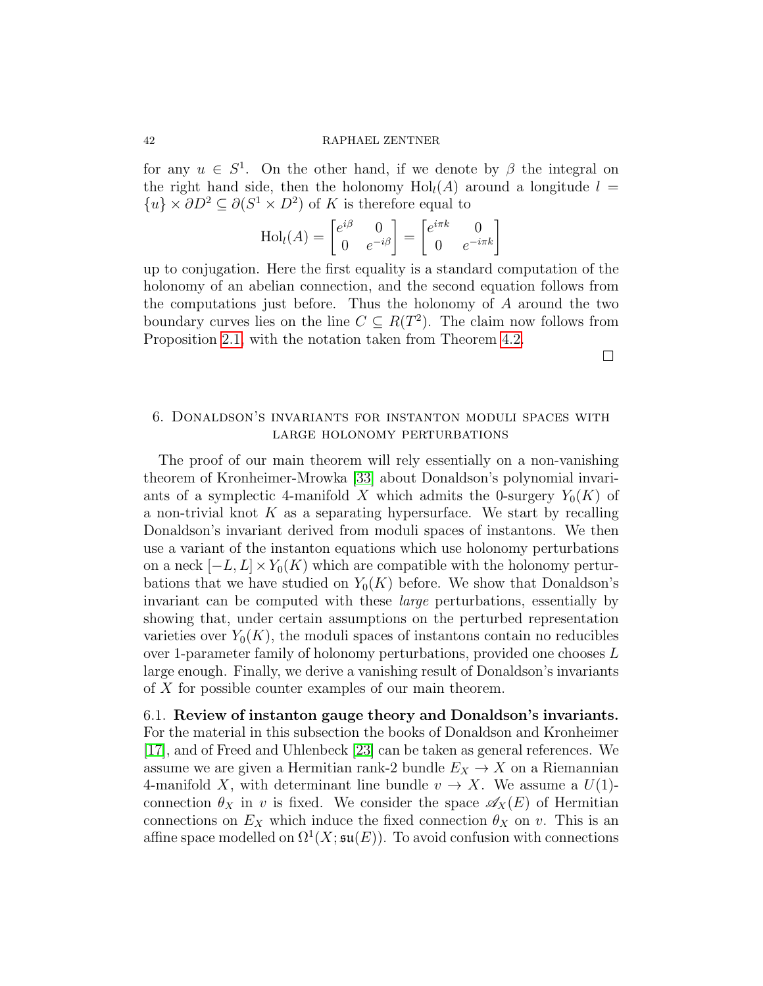for any  $u \in S^1$ . On the other hand, if we denote by  $\beta$  the integral on the right hand side, then the holonomy  $Hol<sub>l</sub>(A)$  around a longitude  $l =$  $\{u\}\times \partial D^2 \subseteq \partial (S^1 \times D^2)$  of K is therefore equal to

$$
\text{Hol}_l(A) = \begin{bmatrix} e^{i\beta} & 0\\ 0 & e^{-i\beta} \end{bmatrix} = \begin{bmatrix} e^{i\pi k} & 0\\ 0 & e^{-i\pi k} \end{bmatrix}
$$

up to conjugation. Here the first equality is a standard computation of the holonomy of an abelian connection, and the second equation follows from the computations just before. Thus the holonomy of A around the two boundary curves lies on the line  $C \subseteq R(T^2)$ . The claim now follows from Proposition [2.1,](#page-14-3) with the notation taken from Theorem [4.2.](#page-36-0)

 $\Box$ 

# 6. Donaldson's invariants for instanton moduli spaces with large holonomy perturbations

The proof of our main theorem will rely essentially on a non-vanishing theorem of Kronheimer-Mrowka [\[33\]](#page-69-0) about Donaldson's polynomial invariants of a symplectic 4-manifold X which admits the 0-surgery  $Y_0(K)$  of a non-trivial knot  $K$  as a separating hypersurface. We start by recalling Donaldson's invariant derived from moduli spaces of instantons. We then use a variant of the instanton equations which use holonomy perturbations on a neck  $[-L, L] \times Y_0(K)$  which are compatible with the holonomy perturbations that we have studied on  $Y_0(K)$  before. We show that Donaldson's invariant can be computed with these large perturbations, essentially by showing that, under certain assumptions on the perturbed representation varieties over  $Y_0(K)$ , the moduli spaces of instantons contain no reducibles over 1-parameter family of holonomy perturbations, provided one chooses L large enough. Finally, we derive a vanishing result of Donaldson's invariants of X for possible counter examples of our main theorem.

6.1. Review of instanton gauge theory and Donaldson's invariants. For the material in this subsection the books of Donaldson and Kronheimer [\[17\]](#page-68-9), and of Freed and Uhlenbeck [\[23\]](#page-68-10) can be taken as general references. We assume we are given a Hermitian rank-2 bundle  $E_X \to X$  on a Riemannian 4-manifold X, with determinant line bundle  $v \to X$ . We assume a  $U(1)$ connection  $\theta_X$  in v is fixed. We consider the space  $\mathscr{A}_X(E)$  of Hermitian connections on  $E_X$  which induce the fixed connection  $\theta_X$  on v. This is an affine space modelled on  $\Omega^1(X; \mathfrak{su}(E))$ . To avoid confusion with connections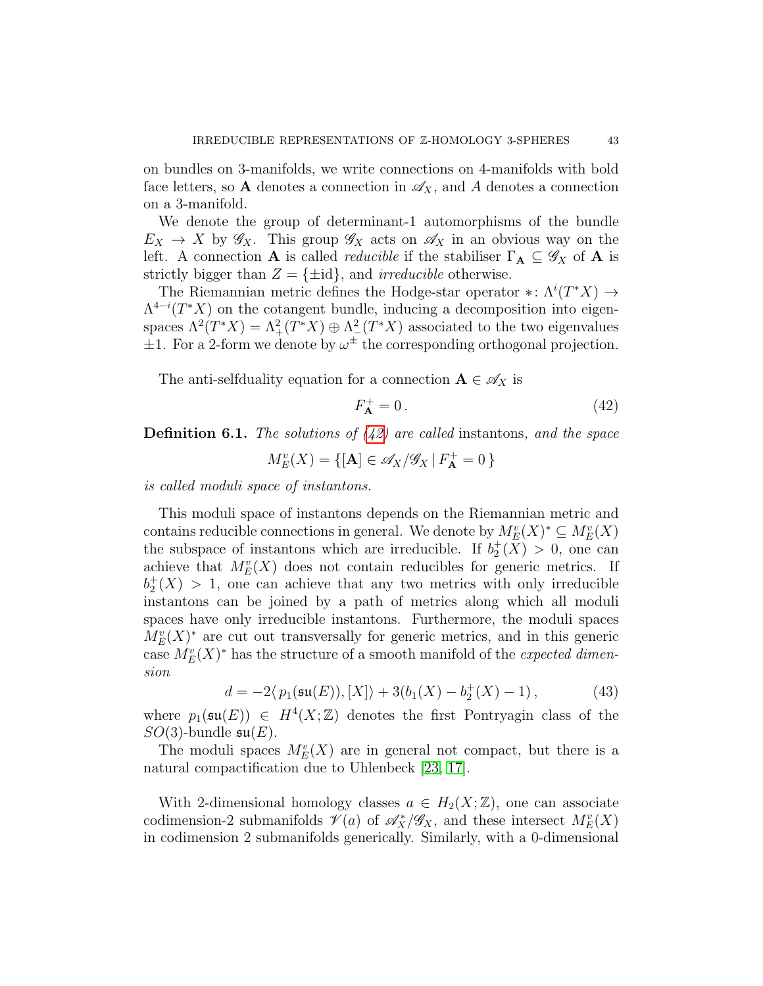on bundles on 3-manifolds, we write connections on 4-manifolds with bold face letters, so A denotes a connection in  $\mathscr{A}_X$ , and A denotes a connection on a 3-manifold.

We denote the group of determinant-1 automorphisms of the bundle  $E_X \to X$  by  $\mathscr{G}_X$ . This group  $\mathscr{G}_X$  acts on  $\mathscr{A}_X$  in an obvious way on the left. A connection **A** is called *reducible* if the stabiliser  $\Gamma_{\mathbf{A}} \subseteq \mathscr{G}_X$  of **A** is strictly bigger than  $Z = \{\pm id\}$ , and *irreducible* otherwise.

The Riemannian metric defines the Hodge-star operator \*:  $\Lambda^{i}(T^*X) \to$  $\Lambda^{4-i}(T^*X)$  on the cotangent bundle, inducing a decomposition into eigenspaces  $\Lambda^2(T^*X) = \Lambda^2_+(T^*X) \oplus \Lambda^2_-(T^*X)$  associated to the two eigenvalues  $\pm 1$ . For a 2-form we denote by  $\omega^{\pm}$  the corresponding orthogonal projection.

The anti-selfduality equation for a connection  $\mathbf{A} \in \mathscr{A}_X$  is

<span id="page-42-0"></span>
$$
F_{\mathbf{A}}^{+} = 0. \tag{42}
$$

**Definition 6.1.** The solutions of  $(42)$  are called instantons, and the space

$$
M^v_E(X) = \{ [\mathbf{A}] \in \mathscr{A}_X / \mathscr{G}_X \, | \, F_\mathbf{A}^+ = 0 \, \}
$$

is called moduli space of instantons.

This moduli space of instantons depends on the Riemannian metric and contains reducible connections in general. We denote by  $M_E^v(X)^* \subseteq M_E^v(X)$ the subspace of instantons which are irreducible. If  $b_2^+(\bar{X}) > 0$ , one can achieve that  $M_E^v(X)$  does not contain reducibles for generic metrics. If  $b_2^+(X) > 1$ , one can achieve that any two metrics with only irreducible instantons can be joined by a path of metrics along which all moduli spaces have only irreducible instantons. Furthermore, the moduli spaces  $M_E^v(X)^*$  are cut out transversally for generic metrics, and in this generic case  $M_E^v(X)^*$  has the structure of a smooth manifold of the *expected dimen*sion

<span id="page-42-1"></span>
$$
d = -2\langle p_1(\mathfrak{su}(E)), [X] \rangle + 3(b_1(X) - b_2^+(X) - 1) , \qquad (43)
$$

where  $p_1(\mathfrak{su}(E)) \in H^4(X;\mathbb{Z})$  denotes the first Pontryagin class of the  $SO(3)$ -bundle  $\mathfrak{su}(E)$ .

The moduli spaces  $M_E^v(X)$  are in general not compact, but there is a natural compactification due to Uhlenbeck [\[23,](#page-68-10) [17\]](#page-68-9).

With 2-dimensional homology classes  $a \in H_2(X;\mathbb{Z})$ , one can associate codimension-2 submanifolds  $\mathscr{V}(a)$  of  $\mathscr{A}_X^*/\mathscr{G}_X$ , and these intersect  $M_E^v(X)$ in codimension 2 submanifolds generically. Similarly, with a 0-dimensional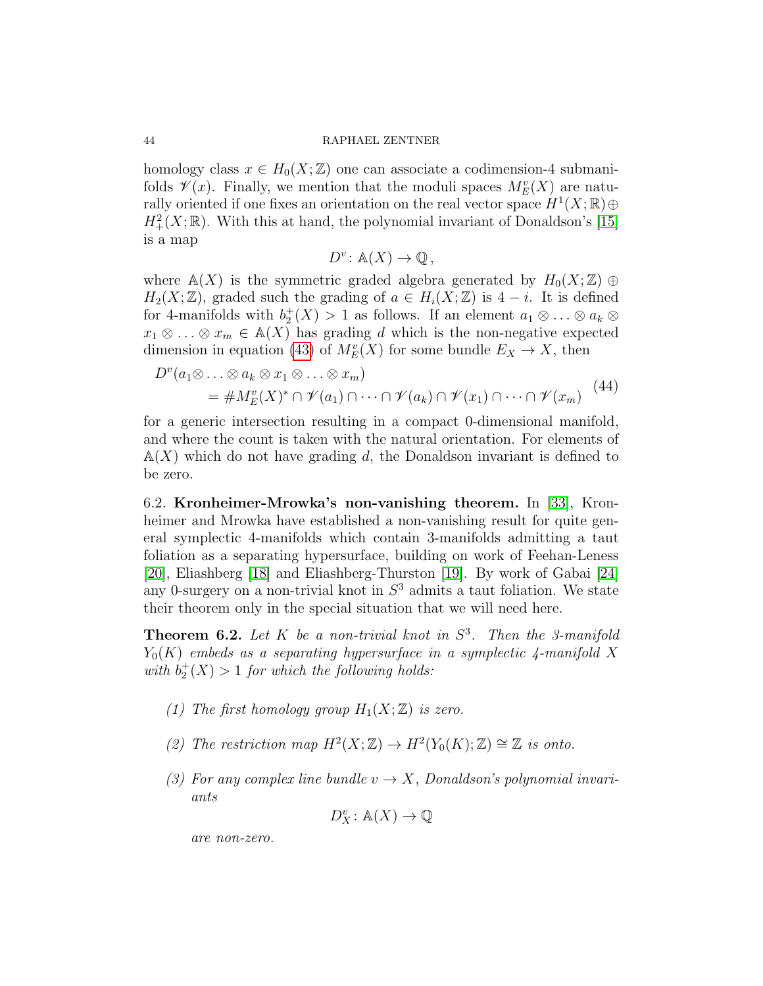homology class  $x \in H_0(X;\mathbb{Z})$  one can associate a codimension-4 submanifolds  $\mathscr{V}(x)$ . Finally, we mention that the moduli spaces  $M_E^v(X)$  are naturally oriented if one fixes an orientation on the real vector space  $H^1(X;\mathbb{R})\oplus$  $H^2_+(X;\mathbb{R})$ . With this at hand, the polynomial invariant of Donaldson's [\[15\]](#page-68-11) is a map

$$
D^v \colon \mathbb{A}(X) \to \mathbb{Q},
$$

where  $\mathbb{A}(X)$  is the symmetric graded algebra generated by  $H_0(X;\mathbb{Z})\oplus$  $H_2(X;\mathbb{Z})$ , graded such the grading of  $a \in H_i(X;\mathbb{Z})$  is  $4-i$ . It is defined for 4-manifolds with  $b_2^+(X) > 1$  as follows. If an element  $a_1 \otimes \ldots \otimes a_k \otimes$  $x_1 \otimes \ldots \otimes x_m \in A(X)$  has grading d which is the non-negative expected dimension in equation [\(43\)](#page-42-1) of  $M_E^v(X)$  for some bundle  $E_X \to X$ , then

<span id="page-43-1"></span>
$$
D^{\nu}(a_1 \otimes \ldots \otimes a_k \otimes x_1 \otimes \ldots \otimes x_m)
$$
  
= 
$$
\# M_E^{\nu}(X)^* \cap \mathscr{V}(a_1) \cap \cdots \cap \mathscr{V}(a_k) \cap \mathscr{V}(x_1) \cap \cdots \cap \mathscr{V}(x_m)
$$
 (44)

for a generic intersection resulting in a compact 0-dimensional manifold, and where the count is taken with the natural orientation. For elements of  $\mathbb{A}(X)$  which do not have grading d, the Donaldson invariant is defined to be zero.

6.2. Kronheimer-Mrowka's non-vanishing theorem. In [\[33\]](#page-69-0), Kronheimer and Mrowka have established a non-vanishing result for quite general symplectic 4-manifolds which contain 3-manifolds admitting a taut foliation as a separating hypersurface, building on work of Feehan-Leness [\[20\]](#page-68-12), Eliashberg [\[18\]](#page-68-13) and Eliashberg-Thurston [\[19\]](#page-68-14). By work of Gabai [\[24\]](#page-68-15) any 0-surgery on a non-trivial knot in  $S<sup>3</sup>$  admits a taut foliation. We state their theorem only in the special situation that we will need here.

<span id="page-43-0"></span>**Theorem 6.2.** Let  $K$  be a non-trivial knot in  $S^3$ . Then the 3-manifold  $Y_0(K)$  embeds as a separating hypersurface in a symplectic 4-manifold X with  $b_2^+(X) > 1$  for which the following holds:

- (1) The first homology group  $H_1(X;\mathbb{Z})$  is zero.
- (2) The restriction map  $H^2(X;\mathbb{Z}) \to H^2(Y_0(K);\mathbb{Z}) \cong \mathbb{Z}$  is onto.
- (3) For any complex line bundle  $v \to X$ , Donaldson's polynomial invariants

$$
D_X^v\colon \mathbb{A}(X)\to \mathbb{Q}
$$

are non-zero.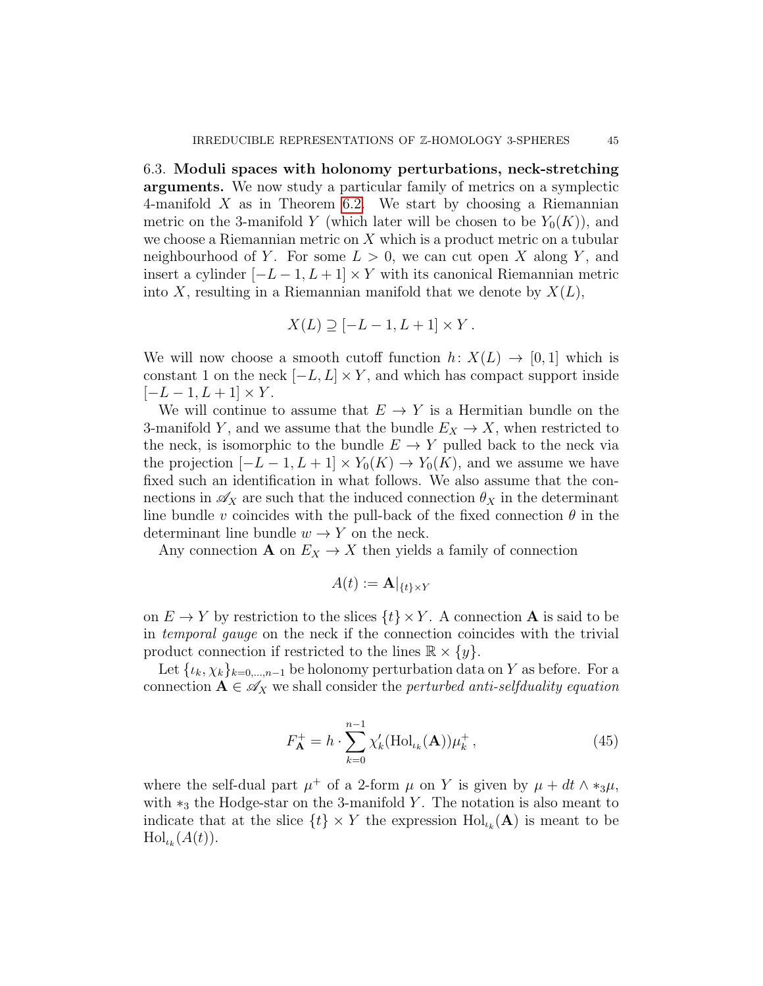6.3. Moduli spaces with holonomy perturbations, neck-stretching arguments. We now study a particular family of metrics on a symplectic 4-manifold  $X$  as in Theorem [6.2.](#page-43-0) We start by choosing a Riemannian metric on the 3-manifold Y (which later will be chosen to be  $Y_0(K)$ ), and we choose a Riemannian metric on  $X$  which is a product metric on a tubular neighbourhood of Y. For some  $L > 0$ , we can cut open X along Y, and insert a cylinder  $[-L-1, L+1] \times Y$  with its canonical Riemannian metric into X, resulting in a Riemannian manifold that we denote by  $X(L)$ ,

$$
X(L) \supseteq [-L-1, L+1] \times Y.
$$

We will now choose a smooth cutoff function  $h: X(L) \to [0, 1]$  which is constant 1 on the neck  $[-L, L] \times Y$ , and which has compact support inside  $[-L - 1, L + 1] \times Y$ .

We will continue to assume that  $E \to Y$  is a Hermitian bundle on the 3-manifold Y, and we assume that the bundle  $E_X \to X$ , when restricted to the neck, is isomorphic to the bundle  $E \to Y$  pulled back to the neck via the projection  $[-L-1, L+1] \times Y_0(K) \to Y_0(K)$ , and we assume we have fixed such an identification in what follows. We also assume that the connections in  $\mathscr{A}_X$  are such that the induced connection  $\theta_X$  in the determinant line bundle v coincides with the pull-back of the fixed connection  $\theta$  in the determinant line bundle  $w \to Y$  on the neck.

Any connection **A** on  $E_X \to X$  then yields a family of connection

$$
A(t) := \mathbf{A}|_{\{t\} \times Y}
$$

on  $E \to Y$  by restriction to the slices  $\{t\} \times Y$ . A connection **A** is said to be in temporal gauge on the neck if the connection coincides with the trivial product connection if restricted to the lines  $\mathbb{R} \times \{y\}.$ 

Let  $\{\iota_k, \chi_k\}_{k=0,\dots,n-1}$  be holonomy perturbation data on Y as before. For a connection  $A \in \mathscr{A}_X$  we shall consider the *perturbed anti-selfduality equation* 

<span id="page-44-0"></span>
$$
F_{\mathbf{A}}^{+} = h \cdot \sum_{k=0}^{n-1} \chi_{k}'(\mathrm{Hol}_{\iota_{k}}(\mathbf{A})) \mu_{k}^{+},
$$
\n(45)

where the self-dual part  $\mu^+$  of a 2-form  $\mu$  on Y is given by  $\mu + dt \wedge *_3\mu$ , with  $*_3$  the Hodge-star on the 3-manifold Y. The notation is also meant to indicate that at the slice  $\{t\} \times Y$  the expression  $\text{Hol}_{\iota_k}(\mathbf{A})$  is meant to be  $\mathrm{Hol}_{\iota_k}(A(t)).$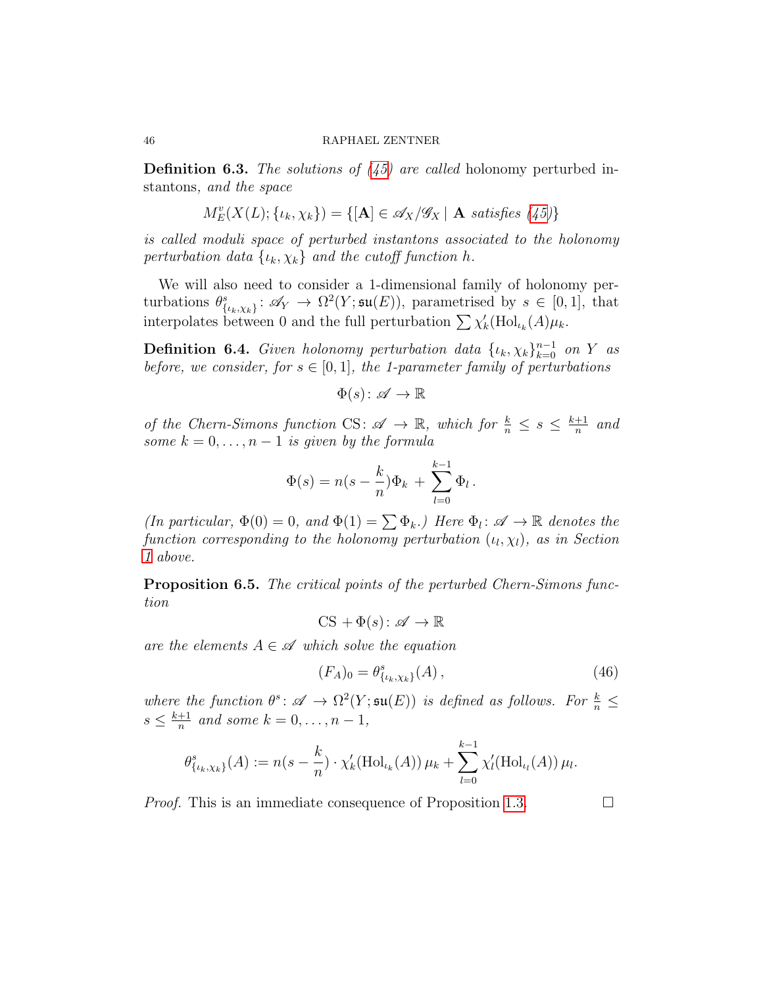**Definition 6.3.** The solutions of  $(45)$  are called holonomy perturbed instantons, and the space

$$
M_E^v(X(L); \{\iota_k, \chi_k\}) = \{ [\mathbf{A}] \in \mathscr{A}_X/\mathscr{G}_X \mid \mathbf{A} \text{ satisfies (45)} \}
$$

is called moduli space of perturbed instantons associated to the holonomy perturbation data  $\{u_k, \chi_k\}$  and the cutoff function h.

We will also need to consider a 1-dimensional family of holonomy perturbations  $\theta_{\{\iota_k,\chi_k\}}^s \colon \mathscr{A}_Y \to \Omega^2(Y;\mathfrak{su}(E)),$  parametrised by  $s \in [0,1],$  that interpolates between 0 and the full perturbation  $\sum \chi'_k(\text{Hol}_{\iota_k}(A)\mu_k)$ .

**Definition 6.4.** Given holonomy perturbation data  $\{\iota_k, \chi_k\}_{k=0}^{n-1}$  on Y as before, we consider, for  $s \in [0,1]$ , the 1-parameter family of perturbations

 $\Phi(s) : \mathscr{A} \to \mathbb{R}$ 

of the Chern-Simons function CS:  $\mathscr{A} \to \mathbb{R}$ , which for  $\frac{k}{n} \leq s \leq \frac{k+1}{n}$  $\frac{+1}{n}$  and some  $k = 0, \ldots, n - 1$  is given by the formula

$$
\Phi(s) = n(s - \frac{k}{n})\Phi_k + \sum_{l=0}^{k-1} \Phi_l.
$$

(In particular,  $\Phi(0) = 0$ , and  $\Phi(1) = \sum \Phi_k$ .) Here  $\Phi_l: \mathscr{A} \to \mathbb{R}$  denotes the function corresponding to the holonomy perturbation  $(\iota_l, \chi_l)$ , as in Section [1](#page-10-0) above.

Proposition 6.5. The critical points of the perturbed Chern-Simons function

$$
CS + \Phi(s) \colon \mathscr{A} \to \mathbb{R}
$$

are the elements  $A \in \mathscr{A}$  which solve the equation

<span id="page-45-0"></span>
$$
(F_A)_0 = \theta^s_{\{\iota_k, \chi_k\}}(A) \,, \tag{46}
$$

where the function  $\theta^s \colon \mathscr{A} \to \Omega^2(Y; \mathfrak{su}(E))$  is defined as follows. For  $\frac{k}{n} \leq$  $s \leq \frac{k+1}{n}$  $\frac{+1}{n}$  and some  $k = 0, \ldots, n - 1$ ,

$$
\theta_{\{\iota_k,\chi_k\}}^s(A) := n(s - \frac{k}{n}) \cdot \chi'_k(\text{Hol}_{\iota_k}(A)) \mu_k + \sum_{l=0}^{k-1} \chi'_l(\text{Hol}_{\iota_l}(A)) \mu_l.
$$

*Proof.* This is an immediate consequence of Proposition [1.3.](#page-13-1)  $\Box$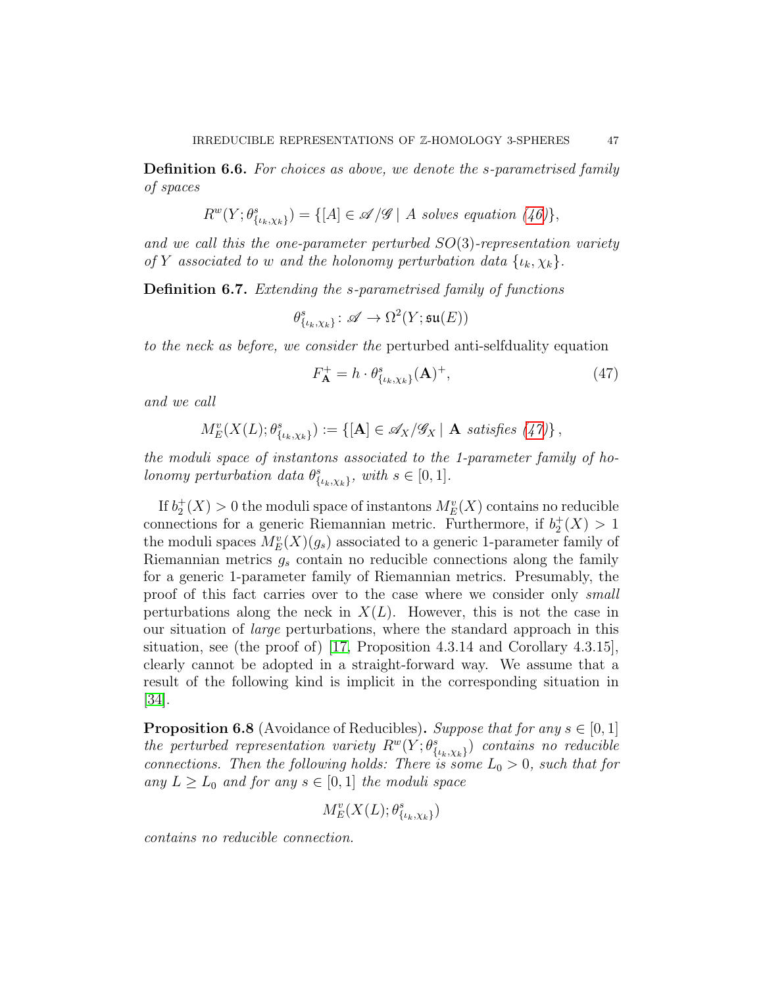Definition 6.6. For choices as above, we denote the s-parametrised family of spaces

$$
R^{w}(Y; \theta_{\{\iota_k,\chi_k\}}^{s}) = \{ [A] \in \mathscr{A}/\mathscr{G} \mid A \text{ solves equation (46)} \},
$$

and we call this the one-parameter perturbed  $SO(3)$ -representation variety of Y associated to w and the holonomy perturbation data  $\{i_k, \chi_k\}.$ 

Definition 6.7. Extending the s-parametrised family of functions

$$
\theta^s_{\{\iota_k,\chi_k\}}\colon \mathscr{A}\to \Omega^2(Y;\mathfrak{su}(E))
$$

to the neck as before, we consider the perturbed anti-selfduality equation

<span id="page-46-0"></span>
$$
F_{\mathbf{A}}^{+} = h \cdot \theta_{\{\iota_k, \chi_k\}}^{\mathrm{s}}(\mathbf{A})^{+},\tag{47}
$$

and we call

$$
M_E^v(X(L); \theta^s_{\{\iota_k,\chi_k\}}) := \{ [\mathbf{A}] \in \mathscr{A}_X/\mathscr{G}_X \mid \mathbf{A} \text{ satisfies } (47) \},
$$

the moduli space of instantons associated to the 1-parameter family of holonomy perturbation data  $\theta_{\{\iota_k,\chi_k\}}^s$ , with  $s \in [0,1]$ .

If  $b_2^+(X) > 0$  the moduli space of instantons  $M^v_E(X)$  contains no reducible connections for a generic Riemannian metric. Furthermore, if  $b_2^+(X) > 1$ the moduli spaces  $M_E^v(X)(g_s)$  associated to a generic 1-parameter family of Riemannian metrics  $g_s$  contain no reducible connections along the family for a generic 1-parameter family of Riemannian metrics. Presumably, the proof of this fact carries over to the case where we consider only small perturbations along the neck in  $X(L)$ . However, this is not the case in our situation of large perturbations, where the standard approach in this situation, see (the proof of) [\[17,](#page-68-9) Proposition 4.3.14 and Corollary 4.3.15], clearly cannot be adopted in a straight-forward way. We assume that a result of the following kind is implicit in the corresponding situation in [\[34\]](#page-69-1).

<span id="page-46-1"></span>**Proposition 6.8** (Avoidance of Reducibles). Suppose that for any  $s \in [0,1]$ the perturbed representation variety  $R^w(Y; \theta^s_{\{\iota_k,\chi_k\}})$  contains no reducible connections. Then the following holds: There is some  $L_0 > 0$ , such that for any  $L \geq L_0$  and for any  $s \in [0,1]$  the moduli space

$$
M^v_E(X(L); \theta^s_{\{\iota_k, \chi_k\}})
$$

contains no reducible connection.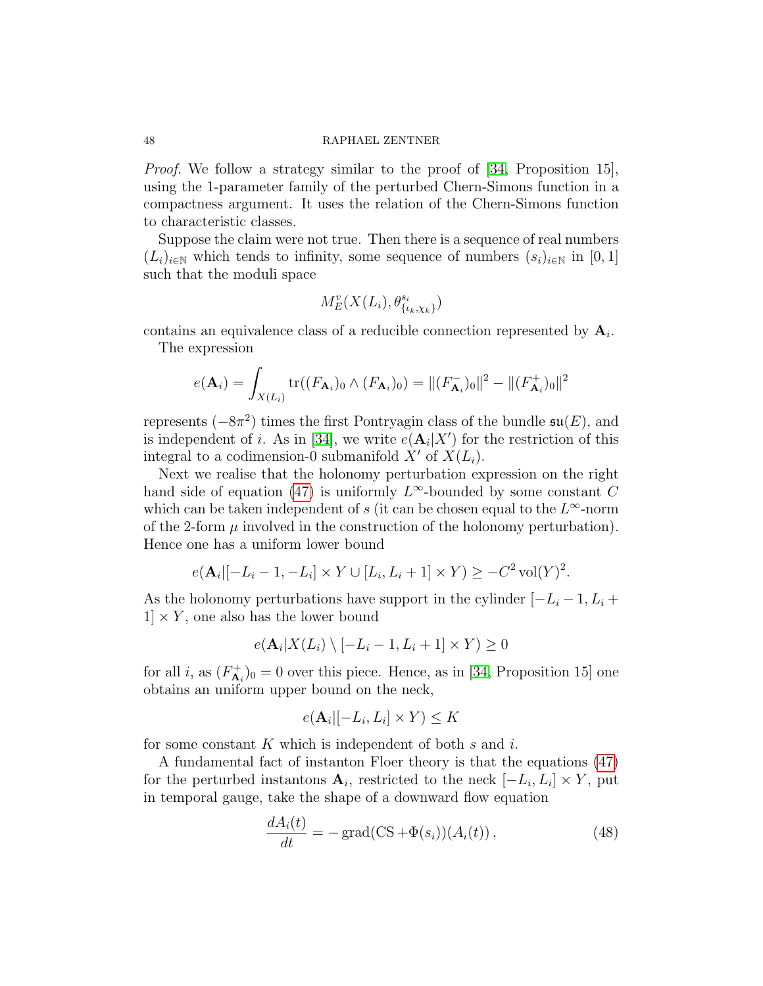Proof. We follow a strategy similar to the proof of [\[34,](#page-69-1) Proposition 15], using the 1-parameter family of the perturbed Chern-Simons function in a compactness argument. It uses the relation of the Chern-Simons function to characteristic classes.

Suppose the claim were not true. Then there is a sequence of real numbers  $(L_i)_{i\in\mathbb{N}}$  which tends to infinity, some sequence of numbers  $(s_i)_{i\in\mathbb{N}}$  in [0, 1] such that the moduli space

$$
M^v_E(X(L_i), \theta^{s_i}_{\{\iota_k, \chi_k\}})
$$

contains an equivalence class of a reducible connection represented by  $A_i$ .

The expression

$$
e(\mathbf{A}_{i}) = \int_{X(L_{i})} \text{tr}((F_{\mathbf{A}_{i}})_{0} \wedge (F_{\mathbf{A}_{i}})_{0}) = ||(F_{\mathbf{A}_{i}}^{-})_{0}||^{2} - ||(F_{\mathbf{A}_{i}}^{+})_{0}||^{2}
$$

represents  $(-8\pi^2)$  times the first Pontryagin class of the bundle  $\mathfrak{su}(E)$ , and is independent of *i*. As in [\[34\]](#page-69-1), we write  $e(\mathbf{A}_i|X')$  for the restriction of this integral to a codimension-0 submanifold X' of  $X(L_i)$ .

Next we realise that the holonomy perturbation expression on the right hand side of equation [\(47\)](#page-46-0) is uniformly  $L^{\infty}$ -bounded by some constant C which can be taken independent of s (it can be chosen equal to the  $L^{\infty}$ -norm of the 2-form  $\mu$  involved in the construction of the holonomy perturbation). Hence one has a uniform lower bound

$$
e(\mathbf{A}_i | [-L_i - 1, -L_i] \times Y \cup [L_i, L_i + 1] \times Y) \ge -C^2 \operatorname{vol}(Y)^2.
$$

As the holonomy perturbations have support in the cylinder  $[-L_i - 1, L_i +$  $1 \times Y$ , one also has the lower bound

$$
e(\mathbf{A}_i|X(L_i)\setminus[-L_i-1,L_i+1]\times Y)\geq 0
$$

for all i, as  $(F_{\mathbf{A}}^+)$  $A_{\mathbf{A}_{i}}^{+}$ )<sub>0</sub> = 0 over this piece. Hence, as in [\[34,](#page-69-1) Proposition 15] one obtains an uniform upper bound on the neck,

$$
e(\mathbf{A}_i | [-L_i, L_i] \times Y) \le K
$$

for some constant  $K$  which is independent of both  $s$  and  $i$ .

A fundamental fact of instanton Floer theory is that the equations [\(47\)](#page-46-0) for the perturbed instantons  $\mathbf{A}_i$ , restricted to the neck  $[-L_i, L_i] \times Y$ , put in temporal gauge, take the shape of a downward flow equation

$$
\frac{dA_i(t)}{dt} = -\operatorname{grad}(CS + \Phi(s_i))(A_i(t)),\tag{48}
$$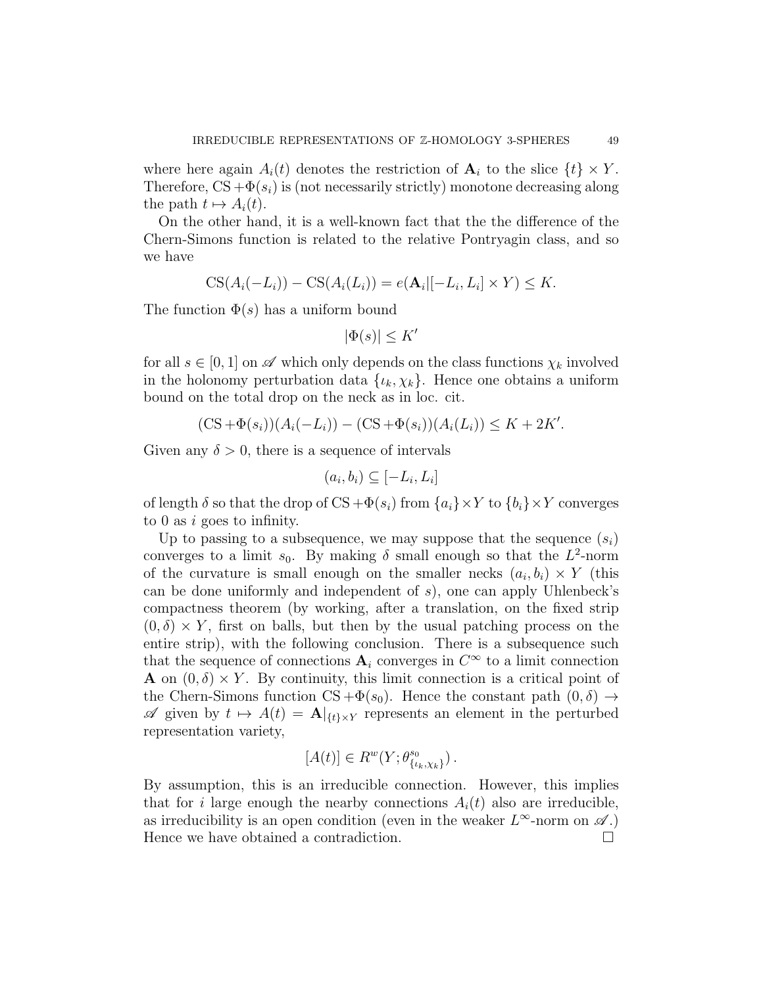where here again  $A_i(t)$  denotes the restriction of  $A_i$  to the slice  $\{t\} \times Y$ . Therefore,  $CS + \Phi(s_i)$  is (not necessarily strictly) monotone decreasing along the path  $t \mapsto A_i(t)$ .

On the other hand, it is a well-known fact that the the difference of the Chern-Simons function is related to the relative Pontryagin class, and so we have

$$
CS(A_i(-L_i)) - CS(A_i(L_i)) = e(\mathbf{A}_i | [-L_i, L_i] \times Y) \leq K.
$$

The function  $\Phi(s)$  has a uniform bound

$$
|\Phi(s)| \le K'
$$

for all  $s \in [0, 1]$  on  $\mathscr A$  which only depends on the class functions  $\chi_k$  involved in the holonomy perturbation data  $\{\iota_k, \chi_k\}$ . Hence one obtains a uniform bound on the total drop on the neck as in loc. cit.

$$
(CS + \Phi(s_i))(A_i(-L_i)) - (CS + \Phi(s_i))(A_i(L_i)) \le K + 2K'.
$$

Given any  $\delta > 0$ , there is a sequence of intervals

$$
(a_i, b_i) \subseteq [-L_i, L_i]
$$

of length  $\delta$  so that the drop of  $CS + \Phi(s_i)$  from  $\{a_i\} \times Y$  to  $\{b_i\} \times Y$  converges to 0 as i goes to infinity.

Up to passing to a subsequence, we may suppose that the sequence  $(s_i)$ converges to a limit  $s_0$ . By making  $\delta$  small enough so that the  $L^2$ -norm of the curvature is small enough on the smaller necks  $(a_i, b_i) \times Y$  (this can be done uniformly and independent of  $s$ ), one can apply Uhlenbeck's compactness theorem (by working, after a translation, on the fixed strip  $(0, \delta) \times Y$ , first on balls, but then by the usual patching process on the entire strip), with the following conclusion. There is a subsequence such that the sequence of connections  $A_i$  converges in  $C^{\infty}$  to a limit connection **A** on  $(0, \delta) \times Y$ . By continuity, this limit connection is a critical point of the Chern-Simons function  $CS + \Phi(s_0)$ . Hence the constant path  $(0, \delta) \rightarrow$  $\mathscr A$  given by  $t \mapsto A(t) = \mathbf{A}|_{\{t\}\times Y}$  represents an element in the perturbed representation variety,

$$
[A(t)] \in R^w(Y; \theta^{s_0}_{\{\iota_k, \chi_k\}}).
$$

By assumption, this is an irreducible connection. However, this implies that for i large enough the nearby connections  $A_i(t)$  also are irreducible, as irreducibility is an open condition (even in the weaker  $L^{\infty}$ -norm on  $\mathscr{A}$ .) Hence we have obtained a contradiction.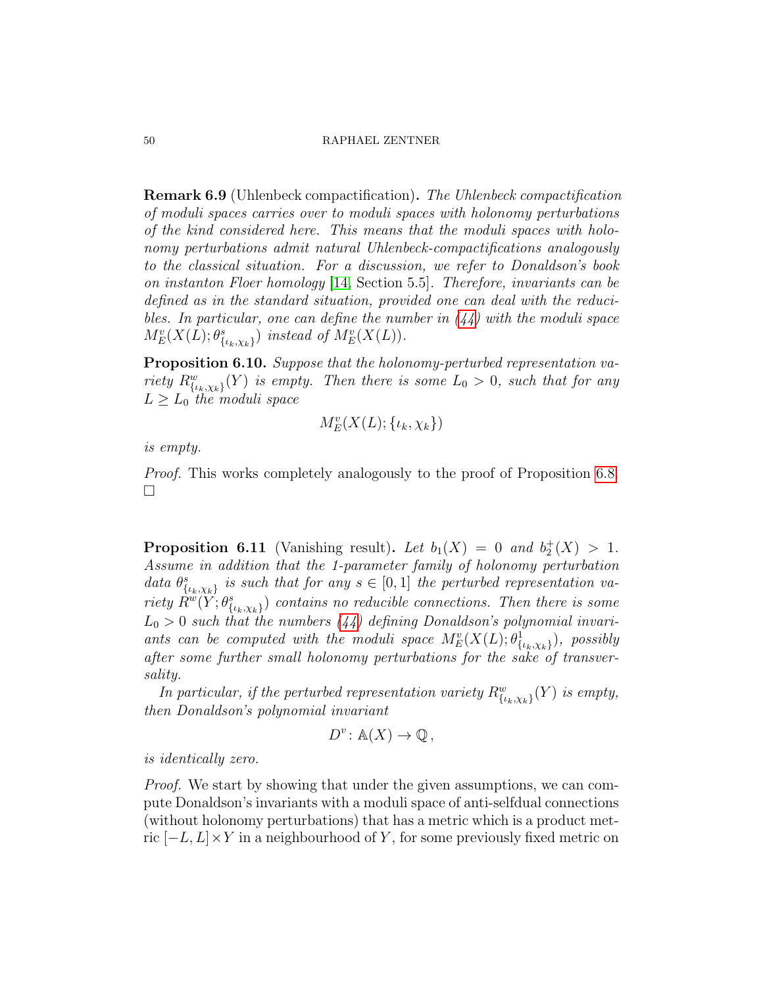Remark 6.9 (Uhlenbeck compactification). The Uhlenbeck compactification of moduli spaces carries over to moduli spaces with holonomy perturbations of the kind considered here. This means that the moduli spaces with holonomy perturbations admit natural Uhlenbeck-compactifications analogously to the classical situation. For a discussion, we refer to Donaldson's book on instanton Floer homology [\[14,](#page-68-16) Section 5.5]. Therefore, invariants can be defined as in the standard situation, provided one can deal with the reducibles. In particular, one can define the number in  $(44)$  with the moduli space  $M_E^v(X(L);\theta_{\{\iota_k,\chi_k\}}^s)$  instead of  $M_E^v(X(L))$ .

<span id="page-49-0"></span>Proposition 6.10. Suppose that the holonomy-perturbed representation variety  $R_{\{\iota_k,\chi_k\}}^w(Y)$  is empty. Then there is some  $L_0 > 0$ , such that for any  $L \geq L_0$  the moduli space

$$
M_E^v(X(L); \{\iota_k, \chi_k\})
$$

is empty.

Proof. This works completely analogously to the proof of Proposition [6.8.](#page-46-1)  $\Box$ 

<span id="page-49-1"></span>**Proposition 6.11** (Vanishing result). Let  $b_1(X) = 0$  and  $b_2^+(X) > 1$ . Assume in addition that the 1-parameter family of holonomy perturbation data  $\theta_{\{\iota_k,\chi_k\}}^s$  is such that for any  $s \in [0,1]$  the perturbed representation variety  $\hat{R}^w(Y;\theta^s_{\{\iota_k,\chi_k\}})$  contains no reducible connections. Then there is some  $L_0 > 0$  such that the numbers [\(44\)](#page-43-1) defining Donaldson's polynomial invariants can be computed with the moduli space  $M^v_E(X(L);\theta^1_{\{\iota_k,\chi_k\}})$ , possibly after some further small holonomy perturbations for the sake of transversality.

In particular, if the perturbed representation variety  $R_{\{\iota_k,\chi_k\}}^w(Y)$  is empty, then Donaldson's polynomial invariant

$$
D^v \colon \mathbb{A}(X) \to \mathbb{Q},
$$

is identically zero.

Proof. We start by showing that under the given assumptions, we can compute Donaldson's invariants with a moduli space of anti-selfdual connections (without holonomy perturbations) that has a metric which is a product metric  $[-L, L] \times Y$  in a neighbourhood of Y, for some previously fixed metric on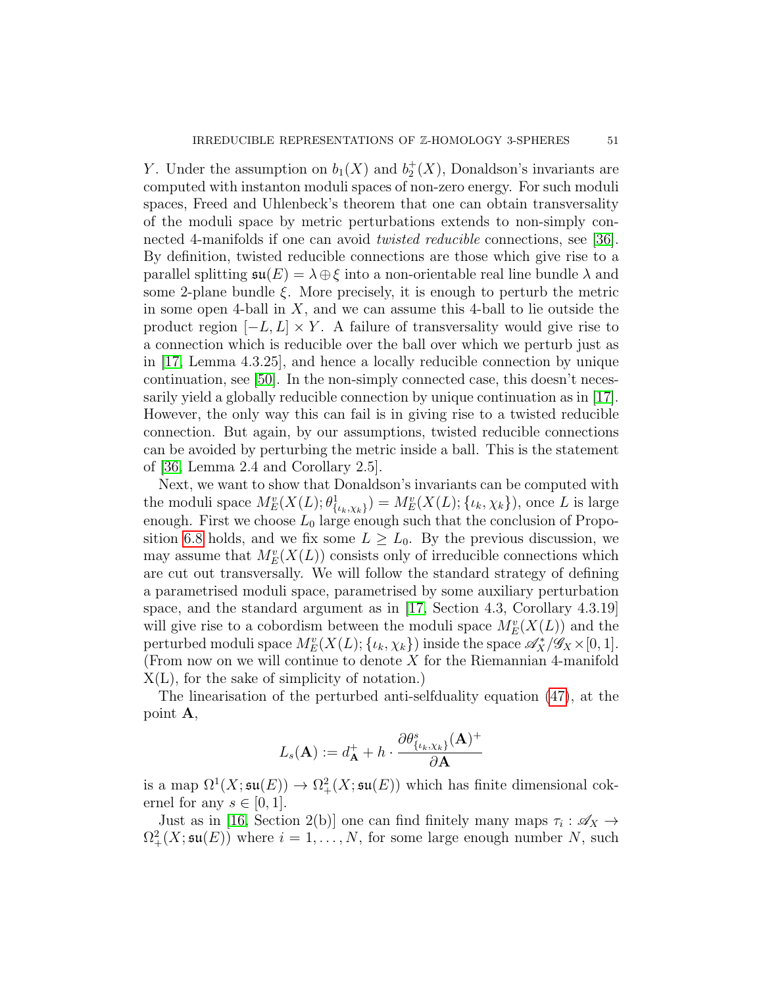Y. Under the assumption on  $b_1(X)$  and  $b_2^+(X)$ , Donaldson's invariants are computed with instanton moduli spaces of non-zero energy. For such moduli spaces, Freed and Uhlenbeck's theorem that one can obtain transversality of the moduli space by metric perturbations extends to non-simply connected 4-manifolds if one can avoid twisted reducible connections, see [\[36\]](#page-69-10). By definition, twisted reducible connections are those which give rise to a parallel splitting  $\mathfrak{su}(E) = \lambda \oplus \xi$  into a non-orientable real line bundle  $\lambda$  and some 2-plane bundle  $\xi$ . More precisely, it is enough to perturb the metric in some open 4-ball in  $X$ , and we can assume this 4-ball to lie outside the product region  $[-L, L] \times Y$ . A failure of transversality would give rise to a connection which is reducible over the ball over which we perturb just as in [\[17,](#page-68-9) Lemma 4.3.25], and hence a locally reducible connection by unique continuation, see [\[50\]](#page-70-2). In the non-simply connected case, this doesn't necessarily yield a globally reducible connection by unique continuation as in [\[17\]](#page-68-9). However, the only way this can fail is in giving rise to a twisted reducible connection. But again, by our assumptions, twisted reducible connections can be avoided by perturbing the metric inside a ball. This is the statement of [\[36,](#page-69-10) Lemma 2.4 and Corollary 2.5].

Next, we want to show that Donaldson's invariants can be computed with the moduli space  $M^v_E(X(L); \theta^1_{\{\iota_k,\chi_k\}}) = M^v_E(X(L); \{\iota_k,\chi_k\})$ , once L is large enough. First we choose  $L_0$  large enough such that the conclusion of Propo-sition [6.8](#page-46-1) holds, and we fix some  $L \geq L_0$ . By the previous discussion, we may assume that  $M_E^v(X(L))$  consists only of irreducible connections which are cut out transversally. We will follow the standard strategy of defining a parametrised moduli space, parametrised by some auxiliary perturbation space, and the standard argument as in [\[17,](#page-68-9) Section 4.3, Corollary 4.3.19] will give rise to a cobordism between the moduli space  $M_E^v(X(L))$  and the perturbed moduli space  $M_E^v(X(L); \{\iota_k, \chi_k\})$  inside the space  $\mathscr{A}_X^*/\mathscr{G}_X \times [0,1].$ (From now on we will continue to denote  $X$  for the Riemannian 4-manifold X(L), for the sake of simplicity of notation.)

The linearisation of the perturbed anti-selfduality equation [\(47\)](#page-46-0), at the point A,

$$
L_s(\mathbf{A}) := d_{\mathbf{A}}^+ + h \cdot \frac{\partial \theta_{\{\iota_k, \chi_k\}}^s(\mathbf{A})^+}{\partial \mathbf{A}}
$$

is a map  $\Omega^1(X; \mathfrak{su}(E)) \to \Omega^2_+(X; \mathfrak{su}(E))$  which has finite dimensional cokernel for any  $s \in [0, 1]$ .

Just as in [\[16,](#page-68-7) Section 2(b)] one can find finitely many maps  $\tau_i : \mathscr{A}_X \to$  $\Omega^2_+(X; \mathfrak{su}(E))$  where  $i = 1, \ldots, N$ , for some large enough number N, such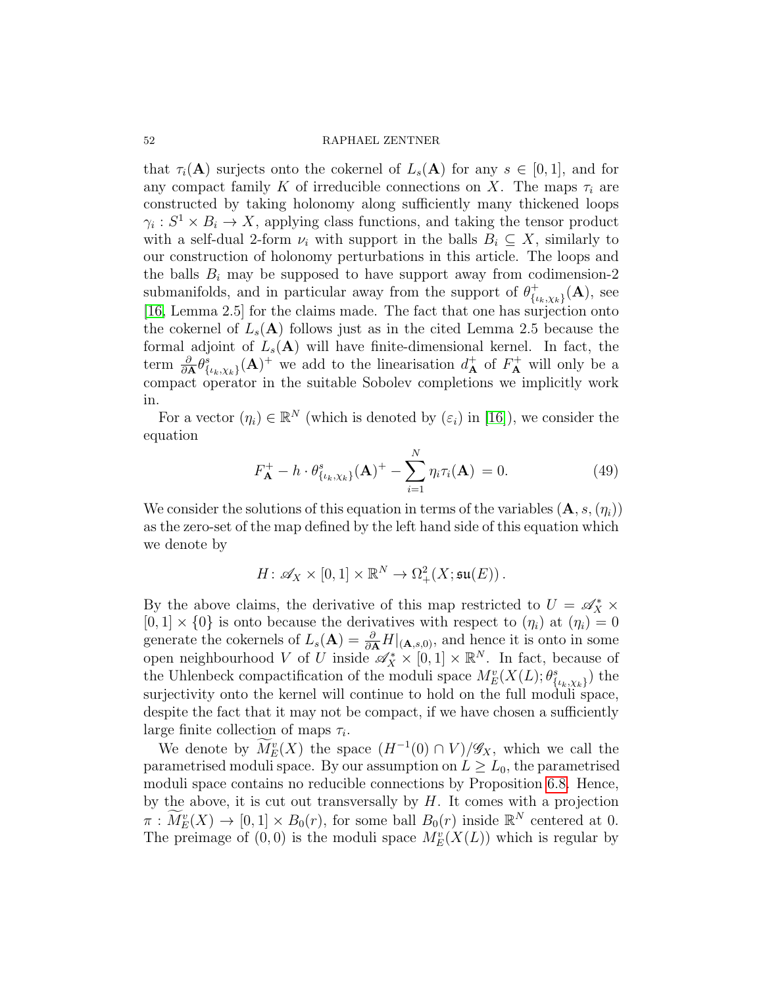that  $\tau_i(\mathbf{A})$  surjects onto the cokernel of  $L_s(\mathbf{A})$  for any  $s \in [0,1]$ , and for any compact family K of irreducible connections on X. The maps  $\tau_i$  are constructed by taking holonomy along sufficiently many thickened loops  $\gamma_i: S^1 \times B_i \to X$ , applying class functions, and taking the tensor product with a self-dual 2-form  $\nu_i$  with support in the balls  $B_i \subseteq X$ , similarly to our construction of holonomy perturbations in this article. The loops and the balls  $B_i$  may be supposed to have support away from codimension-2 submanifolds, and in particular away from the support of  $\theta_{l}^{+}$  ${}^+_{\{\iota_k,\chi_k\}}(\mathbf A), \text{ see}$ [\[16,](#page-68-7) Lemma 2.5] for the claims made. The fact that one has surjection onto the cokernel of  $L_s(A)$  follows just as in the cited Lemma 2.5 because the formal adjoint of  $L_s(A)$  will have finite-dimensional kernel. In fact, the term  $\frac{\partial}{\partial \mathbf{A}} \theta_{\{\iota_k,\chi_k\}}^s(\mathbf{A})^+$  we add to the linearisation  $d^+_{\mathbf{A}}$  of  $F^+_{\mathbf{A}}$  will only be a compact operator in the suitable Sobolev completions we implicitly work in.

For a vector  $(\eta_i) \in \mathbb{R}^N$  (which is denoted by  $(\varepsilon_i)$  in [\[16\]](#page-68-7)), we consider the equation

$$
F_{\mathbf{A}}^{+} - h \cdot \theta_{\{\iota_k, \chi_k\}}^{s}(\mathbf{A})^{+} - \sum_{i=1}^{N} \eta_i \tau_i(\mathbf{A}) = 0.
$$
 (49)

We consider the solutions of this equation in terms of the variables  $(A, s, (\eta_i))$ as the zero-set of the map defined by the left hand side of this equation which we denote by

$$
H\colon \mathscr{A}_X\times [0,1]\times \mathbb{R}^N\to \Omega^2_+(X;\mathfrak{su}(E))\,.
$$

By the above claims, the derivative of this map restricted to  $U = \mathscr{A}_X^* \times$  $[0, 1] \times \{0\}$  is onto because the derivatives with respect to  $(\eta_i)$  at  $(\eta_i) = 0$ generate the cokernels of  $L_s(A) = \frac{\partial}{\partial A} H|_{(A,s,0)}$ , and hence it is onto in some open neighbourhood V of U inside  $\mathscr{A}_X^* \times [0,1] \times \mathbb{R}^N$ . In fact, because of the Uhlenbeck compactification of the moduli space  $M_E^v(X(L); \theta_{\{\iota_k, \chi_k\}}^s)$  the surjectivity onto the kernel will continue to hold on the full moduli space, despite the fact that it may not be compact, if we have chosen a sufficiently large finite collection of maps  $\tau_i$ .

We denote by  $\overline{M}_E^v(X)$  the space  $(H^{-1}(0) \cap V)/\mathscr{G}_X$ , which we call the parametrised moduli space. By our assumption on  $L \ge L_0$ , the parametrised moduli space contains no reducible connections by Proposition [6.8.](#page-46-1) Hence, by the above, it is cut out transversally by  $H$ . It comes with a projection  $\pi : \widetilde{M}_{E}^{v}(X) \to [0,1] \times B_{0}(r)$ , for some ball  $B_{0}(r)$  inside  $\mathbb{R}^{N}$  centered at 0. The preimage of  $(0,0)$  is the moduli space  $M_{E}^{v}(X(L))$  which is regular by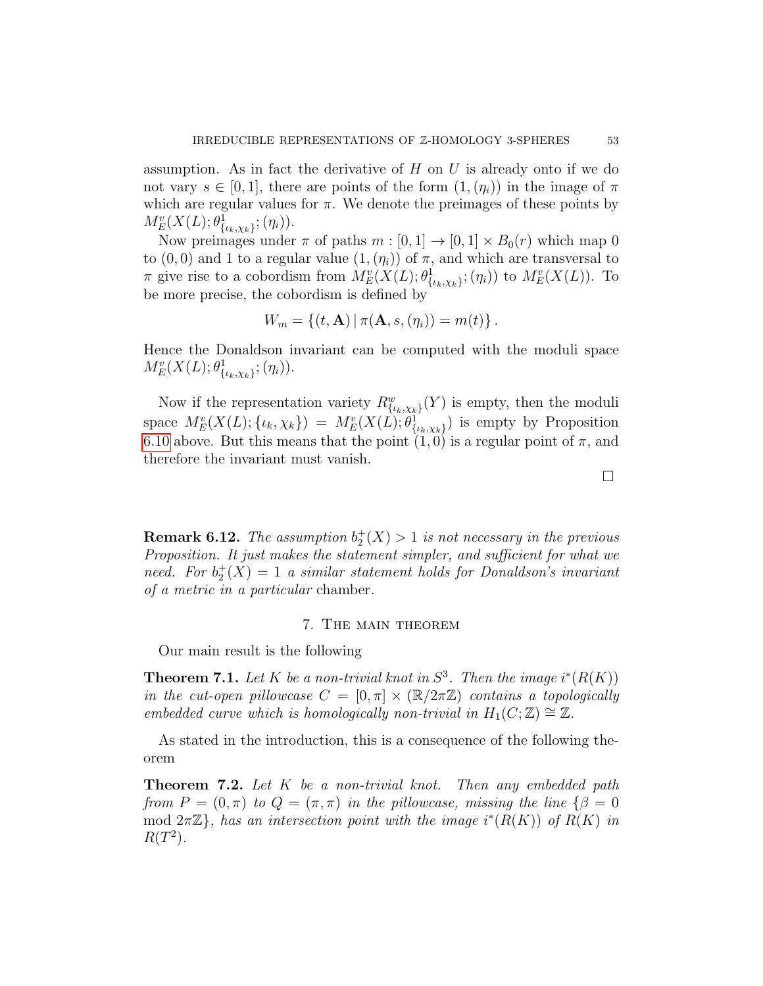assumption. As in fact the derivative of  $H$  on  $U$  is already onto if we do not vary  $s \in [0, 1]$ , there are points of the form  $(1, (\eta_i))$  in the image of  $\pi$ which are regular values for  $\pi$ . We denote the preimages of these points by  $M_{E}^{v}(X(L);\theta_{\{\iota_k,\chi_k\}}^1;(\eta_i)).$ 

Now preimages under  $\pi$  of paths  $m : [0, 1] \to [0, 1] \times B_0(r)$  which map 0 to  $(0, 0)$  and 1 to a regular value  $(1, (\eta_i))$  of  $\pi$ , and which are transversal to π give rise to a cobordism from  $M_E^v(X(L); \theta^1_{\{\iota_k,\chi_k\}}; (\eta_i))$  to  $M_E^v(X(L))$ . To be more precise, the cobordism is defined by

$$
W_m = \{ (t, A) | \pi(A, s, (\eta_i)) = m(t) \}.
$$

Hence the Donaldson invariant can be computed with the moduli space  $M_{E}^{v}(X(L);\theta_{\{\iota_k,\chi_k\}}^1;(\eta_i)).$ 

Now if the representation variety  $R_{\{\iota_k,\chi_k\}}^w(Y)$  is empty, then the moduli space  $M_E^v(X(L); \{\iota_k, \chi_k\}) = M_E^v(X(L); \theta_{\{\iota_k, \chi_k\}}^1)$  is empty by Proposition [6.10](#page-49-0) above. But this means that the point  $(1, 0)$  is a regular point of  $\pi$ , and therefore the invariant must vanish.

**Remark 6.12.** The assumption  $b_2^+(X) > 1$  is not necessary in the previous Proposition. It just makes the statement simpler, and sufficient for what we need. For  $b_2^+(X) = 1$  a similar statement holds for Donaldson's invariant of a metric in a particular chamber.

## 7. The main theorem

Our main result is the following

<span id="page-52-0"></span>**Theorem 7.1.** Let K be a non-trivial knot in  $S^3$ . Then the image  $i^*(R(K))$ in the cut-open pillowcase  $C = [0, \pi] \times (\mathbb{R}/2\pi\mathbb{Z})$  contains a topologically embedded curve which is homologically non-trivial in  $H_1(C;\mathbb{Z}) \cong \mathbb{Z}$ .

As stated in the introduction, this is a consequence of the following theorem

<span id="page-52-1"></span>**Theorem 7.2.** Let  $K$  be a non-trivial knot. Then any embedded path from  $P = (0, \pi)$  to  $Q = (\pi, \pi)$  in the pillowcase, missing the line  $\{\beta = 0\}$ mod  $2\pi\mathbb{Z}$ , has an intersection point with the image  $i^*(R(K))$  of  $R(K)$  in  $R(T^2)$ .

 $\Box$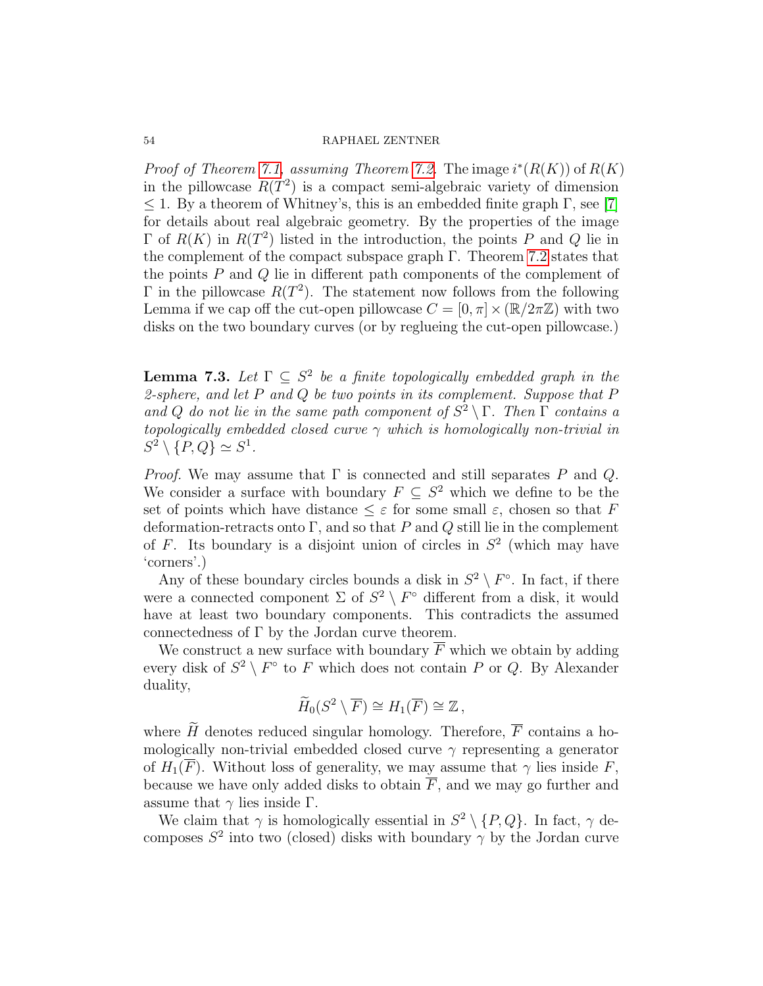*Proof of Theorem [7.1,](#page-52-0) assuming Theorem [7.2.](#page-52-1)* The image  $i^*(R(K))$  of  $R(K)$ in the pillowcase  $R(T^2)$  is a compact semi-algebraic variety of dimension  $\leq$  1. By a theorem of Whitney's, this is an embedded finite graph Γ, see [\[7\]](#page-68-17) for details about real algebraic geometry. By the properties of the image  $\Gamma$  of  $R(K)$  in  $R(T^2)$  listed in the introduction, the points P and Q lie in the complement of the compact subspace graph Γ. Theorem [7.2](#page-52-1) states that the points P and Q lie in different path components of the complement of  $\Gamma$  in the pillowcase  $R(T^2)$ . The statement now follows from the following Lemma if we cap off the cut-open pillowcase  $C = [0, \pi] \times (\mathbb{R}/2\pi\mathbb{Z})$  with two disks on the two boundary curves (or by reglueing the cut-open pillowcase.)

<span id="page-53-0"></span>**Lemma 7.3.** Let  $\Gamma \subseteq S^2$  be a finite topologically embedded graph in the 2-sphere, and let  $P$  and  $Q$  be two points in its complement. Suppose that  $P$ and Q do not lie in the same path component of  $S^2 \setminus \Gamma$ . Then  $\Gamma$  contains a topologically embedded closed curve  $\gamma$  which is homologically non-trivial in  $S^2 \setminus \{P,Q\} \simeq S^1$ .

*Proof.* We may assume that  $\Gamma$  is connected and still separates P and Q. We consider a surface with boundary  $F \subseteq S^2$  which we define to be the set of points which have distance  $\leq \varepsilon$  for some small  $\varepsilon$ , chosen so that F deformation-retracts onto Γ, and so that P and Q still lie in the complement of F. Its boundary is a disjoint union of circles in  $S<sup>2</sup>$  (which may have 'corners'.)

Any of these boundary circles bounds a disk in  $S^2 \setminus F^{\circ}$ . In fact, if there were a connected component  $\Sigma$  of  $S^2 \setminus F^{\circ}$  different from a disk, it would have at least two boundary components. This contradicts the assumed connectedness of  $\Gamma$  by the Jordan curve theorem.

We construct a new surface with boundary  $\overline{F}$  which we obtain by adding every disk of  $S^2 \setminus F^{\circ}$  to F which does not contain P or Q. By Alexander duality,

$$
\widetilde{H}_0(S^2 \setminus \overline{F}) \cong H_1(\overline{F}) \cong \mathbb{Z},
$$

where  $\widetilde{H}$  denotes reduced singular homology. Therefore,  $\overline{F}$  contains a homologically non-trivial embedded closed curve  $\gamma$  representing a generator of  $H_1(\overline{F})$ . Without loss of generality, we may assume that  $\gamma$  lies inside F, because we have only added disks to obtain  $\overline{F}$ , and we may go further and assume that  $\gamma$  lies inside Γ.

We claim that  $\gamma$  is homologically essential in  $S^2 \setminus \{P, Q\}$ . In fact,  $\gamma$  decomposes  $S^2$  into two (closed) disks with boundary  $\gamma$  by the Jordan curve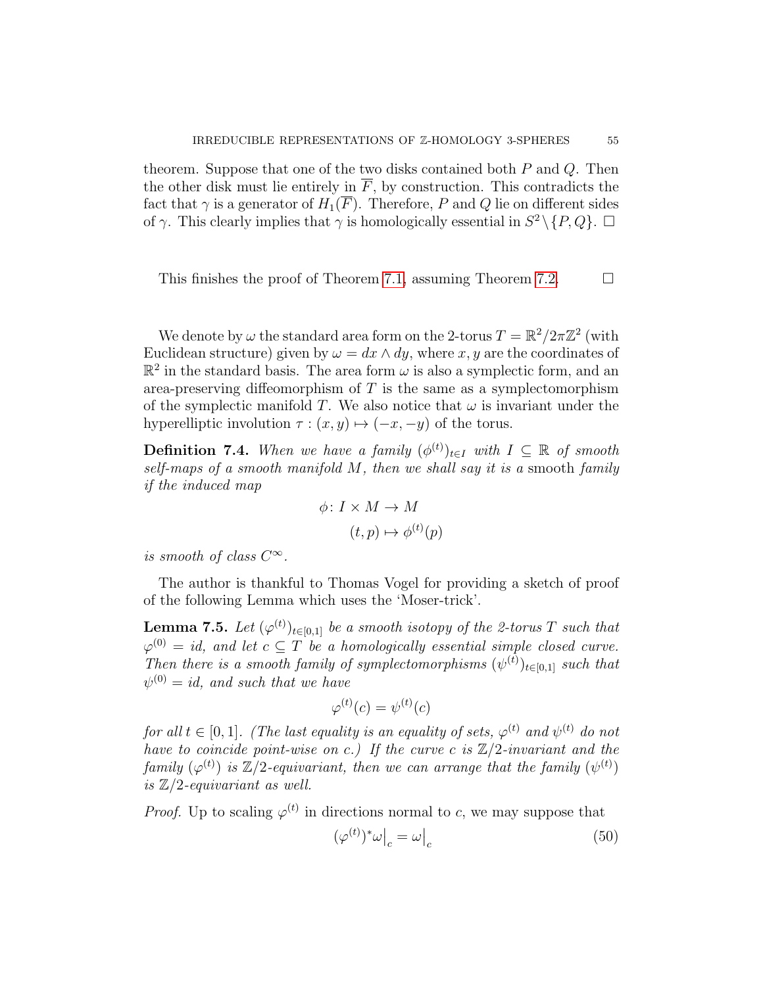theorem. Suppose that one of the two disks contained both  $P$  and  $Q$ . Then the other disk must lie entirely in  $\overline{F}$ , by construction. This contradicts the fact that  $\gamma$  is a generator of  $H_1(\overline{F})$ . Therefore, P and Q lie on different sides of  $\gamma$ . This clearly implies that  $\gamma$  is homologically essential in  $S^2 \setminus \{P, Q\}$ .

This finishes the proof of Theorem [7.1,](#page-52-0) assuming Theorem [7.2.](#page-52-1)  $\Box$ 

We denote by  $\omega$  the standard area form on the 2-torus  $T = \mathbb{R}^2 / 2\pi \mathbb{Z}^2$  (with Euclidean structure) given by  $\omega = dx \wedge dy$ , where x, y are the coordinates of  $\mathbb{R}^2$  in the standard basis. The area form  $\omega$  is also a symplectic form, and an area-preserving diffeomorphism of T is the same as a symplectomorphism of the symplectic manifold T. We also notice that  $\omega$  is invariant under the hyperelliptic involution  $\tau : (x, y) \mapsto (-x, -y)$  of the torus.

**Definition 7.4.** When we have a family  $(\phi^{(t)})_{t\in I}$  with  $I \subseteq \mathbb{R}$  of smooth self-maps of a smooth manifold  $M$ , then we shall say it is a smooth family if the induced map

$$
\phi \colon I \times M \to M
$$

$$
(t, p) \mapsto \phi^{(t)}(p)
$$

is smooth of class  $C^{\infty}$ .

The author is thankful to Thomas Vogel for providing a sketch of proof of the following Lemma which uses the 'Moser-trick'.

<span id="page-54-1"></span>**Lemma 7.5.** Let  $(\varphi^{(t)})_{t\in[0,1]}$  be a smooth isotopy of the 2-torus  $T$  such that  $\varphi^{(0)}= \emph{id},$  and let  $c \subseteq T$  be a homologically essential simple closed curve. Then there is a smooth family of symplectomorphisms  $(\psi^{(t)})_{t\in[0,1]}$  such that  $\psi^{(0)}=id,$  and such that we have

$$
\varphi^{(t)}(c) = \psi^{(t)}(c)
$$

for all  $t \in [0,1]$ . (The last equality is an equality of sets,  $\varphi^{(t)}$  and  $\psi^{(t)}$  do not have to coincide point-wise on c.) If the curve c is  $\mathbb{Z}/2$ -invariant and the family  $(\varphi^{(t)})$  is  $\mathbb{Z}/2$ -equivariant, then we can arrange that the family  $(\psi^{(t)})$ is  $\mathbb{Z}/2$ -equivariant as well.

*Proof.* Up to scaling  $\varphi^{(t)}$  in directions normal to c, we may suppose that

<span id="page-54-0"></span>
$$
(\varphi^{(t)})^* \omega \big|_c = \omega \big|_c \tag{50}
$$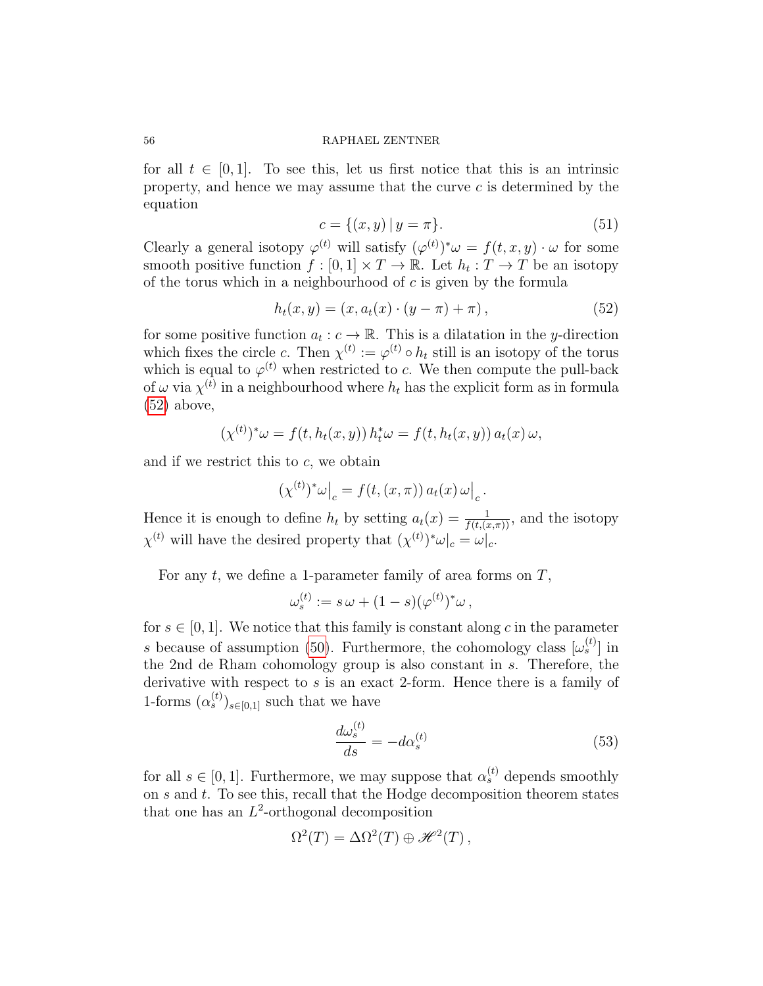for all  $t \in [0, 1]$ . To see this, let us first notice that this is an intrinsic property, and hence we may assume that the curve c is determined by the equation

<span id="page-55-2"></span>
$$
c = \{(x, y) \mid y = \pi\}.
$$
\n(51)

Clearly a general isotopy  $\varphi^{(t)}$  will satisfy  $(\varphi^{(t)})^* \omega = f(t, x, y) \cdot \omega$  for some smooth positive function  $f : [0,1] \times T \to \mathbb{R}$ . Let  $h_t : T \to T$  be an isotopy of the torus which in a neighbourhood of  $c$  is given by the formula

<span id="page-55-0"></span>
$$
h_t(x, y) = (x, a_t(x) \cdot (y - \pi) + \pi), \tag{52}
$$

for some positive function  $a_t : c \to \mathbb{R}$ . This is a dilatation in the y-direction which fixes the circle c. Then  $\chi^{(t)} := \varphi^{(t)} \circ h_t$  still is an isotopy of the torus which is equal to  $\varphi^{(t)}$  when restricted to c. We then compute the pull-back of  $\omega$  via  $\chi^{(t)}$  in a neighbourhood where  $h_t$  has the explicit form as in formula [\(52\)](#page-55-0) above,

$$
(\chi^{(t)})^* \omega = f(t, h_t(x, y)) h_t^* \omega = f(t, h_t(x, y)) a_t(x) \omega,
$$

and if we restrict this to  $c$ , we obtain

$$
(\chi^{(t)})^* \omega\big|_c = f(t, (x, \pi)) a_t(x) \omega\big|_c.
$$

Hence it is enough to define  $h_t$  by setting  $a_t(x) = \frac{1}{f(t,(x,\pi))}$ , and the isotopy  $\chi^{(t)}$  will have the desired property that  $(\chi^{(t)})^* \omega|_c = \omega|_c$ .

For any  $t$ , we define a 1-parameter family of area forms on  $T$ ,

$$
\omega_s^{(t)} := s \omega + (1 - s)(\varphi^{(t)})^* \omega,
$$

for  $s \in [0, 1]$ . We notice that this family is constant along c in the parameter s because of assumption [\(50\)](#page-54-0). Furthermore, the cohomology class  $[\omega_s^{(t)}]$  in the 2nd de Rham cohomology group is also constant in  $\widetilde{s}$ . Therefore, the derivative with respect to  $s$  is an exact 2-form. Hence there is a family of 1-forms  $(\alpha_s^{(t)})_{s\in[0,1]}$  such that we have

<span id="page-55-1"></span>
$$
\frac{d\omega_s^{(t)}}{ds} = -d\alpha_s^{(t)}\tag{53}
$$

for all  $s \in [0,1]$ . Furthermore, we may suppose that  $\alpha_s^{(t)}$  depends smoothly on  $s$  and  $t$ . To see this, recall that the Hodge decomposition theorem states that one has an  $L^2$ -orthogonal decomposition

$$
\Omega^2(T) = \Delta \Omega^2(T) \oplus \mathscr{H}^2(T) ,
$$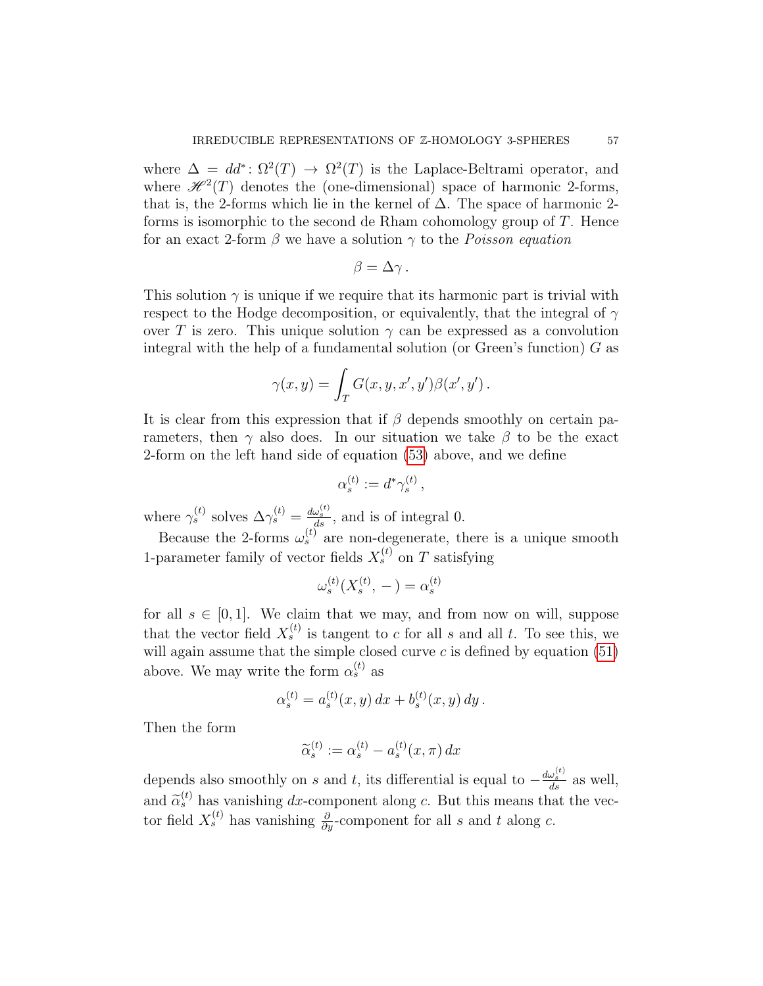where  $\Delta = dd^* \colon \Omega^2(T) \to \Omega^2(T)$  is the Laplace-Beltrami operator, and where  $\mathcal{H}^2(T)$  denotes the (one-dimensional) space of harmonic 2-forms, that is, the 2-forms which lie in the kernel of  $\Delta$ . The space of harmonic 2forms is isomorphic to the second de Rham cohomology group of T. Hence for an exact 2-form  $\beta$  we have a solution  $\gamma$  to the *Poisson equation* 

$$
\beta = \Delta \gamma.
$$

This solution  $\gamma$  is unique if we require that its harmonic part is trivial with respect to the Hodge decomposition, or equivalently, that the integral of  $\gamma$ over T is zero. This unique solution  $\gamma$  can be expressed as a convolution integral with the help of a fundamental solution (or Green's function)  $G$  as

$$
\gamma(x,y) = \int_T G(x,y,x',y')\beta(x',y')\,.
$$

It is clear from this expression that if  $\beta$  depends smoothly on certain parameters, then  $\gamma$  also does. In our situation we take  $\beta$  to be the exact 2-form on the left hand side of equation [\(53\)](#page-55-1) above, and we define

$$
\alpha_s^{(t)} := d^* \gamma_s^{(t)} \,,
$$

where  $\gamma_s^{(t)}$  solves  $\Delta \gamma_s^{(t)} = \frac{d\omega_s^{(t)}}{ds}$ , and is of integral 0.

Because the 2-forms  $\omega_s^{(t)}$  are non-degenerate, there is a unique smooth 1-parameter family of vector fields  $X_s^{(t)}$  on T satisfying

$$
\omega_s^{(t)}(X_s^{(t)}, -) = \alpha_s^{(t)}
$$

for all  $s \in [0,1]$ . We claim that we may, and from now on will, suppose that the vector field  $X_s^{(t)}$  is tangent to c for all s and all t. To see this, we will again assume that the simple closed curve  $c$  is defined by equation [\(51\)](#page-55-2) above. We may write the form  $\alpha_s^{(t)}$  as

$$
\alpha_s^{(t)} = a_s^{(t)}(x, y) dx + b_s^{(t)}(x, y) dy.
$$

Then the form

$$
\widetilde{\alpha}_s^{(t)} := \alpha_s^{(t)} - a_s^{(t)}(x, \pi) dx
$$

depends also smoothly on s and t, its differential is equal to  $-\frac{d\omega_s^{(t)}}{ds}$  as well, and  $\tilde{\alpha}_s^{(t)}$  has vanishing dx-component along c. But this means that the vec-<br>ter field  $Y^{(t)}$  has vanishing  $\theta$  component for all e and t along a tor field  $X_s^{(t)}$  has vanishing  $\frac{\partial}{\partial y}$ -component for all s and t along c.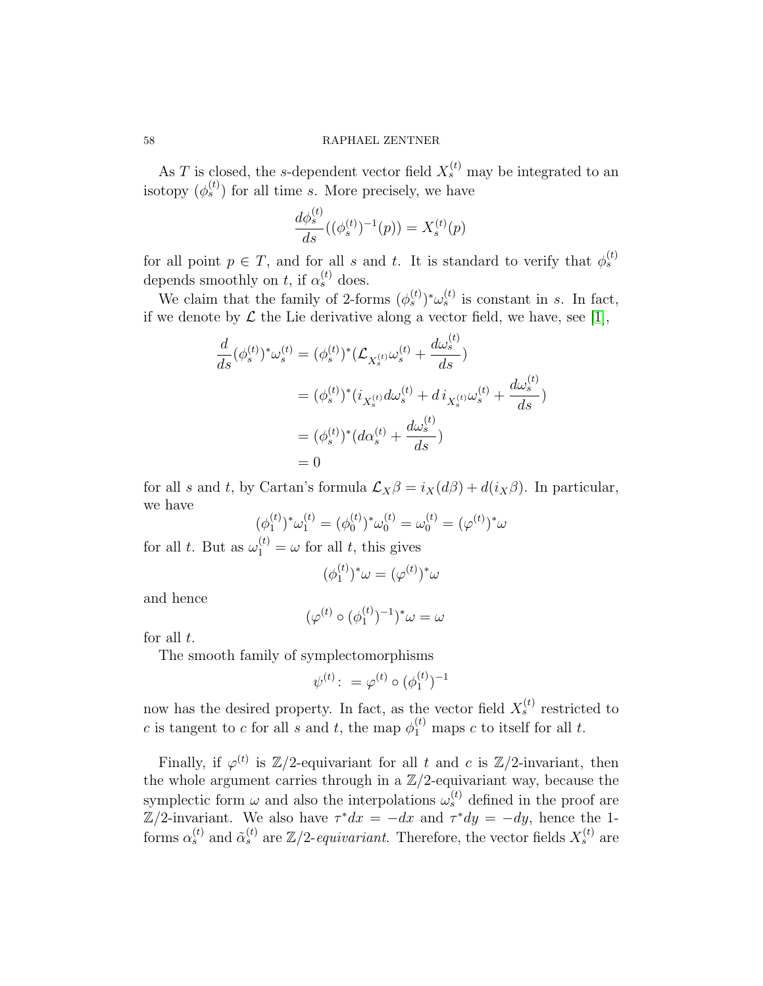As T is closed, the s-dependent vector field  $X_s^{(t)}$  may be integrated to an isotopy  $(\phi_s^{(t)})$  for all time s. More precisely, we have

$$
\frac{d\phi_s^{(t)}}{ds}((\phi_s^{(t)})^{-1}(p)) = X_s^{(t)}(p)
$$

for all point  $p \in T$ , and for all s and t. It is standard to verify that  $\phi_s^{(t)}$ depends smoothly on t, if  $\alpha_s^{(t)}$  does.

We claim that the family of 2-forms  $(\phi_s^{(t)})^* \omega_s^{(t)}$  is constant in s. In fact, if we denote by  $\mathcal L$  the Lie derivative along a vector field, we have, see [\[1\]](#page-67-3),

$$
\frac{d}{ds}(\phi_s^{(t)})^* \omega_s^{(t)} = (\phi_s^{(t)})^* (\mathcal{L}_{X_s^{(t)}} \omega_s^{(t)} + \frac{d\omega_s^{(t)}}{ds})
$$
\n
$$
= (\phi_s^{(t)})^* (i_{X_s^{(t)}} d\omega_s^{(t)} + d i_{X_s^{(t)}} \omega_s^{(t)} + \frac{d\omega_s^{(t)}}{ds})
$$
\n
$$
= (\phi_s^{(t)})^* (d\alpha_s^{(t)} + \frac{d\omega_s^{(t)}}{ds})
$$
\n
$$
= 0
$$

for all s and t, by Cartan's formula  $\mathcal{L}_X\beta = i_X(d\beta) + d(i_X\beta)$ . In particular, we have

$$
(\phi_1^{(t)})^* \omega_1^{(t)} = (\phi_0^{(t)})^* \omega_0^{(t)} = \omega_0^{(t)} = (\varphi^{(t)})^* \omega
$$

for all t. But as  $\omega_1^{(t)} = \omega$  for all t, this gives

$$
(\phi_1^{(t)})^*\omega = (\varphi^{(t)})^*\omega
$$

and hence

$$
(\varphi^{(t)} \circ (\phi_1^{(t)})^{-1})^* \omega = \omega
$$

for all  $t$ .

The smooth family of symplectomorphisms

$$
\psi^{(t)} \colon = \varphi^{(t)} \circ (\phi^{(t)}_1)^{-1}
$$

now has the desired property. In fact, as the vector field  $X_s^{(t)}$  restricted to c is tangent to c for all s and t, the map  $\phi_1^{(t)}$  maps c to itself for all t.

Finally, if  $\varphi^{(t)}$  is  $\mathbb{Z}/2$ -equivariant for all t and c is  $\mathbb{Z}/2$ -invariant, then the whole argument carries through in a  $\mathbb{Z}/2$ -equivariant way, because the symplectic form  $\omega$  and also the interpolations  $\omega_s^{(t)}$  defined in the proof are  $\mathbb{Z}/2$ -invariant. We also have  $\tau^*dx = -dx$  and  $\tau^*dy = -dy$ , hence the 1forms  $\alpha_s^{(t)}$  and  $\tilde{\alpha}_s^{(t)}$  are  $\mathbb{Z}/2$ -equivariant. Therefore, the vector fields  $X_s^{(t)}$  are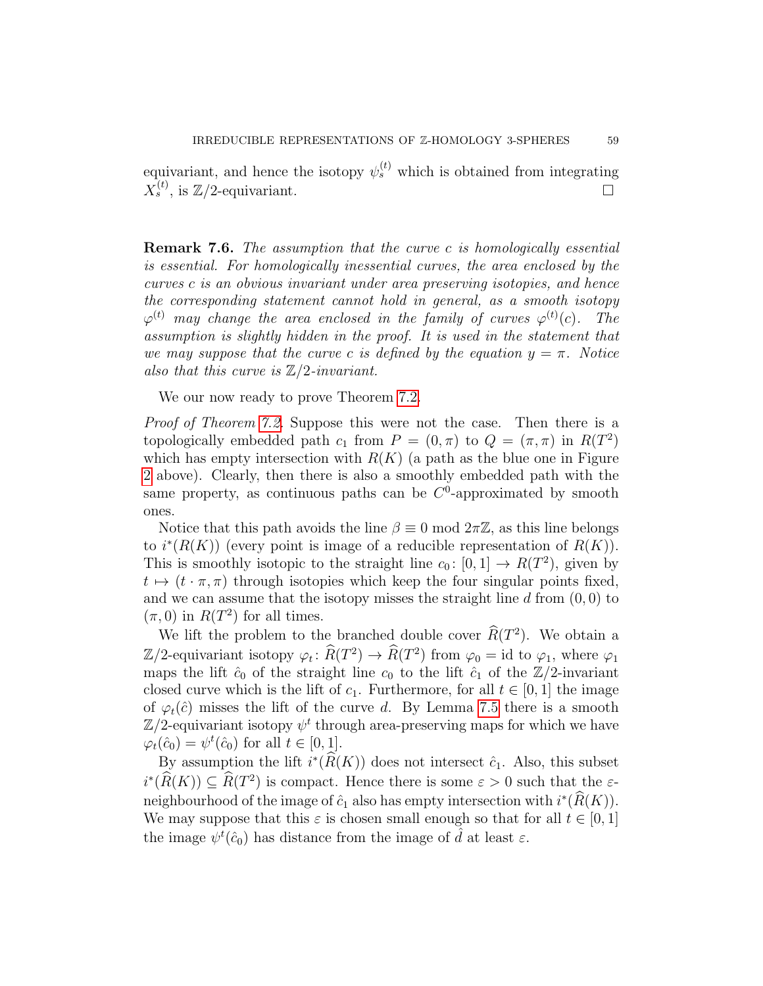equivariant, and hence the isotopy  $\psi_s^{(t)}$  which is obtained from integrating  $X_s^{(t)}$ , is  $\mathbb{Z}/2$ -equivariant.

Remark 7.6. The assumption that the curve c is homologically essential is essential. For homologically inessential curves, the area enclosed by the curves c is an obvious invariant under area preserving isotopies, and hence the corresponding statement cannot hold in general, as a smooth isotopy  $\varphi^{(t)}$  may change the area enclosed in the family of curves  $\varphi^{(t)}(c)$ . The assumption is slightly hidden in the proof. It is used in the statement that we may suppose that the curve c is defined by the equation  $y = \pi$ . Notice also that this curve is  $\mathbb{Z}/2$ -invariant.

We our now ready to prove Theorem [7.2.](#page-52-1)

*Proof of Theorem [7.2.](#page-52-1)* Suppose this were not the case. Then there is a topologically embedded path  $c_1$  from  $P = (0, \pi)$  to  $Q = (\pi, \pi)$  in  $R(T^2)$ which has empty intersection with  $R(K)$  (a path as the blue one in Figure [2](#page-5-0) above). Clearly, then there is also a smoothly embedded path with the same property, as continuous paths can be  $C^0$ -approximated by smooth ones.

Notice that this path avoids the line  $\beta \equiv 0 \mod 2\pi \mathbb{Z}$ , as this line belongs to  $i^*(R(K))$  (every point is image of a reducible representation of  $R(K)$ ). This is smoothly isotopic to the straight line  $c_0: [0,1] \to R(T^2)$ , given by  $t \mapsto (t \cdot \pi, \pi)$  through isotopies which keep the four singular points fixed, and we can assume that the isotopy misses the straight line  $d$  from  $(0, 0)$  to  $(\pi, 0)$  in  $R(T^2)$  for all times.

We lift the problem to the branched double cover  $R(T^2)$ . We obtain a  $\mathbb{Z}/2$ -equivariant isotopy  $\varphi_t \colon \widehat{R}(T^2) \to \widehat{R}(T^2)$  from  $\varphi_0 = \text{id}$  to  $\varphi_1$ , where  $\varphi_1$ maps the lift  $\hat{c}_0$  of the straight line  $c_0$  to the lift  $\hat{c}_1$  of the  $\mathbb{Z}/2$ -invariant closed curve which is the lift of  $c_1$ . Furthermore, for all  $t \in [0, 1]$  the image of  $\varphi_t(\hat{c})$  misses the lift of the curve d. By Lemma [7.5](#page-54-1) there is a smooth  $\mathbb{Z}/2$ -equivariant isotopy  $\psi^t$  through area-preserving maps for which we have  $\varphi_t(\hat{c}_0) = \psi^t(\hat{c}_0)$  for all  $t \in [0, 1]$ .

By assumption the lift  $i^*(\widehat{R}(K))$  does not intersect  $\widehat{c}_1$ . Also, this subset  $i^*(\widehat{R}(K)) \subseteq \widehat{R}(T^2)$  is compact. Hence there is some  $\varepsilon > 0$  such that the  $\varepsilon$ neighbourhood of the image of  $\hat{c}_1$  also has empty intersection with  $i^*(\hat{R}(K))$ . We may suppose that this  $\varepsilon$  is chosen small enough so that for all  $t \in [0,1]$ the image  $\psi^t(\hat{c}_0)$  has distance from the image of  $\hat{d}$  at least  $\varepsilon$ .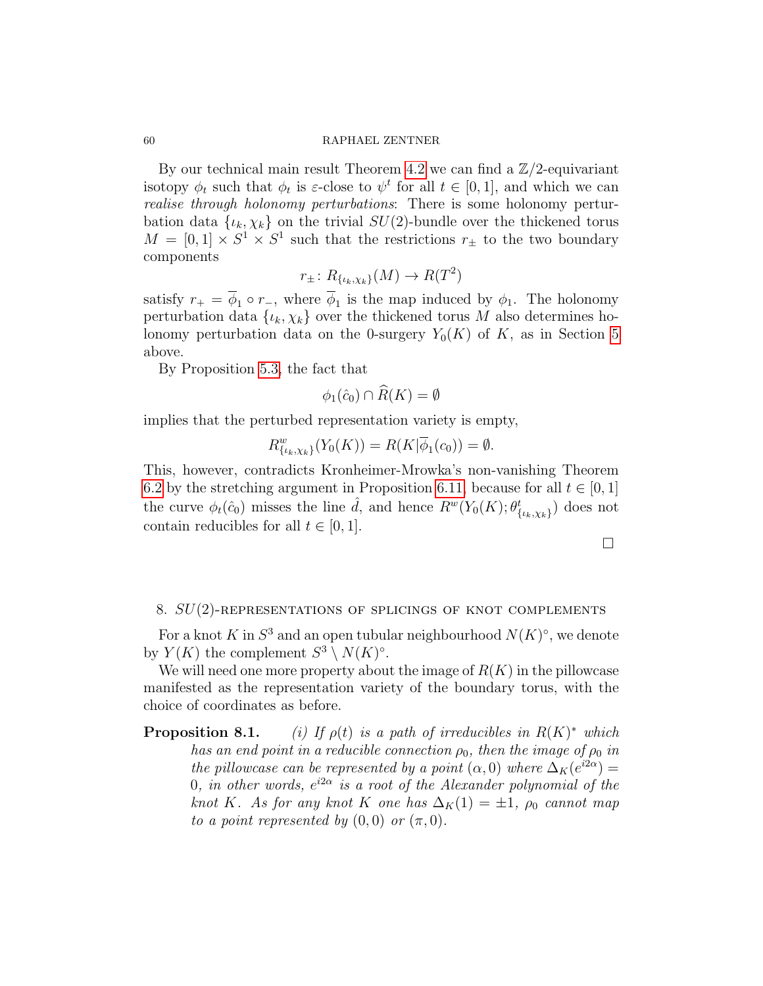By our technical main result Theorem [4.2](#page-36-0) we can find a  $\mathbb{Z}/2$ -equivariant isotopy  $\phi_t$  such that  $\phi_t$  is  $\varepsilon$ -close to  $\psi^t$  for all  $t \in [0,1]$ , and which we can realise through holonomy perturbations: There is some holonomy perturbation data  $\{\iota_k, \chi_k\}$  on the trivial  $SU(2)$ -bundle over the thickened torus  $M = [0, 1] \times S^1 \times S^1$  such that the restrictions  $r_{\pm}$  to the two boundary components

$$
r_{\pm} \colon R_{\{\iota_k,\chi_k\}}(M) \to R(T^2)
$$

satisfy  $r_{+} = \phi_{1} \circ r_{-}$ , where  $\phi_{1}$  is the map induced by  $\phi_{1}$ . The holonomy perturbation data  $\{\iota_k, \chi_k\}$  over the thickened torus M also determines holonomy perturbation data on the 0-surgery  $Y_0(K)$  of K, as in Section [5](#page-38-1) above.

By Proposition [5.3,](#page-40-0) the fact that

$$
\phi_1(\hat{c}_0) \cap \widehat{R}(K) = \emptyset
$$

implies that the perturbed representation variety is empty,

$$
R_{\{\iota_k,\chi_k\}}^w(Y_0(K)) = R(K|\overline{\phi}_1(c_0)) = \emptyset.
$$

This, however, contradicts Kronheimer-Mrowka's non-vanishing Theorem [6.2](#page-43-0) by the stretching argument in Proposition [6.11,](#page-49-1) because for all  $t \in [0,1]$ the curve  $\phi_t(\hat{c}_0)$  misses the line  $\hat{d}$ , and hence  $R^w(Y_0(K); \theta^t_{\{\iota_k, \chi_k\}})$  does not contain reducibles for all  $t \in [0, 1]$ .

 $\Box$ 

## 8.  $SU(2)$ -REPRESENTATIONS OF SPLICINGS OF KNOT COMPLEMENTS

For a knot K in  $S^3$  and an open tubular neighbourhood  $N(K)^\circ$ , we denote by  $Y(K)$  the complement  $S^3 \setminus N(K)^{\circ}$ .

We will need one more property about the image of  $R(K)$  in the pillowcase manifested as the representation variety of the boundary torus, with the choice of coordinates as before.

**Proposition 8.1.** (i) If  $\rho(t)$  is a path of irreducibles in  $R(K)^*$  which has an end point in a reducible connection  $\rho_0$ , then the image of  $\rho_0$  in the pillowcase can be represented by a point  $(\alpha,0)$  where  $\Delta_K(e^{i2\alpha})=$ 0, in other words,  $e^{i2\alpha}$  is a root of the Alexander polynomial of the knot K. As for any knot K one has  $\Delta_K(1) = \pm 1$ ,  $\rho_0$  cannot map to a point represented by  $(0,0)$  or  $(\pi,0)$ .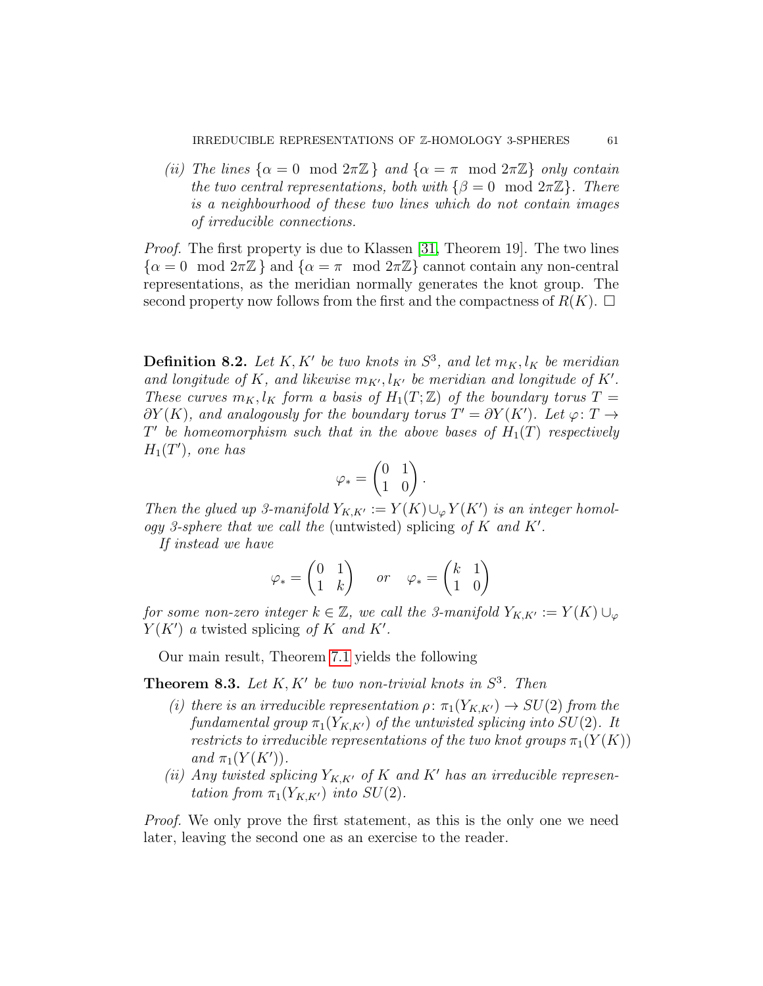(ii) The lines  $\{\alpha = 0 \mod 2\pi\mathbb{Z} \}$  and  $\{\alpha = \pi \mod 2\pi\mathbb{Z} \}$  only contain the two central representations, both with  $\{\beta = 0 \mod 2\pi \mathbb{Z}\}\$ . There is a neighbourhood of these two lines which do not contain images of irreducible connections.

*Proof.* The first property is due to Klassen [\[31,](#page-69-11) Theorem 19]. The two lines  $\{\alpha = 0 \mod 2\pi\mathbb{Z}\}\$ and  $\{\alpha = \pi \mod 2\pi\mathbb{Z}\}\$ cannot contain any non-central representations, as the meridian normally generates the knot group. The second property now follows from the first and the compactness of  $R(K)$ .

**Definition 8.2.** Let K, K' be two knots in  $S^3$ , and let  $m_K, l_K$  be meridian and longitude of K, and likewise  $m_{K'}$ ,  $l_{K'}$  be meridian and longitude of K'. These curves  $m_K, l_K$  form a basis of  $H_1(T;\mathbb{Z})$  of the boundary torus  $T =$  $\partial Y(K)$ , and analogously for the boundary torus  $T' = \partial Y(K')$ . Let  $\varphi \colon T \to$  $T'$  be homeomorphism such that in the above bases of  $H_1(T)$  respectively  $H_1(T')$ , one has

$$
\varphi_* = \begin{pmatrix} 0 & 1 \\ 1 & 0 \end{pmatrix}.
$$

Then the glued up 3-manifold  $Y_{K,K'} := Y(K) \cup_{\varphi} Y(K')$  is an integer homology 3-sphere that we call the (untwisted) splicing of  $K$  and  $K'$ .

If instead we have

$$
\varphi_* = \begin{pmatrix} 0 & 1 \\ 1 & k \end{pmatrix} \quad or \quad \varphi_* = \begin{pmatrix} k & 1 \\ 1 & 0 \end{pmatrix}
$$

for some non-zero integer  $k \in \mathbb{Z}$ , we call the 3-manifold  $Y_{K,K'} := Y(K) \cup_{\varphi}$  $Y(K')$  a twisted splicing of K and K'.

Our main result, Theorem [7.1](#page-52-0) yields the following

<span id="page-60-0"></span>**Theorem 8.3.** Let  $K, K'$  be two non-trivial knots in  $S^3$ . Then

- (i) there is an irreducible representation  $\rho: \pi_1(Y_{K,K'}) \to SU(2)$  from the fundamental group  $\pi_1(Y_{K,K'})$  of the untwisted splicing into  $SU(2)$ . It restricts to irreducible representations of the two knot groups  $\pi_1(Y(K))$ and  $\pi_1(Y(K'))$ .
- (ii) Any twisted splicing  $Y_{K,K'}$  of K and K' has an irreducible representation from  $\pi_1(Y_{K,K'})$  into  $SU(2)$ .

Proof. We only prove the first statement, as this is the only one we need later, leaving the second one as an exercise to the reader.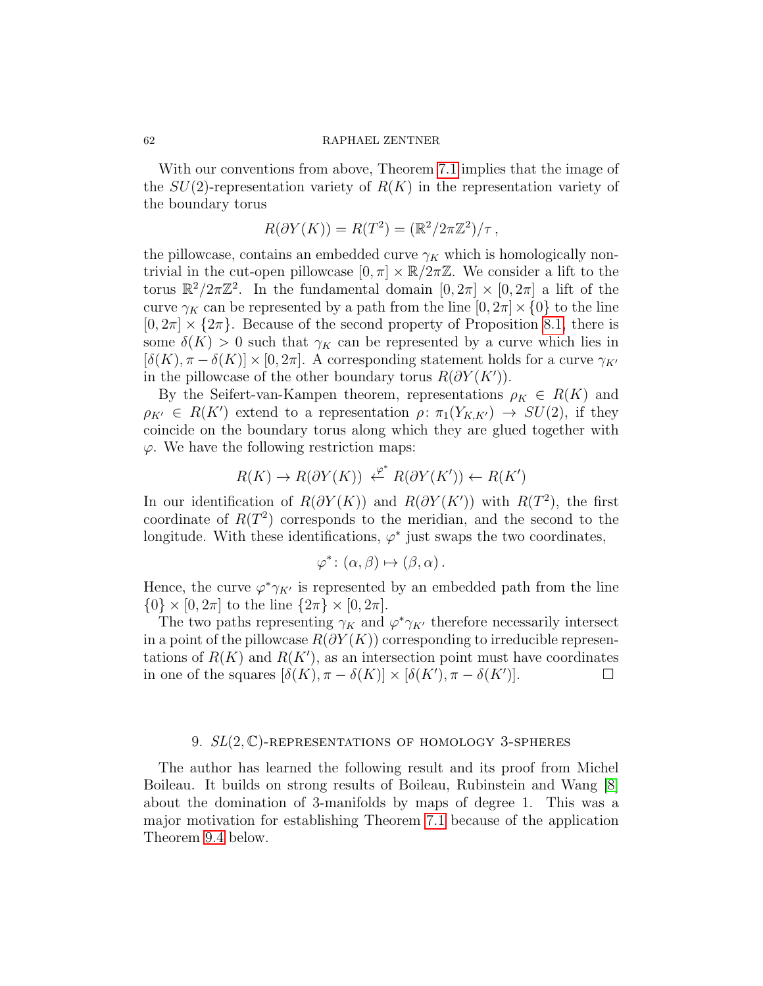With our conventions from above, Theorem [7.1](#page-52-0) implies that the image of the  $SU(2)$ -representation variety of  $R(K)$  in the representation variety of the boundary torus

$$
R(\partial Y(K)) = R(T^2) = (\mathbb{R}^2 / 2\pi \mathbb{Z}^2) / \tau,
$$

the pillowcase, contains an embedded curve  $\gamma_K$  which is homologically nontrivial in the cut-open pillowcase  $[0, \pi] \times \mathbb{R}/2\pi\mathbb{Z}$ . We consider a lift to the torus  $\mathbb{R}^2/2\pi\mathbb{Z}^2$ . In the fundamental domain  $[0, 2\pi] \times [0, 2\pi]$  a lift of the curve  $\gamma_K$  can be represented by a path from the line  $[0, 2\pi] \times \{0\}$  to the line  $[0, 2\pi] \times \{2\pi\}$ . Because of the second property of Proposition [8.1,](#page-0-0) there is some  $\delta(K) > 0$  such that  $\gamma_K$  can be represented by a curve which lies in  $[\delta(K), \pi - \delta(K)] \times [0, 2\pi]$ . A corresponding statement holds for a curve  $\gamma_{K'}$ in the pillowcase of the other boundary torus  $R(\partial Y(K'))$ .

By the Seifert-van-Kampen theorem, representations  $\rho_K \in R(K)$  and  $\rho_{K'} \in R(K')$  extend to a representation  $\rho: \pi_1(Y_{K,K'}) \to SU(2)$ , if they coincide on the boundary torus along which they are glued together with  $\varphi$ . We have the following restriction maps:

$$
R(K) \to R(\partial Y(K)) \stackrel{\varphi^*}{\longleftarrow} R(\partial Y(K')) \leftarrow R(K')
$$

In our identification of  $R(\partial Y(K))$  and  $R(\partial Y(K'))$  with  $R(T^2)$ , the first coordinate of  $R(T^2)$  corresponds to the meridian, and the second to the longitude. With these identifications,  $\varphi^*$  just swaps the two coordinates,

$$
\varphi^* \colon (\alpha, \beta) \mapsto (\beta, \alpha) \, .
$$

Hence, the curve  $\varphi^* \gamma_{K'}$  is represented by an embedded path from the line  $\{0\} \times [0, 2\pi]$  to the line  $\{2\pi\} \times [0, 2\pi]$ .

The two paths representing  $\gamma_K$  and  $\varphi^* \gamma_{K'}$  therefore necessarily intersect in a point of the pillowcase  $R(\partial Y(K))$  corresponding to irreducible representations of  $R(K)$  and  $R(K')$ , as an intersection point must have coordinates in one of the squares  $[\delta(K), \pi - \delta(K)] \times [\delta(K'), \pi - \delta(K')].$ 

## 9.  $SL(2,\mathbb{C})$ -REPRESENTATIONS OF HOMOLOGY 3-SPHERES

The author has learned the following result and its proof from Michel Boileau. It builds on strong results of Boileau, Rubinstein and Wang [\[8\]](#page-68-18) about the domination of 3-manifolds by maps of degree 1. This was a major motivation for establishing Theorem [7.1](#page-52-0) because of the application Theorem [9.4](#page-64-0) below.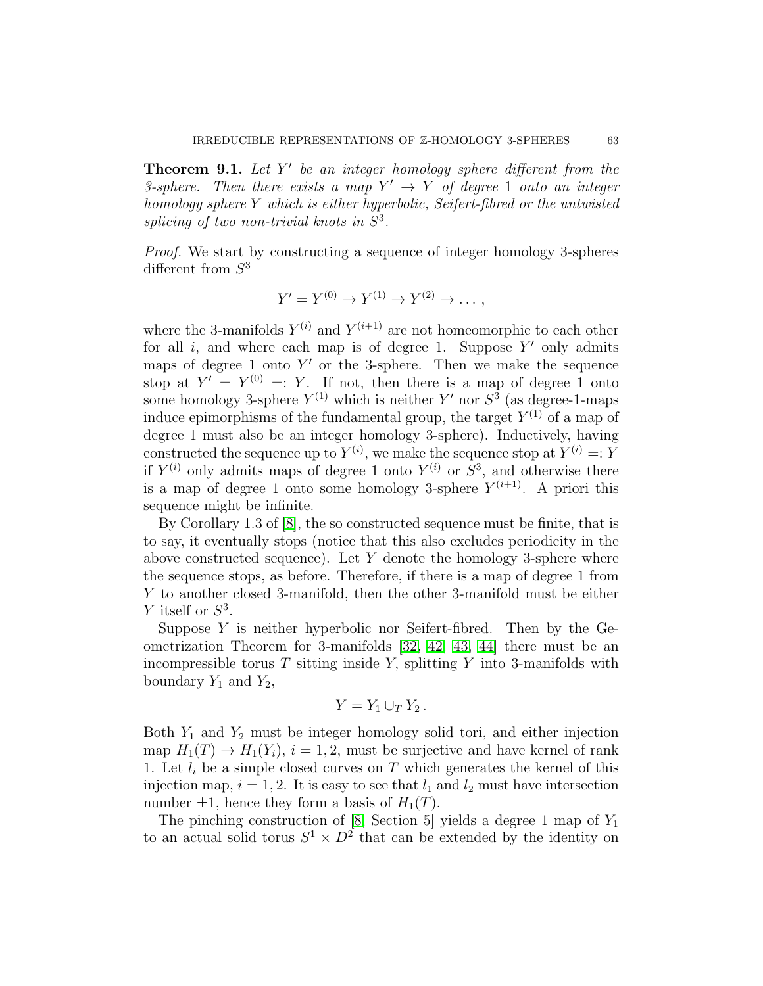<span id="page-62-0"></span>**Theorem 9.1.** Let  $Y'$  be an integer homology sphere different from the 3-sphere. Then there exists a map  $Y' \rightarrow Y$  of degree 1 onto an integer homology sphere Y which is either hyperbolic, Seifert-fibred or the untwisted splicing of two non-trivial knots in  $S^3$ .

Proof. We start by constructing a sequence of integer homology 3-spheres different from  $S^3$ 

$$
Y' = Y^{(0)} \to Y^{(1)} \to Y^{(2)} \to \dots,
$$

where the 3-manifolds  $Y^{(i)}$  and  $Y^{(i+1)}$  are not homeomorphic to each other for all  $i$ , and where each map is of degree 1. Suppose  $Y'$  only admits maps of degree 1 onto  $Y'$  or the 3-sphere. Then we make the sequence stop at  $Y' = Y^{(0)} =: Y$ . If not, then there is a map of degree 1 onto some homology 3-sphere  $Y^{(1)}$  which is neither  $Y'$  nor  $S^3$  (as degree-1-maps induce epimorphisms of the fundamental group, the target  $Y^{(1)}$  of a map of degree 1 must also be an integer homology 3-sphere). Inductively, having constructed the sequence up to  $Y^{(i)}$ , we make the sequence stop at  $Y^{(i)} =: Y$ if  $Y^{(i)}$  only admits maps of degree 1 onto  $Y^{(i)}$  or  $S^3$ , and otherwise there is a map of degree 1 onto some homology 3-sphere  $Y^{(i+1)}$ . A priori this sequence might be infinite.

By Corollary 1.3 of [\[8\]](#page-68-18), the so constructed sequence must be finite, that is to say, it eventually stops (notice that this also excludes periodicity in the above constructed sequence). Let  $Y$  denote the homology 3-sphere where the sequence stops, as before. Therefore, if there is a map of degree 1 from Y to another closed 3-manifold, then the other 3-manifold must be either Y itself or  $S^3$ .

Suppose  $Y$  is neither hyperbolic nor Seifert-fibred. Then by the Geometrization Theorem for 3-manifolds [\[32,](#page-69-12) [42,](#page-69-13) [43,](#page-69-14) [44\]](#page-69-15) there must be an incompressible torus  $T$  sitting inside  $Y$ , splitting  $Y$  into 3-manifolds with boundary  $Y_1$  and  $Y_2$ ,

$$
Y=Y_1\cup_T Y_2.
$$

Both  $Y_1$  and  $Y_2$  must be integer homology solid tori, and either injection map  $H_1(T) \to H_1(Y_i)$ ,  $i = 1, 2$ , must be surjective and have kernel of rank 1. Let  $l_i$  be a simple closed curves on T which generates the kernel of this injection map,  $i = 1, 2$ . It is easy to see that  $l_1$  and  $l_2$  must have intersection number  $\pm 1$ , hence they form a basis of  $H_1(T)$ .

The pinching construction of [\[8,](#page-68-18) Section 5] yields a degree 1 map of  $Y_1$ to an actual solid torus  $S^1 \times D^2$  that can be extended by the identity on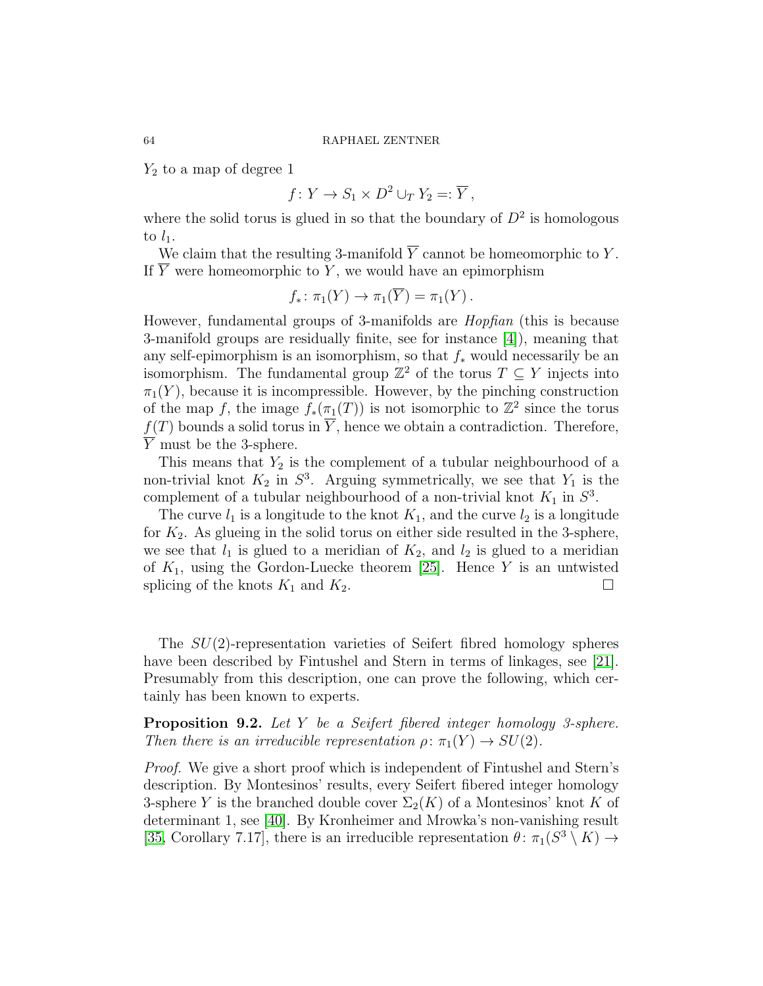$Y_2$  to a map of degree 1

$$
f: Y \to S_1 \times D^2 \cup_T Y_2 =: \overline{Y},
$$

where the solid torus is glued in so that the boundary of  $D^2$  is homologous to  $l_1$ .

We claim that the resulting 3-manifold  $\overline{Y}$  cannot be homeomorphic to Y. If  $\overline{Y}$  were homeomorphic to Y, we would have an epimorphism

$$
f_*\colon \pi_1(Y)\to \pi_1(\overline{Y})=\pi_1(Y)\,.
$$

However, fundamental groups of 3-manifolds are Hopfian (this is because 3-manifold groups are residually finite, see for instance [\[4\]](#page-67-4)), meaning that any self-epimorphism is an isomorphism, so that  $f_*$  would necessarily be an isomorphism. The fundamental group  $\mathbb{Z}^2$  of the torus  $T \subseteq Y$  injects into  $\pi_1(Y)$ , because it is incompressible. However, by the pinching construction of the map f, the image  $f_*(\pi_1(T))$  is not isomorphic to  $\mathbb{Z}^2$  since the torus  $f(T)$  bounds a solid torus in  $\overline{Y}$ , hence we obtain a contradiction. Therefore,  $\overline{Y}$  must be the 3-sphere.

This means that  $Y_2$  is the complement of a tubular neighbourhood of a non-trivial knot  $K_2$  in  $S^3$ . Arguing symmetrically, we see that  $Y_1$  is the complement of a tubular neighbourhood of a non-trivial knot  $K_1$  in  $S^3$ .

The curve  $l_1$  is a longitude to the knot  $K_1$ , and the curve  $l_2$  is a longitude for  $K_2$ . As glueing in the solid torus on either side resulted in the 3-sphere, we see that  $l_1$  is glued to a meridian of  $K_2$ , and  $l_2$  is glued to a meridian of  $K_1$ , using the Gordon-Luecke theorem [\[25\]](#page-69-16). Hence Y is an untwisted splicing of the knots  $K_1$  and  $K_2$ .

The SU(2)-representation varieties of Seifert fibred homology spheres have been described by Fintushel and Stern in terms of linkages, see [\[21\]](#page-68-0). Presumably from this description, one can prove the following, which certainly has been known to experts.

<span id="page-63-0"></span>Proposition 9.2. Let Y be a Seifert fibered integer homology 3-sphere. Then there is an irreducible representation  $\rho: \pi_1(Y) \to SU(2)$ .

Proof. We give a short proof which is independent of Fintushel and Stern's description. By Montesinos' results, every Seifert fibered integer homology 3-sphere Y is the branched double cover  $\Sigma_2(K)$  of a Montesinos' knot K of determinant 1, see [\[40\]](#page-69-17). By Kronheimer and Mrowka's non-vanishing result [\[35,](#page-69-18) Corollary 7.17], there is an irreducible representation  $\theta \colon \pi_1(S^3 \setminus K) \to$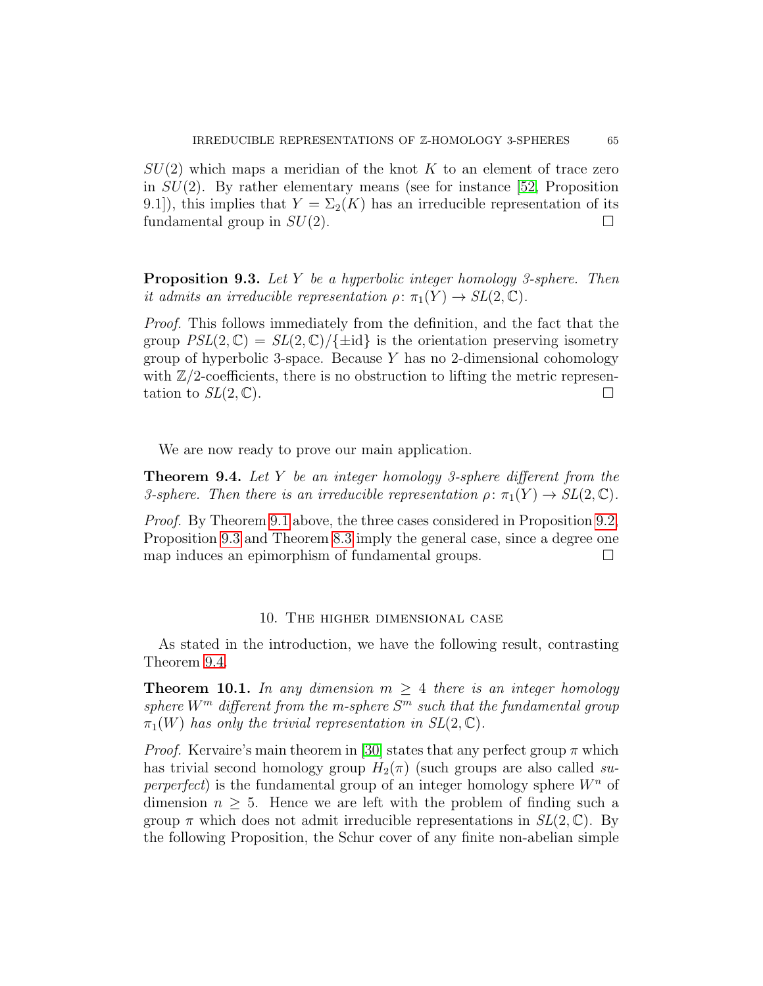$SU(2)$  which maps a meridian of the knot K to an element of trace zero in  $SU(2)$ . By rather elementary means (see for instance [\[52,](#page-70-3) Proposition 9.1]), this implies that  $Y = \Sigma_2(K)$  has an irreducible representation of its fundamental group in  $SU(2)$ .

<span id="page-64-2"></span>Proposition 9.3. Let Y be a hyperbolic integer homology 3-sphere. Then it admits an irreducible representation  $\rho: \pi_1(Y) \to SL(2, \mathbb{C})$ .

Proof. This follows immediately from the definition, and the fact that the group  $PSL(2,\mathbb{C}) = SL(2,\mathbb{C})/\{\pm id\}$  is the orientation preserving isometry group of hyperbolic 3-space. Because  $Y$  has no 2-dimensional cohomology with  $\mathbb{Z}/2$ -coefficients, there is no obstruction to lifting the metric representation to  $SL(2,\mathbb{C})$ .

We are now ready to prove our main application.

<span id="page-64-0"></span>**Theorem 9.4.** Let Y be an integer homology 3-sphere different from the 3-sphere. Then there is an irreducible representation  $\rho: \pi_1(Y) \to SL(2, \mathbb{C})$ .

Proof. By Theorem [9.1](#page-62-0) above, the three cases considered in Proposition [9.2,](#page-63-0) Proposition [9.3](#page-64-2) and Theorem [8.3](#page-60-0) imply the general case, since a degree one map induces an epimorphism of fundamental groups.

## 10. The higher dimensional case

As stated in the introduction, we have the following result, contrasting Theorem [9.4.](#page-64-0)

<span id="page-64-1"></span>**Theorem 10.1.** In any dimension  $m \geq 4$  there is an integer homology sphere  $W^m$  different from the m-sphere  $S^m$  such that the fundamental group  $\pi_1(W)$  has only the trivial representation in  $SL(2,\mathbb{C})$ .

*Proof.* Kervaire's main theorem in [\[30\]](#page-69-19) states that any perfect group  $\pi$  which has trivial second homology group  $H_2(\pi)$  (such groups are also called superperfect) is the fundamental group of an integer homology sphere  $W<sup>n</sup>$  of dimension  $n \geq 5$ . Hence we are left with the problem of finding such a group  $\pi$  which does not admit irreducible representations in  $SL(2,\mathbb{C})$ . By the following Proposition, the Schur cover of any finite non-abelian simple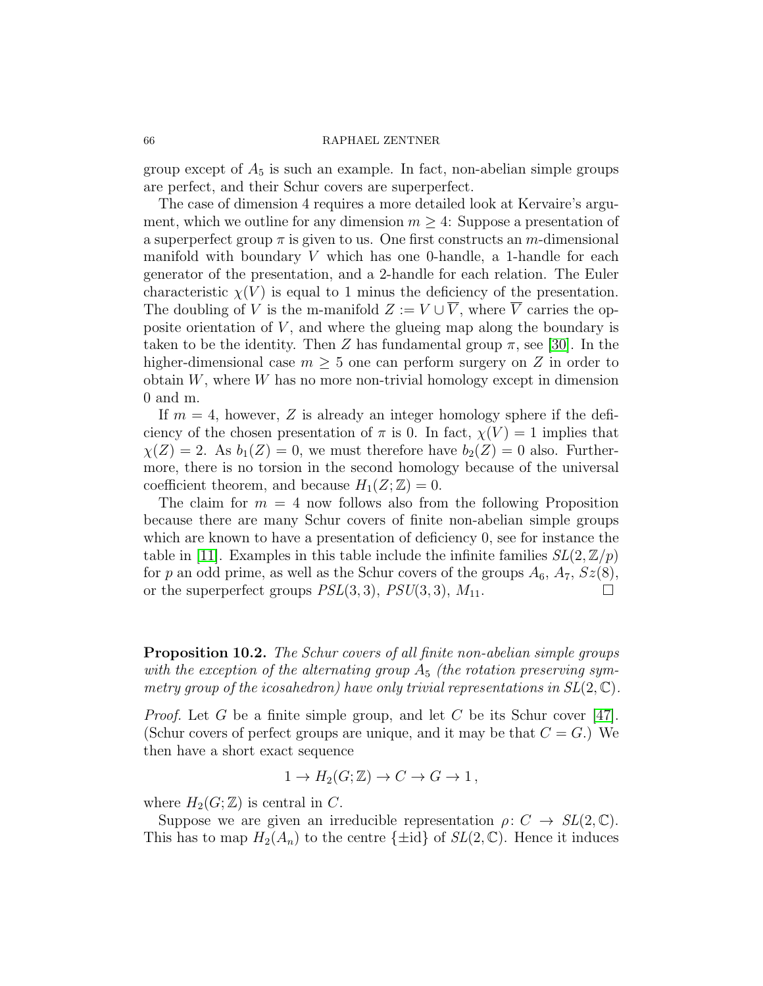group except of  $A_5$  is such an example. In fact, non-abelian simple groups are perfect, and their Schur covers are superperfect.

The case of dimension 4 requires a more detailed look at Kervaire's argument, which we outline for any dimension  $m \geq 4$ : Suppose a presentation of a superperfect group  $\pi$  is given to us. One first constructs an m-dimensional manifold with boundary  $V$  which has one 0-handle, a 1-handle for each generator of the presentation, and a 2-handle for each relation. The Euler characteristic  $\chi(V)$  is equal to 1 minus the deficiency of the presentation. The doubling of V is the m-manifold  $Z := V \cup \overline{V}$ , where  $\overline{V}$  carries the opposite orientation of  $V$ , and where the glueing map along the boundary is taken to be the identity. Then Z has fundamental group  $\pi$ , see [\[30\]](#page-69-19). In the higher-dimensional case  $m \geq 5$  one can perform surgery on Z in order to obtain  $W$ , where  $W$  has no more non-trivial homology except in dimension 0 and m.

If  $m = 4$ , however, Z is already an integer homology sphere if the deficiency of the chosen presentation of  $\pi$  is 0. In fact,  $\chi(V) = 1$  implies that  $\chi(Z) = 2$ . As  $b_1(Z) = 0$ , we must therefore have  $b_2(Z) = 0$  also. Furthermore, there is no torsion in the second homology because of the universal coefficient theorem, and because  $H_1(Z; \mathbb{Z}) = 0$ .

The claim for  $m = 4$  now follows also from the following Proposition because there are many Schur covers of finite non-abelian simple groups which are known to have a presentation of deficiency 0, see for instance the table in [\[11\]](#page-68-19). Examples in this table include the infinite families  $SL(2, \mathbb{Z}/p)$ for p an odd prime, as well as the Schur covers of the groups  $A_6$ ,  $A_7$ ,  $Sz(8)$ , or the superperfect groups  $PSL(3,3)$ ,  $PSU(3,3)$ ,  $M_{11}$ .

<span id="page-65-0"></span>Proposition 10.2. The Schur covers of all finite non-abelian simple groups with the exception of the alternating group  $A_5$  (the rotation preserving symmetry group of the icosahedron) have only trivial representations in  $SL(2, \mathbb{C})$ .

*Proof.* Let G be a finite simple group, and let C be its Schur cover [\[47\]](#page-70-4). (Schur covers of perfect groups are unique, and it may be that  $C = G$ .) We then have a short exact sequence

$$
1 \to H_2(G; \mathbb{Z}) \to C \to G \to 1,
$$

where  $H_2(G; \mathbb{Z})$  is central in C.

Suppose we are given an irreducible representation  $\rho: C \to SL(2, \mathbb{C})$ . This has to map  $H_2(A_n)$  to the centre  $\{\pm id\}$  of  $SL(2,\mathbb{C})$ . Hence it induces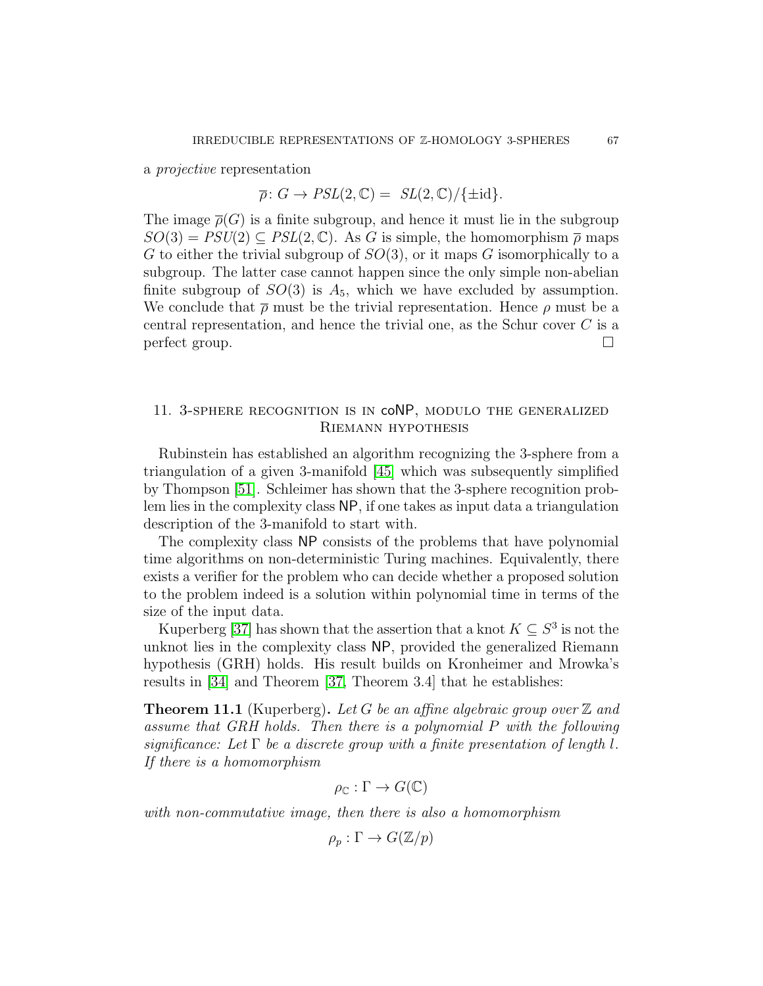a projective representation

# $\overline{\rho}$ :  $G \to PSL(2,\mathbb{C}) = SL(2,\mathbb{C})/\{\pm id\}.$

The image  $\overline{\rho}(G)$  is a finite subgroup, and hence it must lie in the subgroup  $SO(3) = PSU(2) \subseteq PSL(2, \mathbb{C})$ . As G is simple, the homomorphism  $\bar{\rho}$  maps G to either the trivial subgroup of  $SO(3)$ , or it maps G isomorphically to a subgroup. The latter case cannot happen since the only simple non-abelian finite subgroup of  $SO(3)$  is  $A_5$ , which we have excluded by assumption. We conclude that  $\bar{\rho}$  must be the trivial representation. Hence  $\rho$  must be a central representation, and hence the trivial one, as the Schur cover C is a  $\Box$ 

# 11. 3-sphere recognition is in coNP, modulo the generalized Riemann hypothesis

Rubinstein has established an algorithm recognizing the 3-sphere from a triangulation of a given 3-manifold [\[45\]](#page-69-20) which was subsequently simplified by Thompson [\[51\]](#page-70-5). Schleimer has shown that the 3-sphere recognition problem lies in the complexity class NP, if one takes as input data a triangulation description of the 3-manifold to start with.

The complexity class NP consists of the problems that have polynomial time algorithms on non-deterministic Turing machines. Equivalently, there exists a verifier for the problem who can decide whether a proposed solution to the problem indeed is a solution within polynomial time in terms of the size of the input data.

Kuperberg [\[37\]](#page-69-3) has shown that the assertion that a knot  $K \subseteq S^3$  is not the unknot lies in the complexity class NP, provided the generalized Riemann hypothesis (GRH) holds. His result builds on Kronheimer and Mrowka's results in [\[34\]](#page-69-1) and Theorem [\[37,](#page-69-3) Theorem 3.4] that he establishes:

<span id="page-66-0"></span>**Theorem 11.1** (Kuperberg). Let G be an affine algebraic group over  $\mathbb{Z}$  and assume that GRH holds. Then there is a polynomial P with the following significance: Let  $\Gamma$  be a discrete group with a finite presentation of length l. If there is a homomorphism

$$
\rho_{\mathbb{C}} : \Gamma \to G(\mathbb{C})
$$

with non-commutative image, then there is also a homomorphism

$$
\rho_p : \Gamma \to G(\mathbb{Z}/p)
$$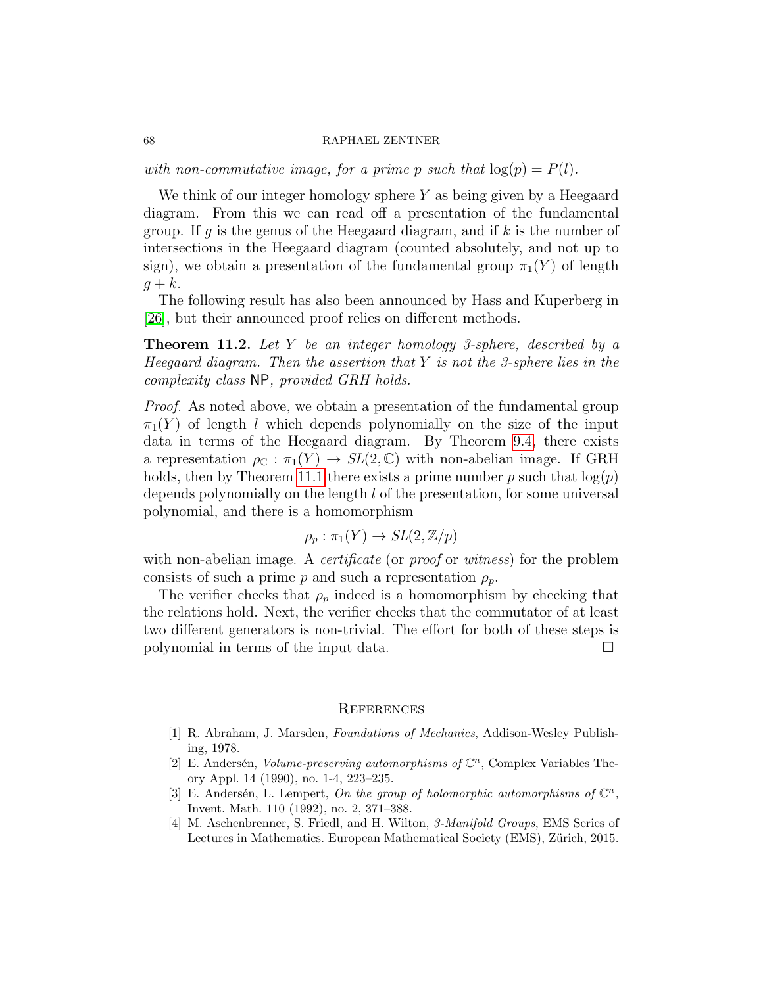with non-commutative image, for a prime p such that  $log(p) = P(l)$ .

We think of our integer homology sphere  $Y$  as being given by a Heegaard diagram. From this we can read off a presentation of the fundamental group. If g is the genus of the Heegaard diagram, and if k is the number of intersections in the Heegaard diagram (counted absolutely, and not up to sign), we obtain a presentation of the fundamental group  $\pi_1(Y)$  of length  $q + k$ .

The following result has also been announced by Hass and Kuperberg in [\[26\]](#page-69-4), but their announced proof relies on different methods.

<span id="page-67-0"></span>**Theorem 11.2.** Let Y be an integer homology 3-sphere, described by a Heegaard diagram. Then the assertion that  $Y$  is not the 3-sphere lies in the complexity class NP, provided GRH holds.

Proof. As noted above, we obtain a presentation of the fundamental group  $\pi_1(Y)$  of length l which depends polynomially on the size of the input data in terms of the Heegaard diagram. By Theorem [9.4,](#page-64-0) there exists a representation  $\rho_{\mathbb{C}} : \pi_1(Y) \to SL(2, \mathbb{C})$  with non-abelian image. If GRH holds, then by Theorem [11.1](#page-66-0) there exists a prime number p such that  $log(p)$ depends polynomially on the length l of the presentation, for some universal polynomial, and there is a homomorphism

$$
\rho_p : \pi_1(Y) \to SL(2, \mathbb{Z}/p)
$$

with non-abelian image. A *certificate* (or *proof* or *witness*) for the problem consists of such a prime p and such a representation  $\rho_p$ .

The verifier checks that  $\rho_p$  indeed is a homomorphism by checking that the relations hold. Next, the verifier checks that the commutator of at least two different generators is non-trivial. The effort for both of these steps is polynomial in terms of the input data.

#### **REFERENCES**

- <span id="page-67-3"></span>[1] R. Abraham, J. Marsden, Foundations of Mechanics, Addison-Wesley Publishing, 1978.
- <span id="page-67-1"></span>[2] E. Andersén, Volume-preserving automorphisms of  $\mathbb{C}^n$ , Complex Variables Theory Appl. 14 (1990), no. 1-4, 223–235.
- <span id="page-67-2"></span>[3] E. Andersén, L. Lempert, On the group of holomorphic automorphisms of  $\mathbb{C}^n$ , Invent. Math. 110 (1992), no. 2, 371–388.
- <span id="page-67-4"></span>[4] M. Aschenbrenner, S. Friedl, and H. Wilton, 3-Manifold Groups, EMS Series of Lectures in Mathematics. European Mathematical Society (EMS), Zürich, 2015.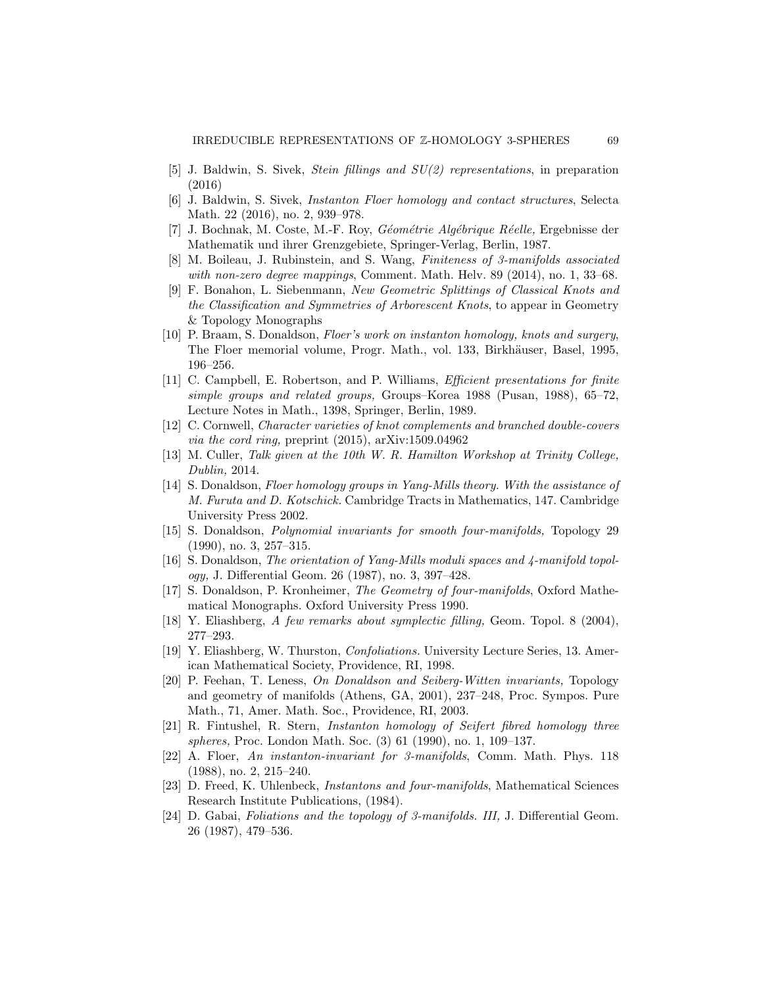- <span id="page-68-1"></span>[5] J. Baldwin, S. Sivek, Stein fillings and SU(2) representations, in preparation (2016)
- <span id="page-68-2"></span>[6] J. Baldwin, S. Sivek, Instanton Floer homology and contact structures, Selecta Math. 22 (2016), no. 2, 939–978.
- <span id="page-68-17"></span>[7] J. Bochnak, M. Coste, M.-F. Roy, *Géométrie Algébrique Réelle*, Ergebnisse der Mathematik und ihrer Grenzgebiete, Springer-Verlag, Berlin, 1987.
- <span id="page-68-18"></span>[8] M. Boileau, J. Rubinstein, and S. Wang, Finiteness of 3-manifolds associated with non-zero degree mappings, Comment. Math. Helv. 89 (2014), no. 1, 33–68.
- <span id="page-68-4"></span>[9] F. Bonahon, L. Siebenmann, New Geometric Splittings of Classical Knots and the Classification and Symmetries of Arborescent Knots, to appear in Geometry & Topology Monographs
- <span id="page-68-8"></span>[10] P. Braam, S. Donaldson, Floer's work on instanton homology, knots and surgery, The Floer memorial volume, Progr. Math., vol. 133, Birkhäuser, Basel, 1995, 196–256.
- <span id="page-68-19"></span>[11] C. Campbell, E. Robertson, and P. Williams, Efficient presentations for finite simple groups and related groups, Groups–Korea 1988 (Pusan, 1988), 65–72, Lecture Notes in Math., 1398, Springer, Berlin, 1989.
- <span id="page-68-3"></span>[12] C. Cornwell, Character varieties of knot complements and branched double-covers via the cord ring, preprint (2015), arXiv:1509.04962
- <span id="page-68-5"></span>[13] M. Culler, Talk given at the 10th W. R. Hamilton Workshop at Trinity College, Dublin, 2014.
- <span id="page-68-16"></span>[14] S. Donaldson, Floer homology groups in Yang-Mills theory. With the assistance of M. Furuta and D. Kotschick. Cambridge Tracts in Mathematics, 147. Cambridge University Press 2002.
- <span id="page-68-11"></span>[15] S. Donaldson, Polynomial invariants for smooth four-manifolds, Topology 29 (1990), no. 3, 257–315.
- <span id="page-68-7"></span>[16] S. Donaldson, The orientation of Yang-Mills moduli spaces and 4-manifold topology, J. Differential Geom. 26 (1987), no. 3, 397–428.
- <span id="page-68-9"></span>[17] S. Donaldson, P. Kronheimer, The Geometry of four-manifolds, Oxford Mathematical Monographs. Oxford University Press 1990.
- <span id="page-68-13"></span>[18] Y. Eliashberg, A few remarks about symplectic filling, Geom. Topol. 8 (2004), 277–293.
- <span id="page-68-14"></span>[19] Y. Eliashberg, W. Thurston, Confoliations. University Lecture Series, 13. American Mathematical Society, Providence, RI, 1998.
- <span id="page-68-12"></span>[20] P. Feehan, T. Leness, On Donaldson and Seiberg-Witten invariants, Topology and geometry of manifolds (Athens, GA, 2001), 237–248, Proc. Sympos. Pure Math., 71, Amer. Math. Soc., Providence, RI, 2003.
- <span id="page-68-0"></span>[21] R. Fintushel, R. Stern, Instanton homology of Seifert fibred homology three spheres, Proc. London Math. Soc. (3) 61 (1990), no. 1, 109–137.
- <span id="page-68-6"></span>[22] A. Floer, An instanton-invariant for 3-manifolds, Comm. Math. Phys. 118 (1988), no. 2, 215–240.
- <span id="page-68-10"></span>[23] D. Freed, K. Uhlenbeck, Instantons and four-manifolds, Mathematical Sciences Research Institute Publications, (1984).
- <span id="page-68-15"></span>[24] D. Gabai, Foliations and the topology of 3-manifolds. III, J. Differential Geom. 26 (1987), 479–536.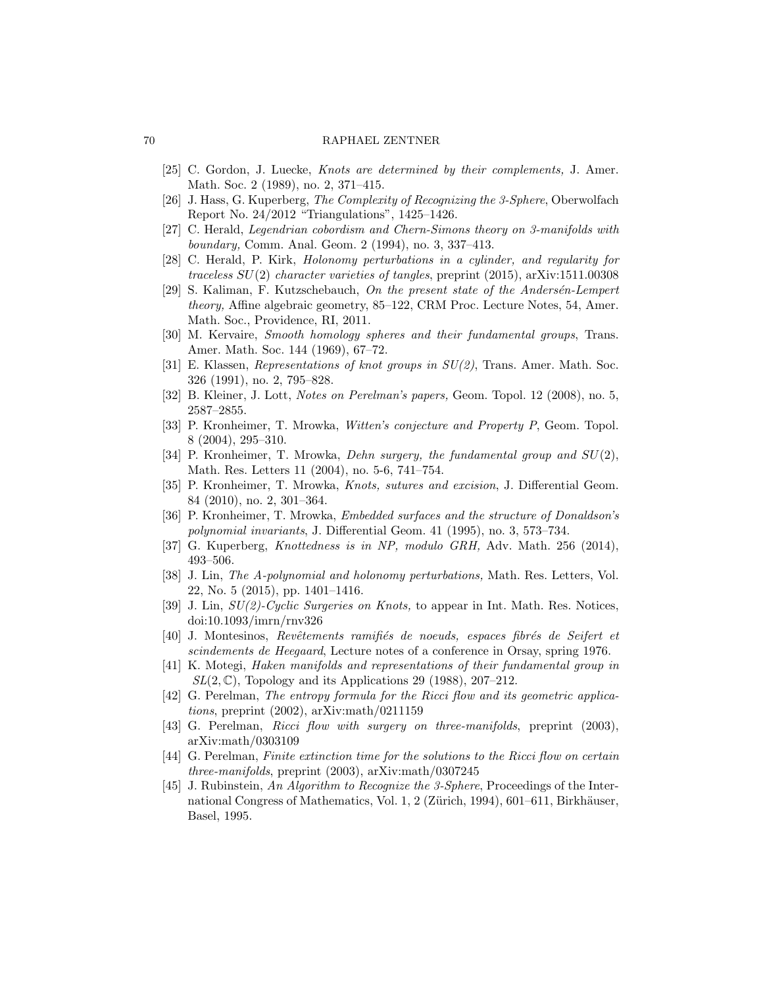- <span id="page-69-16"></span>[25] C. Gordon, J. Luecke, Knots are determined by their complements, J. Amer. Math. Soc. 2 (1989), no. 2, 371–415.
- <span id="page-69-4"></span>[26] J. Hass, G. Kuperberg, The Complexity of Recognizing the 3-Sphere, Oberwolfach Report No. 24/2012 "Triangulations", 1425–1426.
- <span id="page-69-5"></span>[27] C. Herald, Legendrian cobordism and Chern-Simons theory on 3-manifolds with boundary, Comm. Anal. Geom. 2 (1994), no. 3, 337–413.
- <span id="page-69-7"></span>[28] C. Herald, P. Kirk, Holonomy perturbations in a cylinder, and regularity for traceless SU(2) character varieties of tangles, preprint (2015), arXiv:1511.00308
- <span id="page-69-6"></span>[29] S. Kaliman, F. Kutzschebauch, On the present state of the Andersén-Lempert theory, Affine algebraic geometry, 85–122, CRM Proc. Lecture Notes, 54, Amer. Math. Soc., Providence, RI, 2011.
- <span id="page-69-19"></span>[30] M. Kervaire, Smooth homology spheres and their fundamental groups, Trans. Amer. Math. Soc. 144 (1969), 67–72.
- <span id="page-69-11"></span>[31] E. Klassen, *Representations of knot groups in*  $SU(2)$ , Trans. Amer. Math. Soc. 326 (1991), no. 2, 795–828.
- <span id="page-69-12"></span>[32] B. Kleiner, J. Lott, Notes on Perelman's papers, Geom. Topol. 12 (2008), no. 5, 2587–2855.
- <span id="page-69-0"></span>[33] P. Kronheimer, T. Mrowka, Witten's conjecture and Property P, Geom. Topol. 8 (2004), 295–310.
- <span id="page-69-1"></span>[34] P. Kronheimer, T. Mrowka, Dehn surgery, the fundamental group and  $SU(2)$ , Math. Res. Letters 11 (2004), no. 5-6, 741–754.
- <span id="page-69-18"></span>[35] P. Kronheimer, T. Mrowka, Knots, sutures and excision, J. Differential Geom. 84 (2010), no. 2, 301–364.
- <span id="page-69-10"></span>[36] P. Kronheimer, T. Mrowka, Embedded surfaces and the structure of Donaldson's polynomial invariants, J. Differential Geom. 41 (1995), no. 3, 573–734.
- <span id="page-69-3"></span>[37] G. Kuperberg, Knottedness is in NP, modulo GRH, Adv. Math. 256 (2014), 493–506.
- <span id="page-69-8"></span>[38] J. Lin, The A-polynomial and holonomy perturbations, Math. Res. Letters, Vol. 22, No. 5 (2015), pp. 1401–1416.
- <span id="page-69-9"></span>[39] J. Lin,  $SU(2)$ -Cyclic Surgeries on Knots, to appear in Int. Math. Res. Notices, doi:10.1093/imrn/rnv326
- <span id="page-69-17"></span>[40] J. Montesinos, Revêtements ramifiés de noeuds, espaces fibrés de Seifert et scindements de Heegaard, Lecture notes of a conference in Orsay, spring 1976.
- <span id="page-69-2"></span>[41] K. Motegi, Haken manifolds and representations of their fundamental group in  $SL(2,\mathbb{C})$ , Topology and its Applications 29 (1988), 207–212.
- <span id="page-69-13"></span>[42] G. Perelman, The entropy formula for the Ricci flow and its geometric applications, preprint (2002), arXiv:math/0211159
- <span id="page-69-14"></span>[43] G. Perelman, Ricci flow with surgery on three-manifolds, preprint (2003), arXiv:math/0303109
- <span id="page-69-15"></span>[44] G. Perelman, Finite extinction time for the solutions to the Ricci flow on certain three-manifolds, preprint (2003), arXiv:math/0307245
- <span id="page-69-20"></span>[45] J. Rubinstein, An Algorithm to Recognize the 3-Sphere, Proceedings of the International Congress of Mathematics, Vol. 1, 2 (Zürich, 1994), 601–611, Birkhäuser, Basel, 1995.